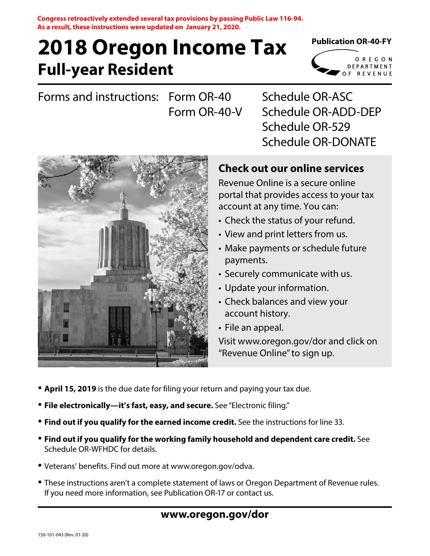**Congress retroactively extended several tax provisions by passing Public Law 116-94. As a result, these instructions were updated on January 21, 2020.**

# **Full-year Resident 2018 Oregon Income Tax**

## **Publication OR-40-FY**

OREGON DEPARTMENT OF REVENUE

Forms and instructions: Form OR-40 Form OR-40-V

Schedule OR-ASC Schedule OR-ADD-DEP Schedule OR-529 Schedule OR-DONATE



# **Check out our online services**

Revenue Online is a secure online portal that provides access to your tax account at any time. You can:

- Check the status of your refund.
- View and print letters from us.
- Make payments or schedule future payments.
- Securely communicate with us.
- Update your information.
- Check balances and view your account history.
- File an appeal.

Visit www.oregon.gov/dor and click on "Revenue Online" to sign up.

- **April 15, 2019** is the due date for filing your return and paying your tax due.
- **File electronically—it's fast, easy, and secure.** See "Electronic filing."
- **Find out if you qualify for the earned income credit.** See the instructions for line 33.
- **Find out if you qualify for the working family household and dependent care credit.** See Schedule OR-WFHDC for details.
- Veterans' benefits. Find out more at www.oregon.gov/odva.
- These instructions aren't a complete statement of laws or Oregon Department of Revenue rules. If you need more information, see Publication OR-17 or contact us.

# **www.oregon.gov/dor**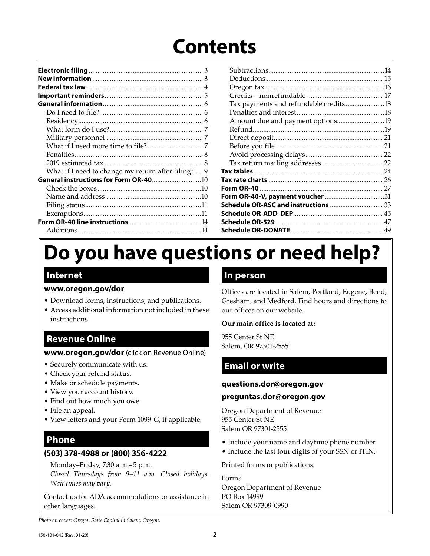# **Contents**

| What if I need to change my return after filing? 9 |
|----------------------------------------------------|
| General instructions for Form OR-4010              |
|                                                    |
|                                                    |
|                                                    |
|                                                    |
|                                                    |
|                                                    |
|                                                    |

|                                       | .14 |
|---------------------------------------|-----|
|                                       |     |
|                                       |     |
|                                       |     |
| Tax payments and refundable credits18 |     |
|                                       |     |
| Amount due and payment options19      |     |
|                                       |     |
|                                       |     |
|                                       |     |
|                                       |     |
|                                       |     |
|                                       |     |
|                                       |     |
|                                       |     |
|                                       |     |
| Schedule OR-ASC and instructions  33  |     |
|                                       |     |
|                                       |     |
|                                       |     |
|                                       |     |

# **Do you have questions or need help?**

# **Internet**

## **www.oregon.gov/dor**

- Download forms, instructions, and publications.
- Access additional information not included in these instructions.

# **Revenue Online**

## **www.oregon.gov/dor** (click on Revenue Online)

- Securely communicate with us.
- Check your refund status.
- Make or schedule payments.
- View your account history.
- Find out how much you owe.
- File an appeal.
- View letters and your Form 1099-G, if applicable.

# **Phone**

## **(503) 378-4988 or (800) 356-4222**

Monday–Friday, 7:30 a.m.– 5 p.m.

*Closed Thursdays from 9–11 a.m. Closed holidays. Wait times may vary.*

Contact us for ADA accommodations or assistance in other languages.

## **In person**

Offices are located in Salem, Portland, Eugene, Bend, Gresham, and Medford. Find hours and directions to our offices on our website.

## **Our main office is located at:**

955 Center St NE Salem, OR 97301-2555

# **Email or write**

## **questions.dor@oregon.gov**

## **preguntas.dor@oregon.gov**

Oregon Department of Revenue 955 Center St NE Salem OR 97301-2555

- Include your name and daytime phone number.
- Include the last four digits of your SSN or ITIN.

Printed forms or publications:

Forms Oregon Department of Revenue PO Box 14999 Salem OR 97309-0990

*Photo on cover: Oregon State Capitol in Salem, Oregon.*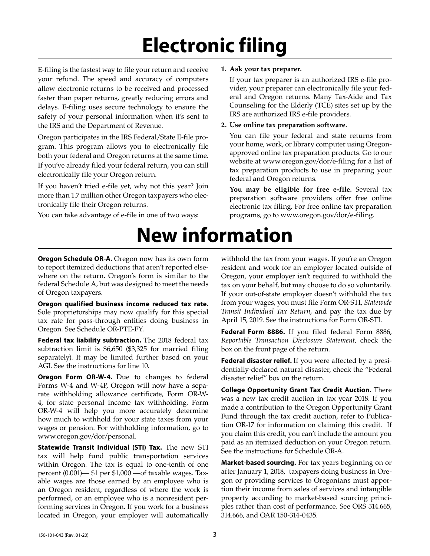# **Electronic filing**

**New information**

E-filing is the fastest way to file your return and receive your refund. The speed and accuracy of computers allow electronic returns to be received and processed faster than paper returns, greatly reducing errors and delays. E-filing uses secure technology to ensure the safety of your personal information when it's sent to the IRS and the Department of Revenue.

Oregon participates in the IRS Federal/State E-file program. This program allows you to electronically file both your federal and Oregon returns at the same time. If you've already filed your federal return, you can still electronically file your Oregon return.

If you haven't tried e-file yet, why not this year? Join more than 1.7 million other Oregon taxpayers who electronically file their Oregon returns.

You can take advantage of e-file in one of two ways:

#### **1. Ask your tax preparer.**

If your tax preparer is an authorized IRS e-file provider, your preparer can electronically file your federal and Oregon returns. Many Tax-Aide and Tax Counseling for the Elderly (TCE) sites set up by the IRS are authorized IRS e-file providers.

#### **2. Use online tax preparation software.**

You can file your federal and state returns from your home, work, or library computer using Oregonapproved online tax preparation products. Go to our website at www.oregon.gov/dor/e-filing for a list of tax preparation products to use in preparing your federal and Oregon returns.

**You may be eligible for free e-file.** Several tax preparation software providers offer free online electronic tax filing. For free online tax preparation programs, go to www.oregon.gov/dor/e-filing.

#### **Oregon Schedule OR-A.** Oregon now has its own form to report itemized deductions that aren't reported elsewhere on the return. Oregon's form is similar to the federal Schedule A, but was designed to meet the needs of Oregon taxpayers.

**Oregon qualified business income reduced tax rate.**  Sole proprietorships may now qualify for this special tax rate for pass-through entities doing business in Oregon. See Schedule OR-PTE-FY.

**Federal tax liability subtraction.** The 2018 federal tax subtraction limit is \$6,650 (\$3,325 for married filing separately). It may be limited further based on your AGI. See the instructions for line 10.

**Oregon Form OR-W-4.** Due to changes to federal Forms W-4 and W-4P, Oregon will now have a separate withholding allowance certificate, Form OR-W-4, for state personal income tax withholding. Form OR-W-4 will help you more accurately determine how much to withhold for your state taxes from your wages or pension. For withholding information, go to www.oregon.gov/dor/personal.

**Statewide Transit Individual (STI) Tax.** The new STI tax will help fund public transportation services within Oregon. The tax is equal to one-tenth of one percent (0.001)— \$1 per \$1,000 —of taxable wages. Taxable wages are those earned by an employee who is an Oregon resident, regardless of where the work is performed, or an employee who is a nonresident performing services in Oregon. If you work for a business located in Oregon, your employer will automatically

withhold the tax from your wages. If you're an Oregon resident and work for an employer located outside of Oregon, your employer isn't required to withhold the tax on your behalf, but may choose to do so voluntarily. If your out-of-state employer doesn't withhold the tax from your wages, you must file Form OR-STI, *Statewide Transit Individual Tax Return*, and pay the tax due by April 15, 2019. See the instructions for Form OR-STI.

**Federal Form 8886.** If you filed federal Form 8886, *Reportable Transaction Disclosure Statement*, check the box on the front page of the return.

**Federal disaster relief.** If you were affected by a presidentially-declared natural disaster, check the "Federal disaster relief" box on the return.

**College Opportunity Grant Tax Credit Auction.** There was a new tax credit auction in tax year 2018. If you made a contribution to the Oregon Opportunity Grant Fund through the tax credit auction, refer to Publication OR-17 for information on claiming this credit. If you claim this credit, you can't include the amount you paid as an itemized deduction on your Oregon return. See the instructions for Schedule OR-A.

**Market-based sourcing.** For tax years beginning on or after January 1, 2018, taxpayers doing business in Oregon or providing services to Oregonians must apportion their income from sales of services and intangible property according to market-based sourcing principles rather than cost of performance. See ORS 314.665, 314.666, and OAR 150-314-0435.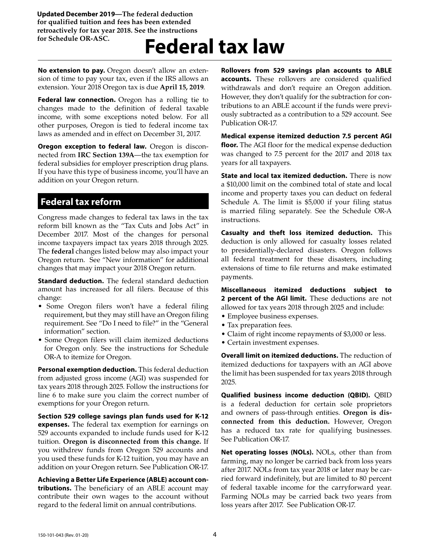**Updated December 2019—The federal deduction for qualified tuition and fees has been extended retroactively for tax year 2018. See the instructions for Schedule OR-ASC.**

# **Federal tax law**

**No extension to pay.** Oregon doesn't allow an extension of time to pay your tax, even if the IRS allows an extension. Your 2018 Oregon tax is due **April 15, 2019**.

**Federal law connection.** Oregon has a rolling tie to changes made to the definition of federal taxable income, with some exceptions noted below. For all other purposes, Oregon is tied to federal income tax laws as amended and in effect on December 31, 2017.

**Oregon exception to federal law.** Oregon is disconnected from **IRC Section 139A**—the tax exemption for federal subsidies for employer prescription drug plans. If you have this type of business income, you'll have an addition on your Oregon return.

## **Federal tax reform**

Congress made changes to federal tax laws in the tax reform bill known as the "Tax Cuts and Jobs Act" in December 2017. Most of the changes for personal income taxpayers impact tax years 2018 through 2025. The **federal** changes listed below may also impact your Oregon return. See "New information" for additional changes that may impact your 2018 Oregon return.

**Standard deduction.** The federal standard deduction amount has increased for all filers. Because of this change:

- Some Oregon filers won't have a federal filing requirement, but they may still have an Oregon filing requirement. See "Do I need to file?" in the "General information" section.
- Some Oregon filers will claim itemized deductions for Oregon only. See the instructions for Schedule OR-A to itemize for Oregon.

**Personal exemption deduction.** This federal deduction from adjusted gross income (AGI) was suspended for tax years 2018 through 2025. Follow the instructions for line 6 to make sure you claim the correct number of exemptions for your Oregon return.

**Section 529 college savings plan funds used for K-12 expenses.** The federal tax exemption for earnings on 529 accounts expanded to include funds used for K-12 tuition. **Oregon is disconnected from this change.** If you withdrew funds from Oregon 529 accounts and you used these funds for K-12 tuition, you may have an addition on your Oregon return. See Publication OR-17.

**Achieving a Better Life Experience (ABLE) account contributions.** The beneficiary of an ABLE account may contribute their own wages to the account without regard to the federal limit on annual contributions.

**Rollovers from 529 savings plan accounts to ABLE accounts.** These rollovers are considered qualified withdrawals and don't require an Oregon addition. However, they don't qualify for the subtraction for contributions to an ABLE account if the funds were previously subtracted as a contribution to a 529 account. See Publication OR-17.

**Medical expense itemized deduction 7.5 percent AGI floor.** The AGI floor for the medical expense deduction was changed to 7.5 percent for the 2017 and 2018 tax years for all taxpayers.

**State and local tax itemized deduction.** There is now a \$10,000 limit on the combined total of state and local income and property taxes you can deduct on federal Schedule A. The limit is \$5,000 if your filing status is married filing separately. See the Schedule OR-A instructions.

**Casualty and theft loss itemized deduction.** This deduction is only allowed for casualty losses related to presidentially-declared disasters. Oregon follows all federal treatment for these disasters, including extensions of time to file returns and make estimated payments.

**Miscellaneous itemized deductions subject to 2 percent of the AGI limit.** These deductions are not allowed for tax years 2018 through 2025 and include:

- Employee business expenses.
- Tax preparation fees.
- Claim of right income repayments of \$3,000 or less.
- Certain investment expenses.

**Overall limit on itemized deductions.** The reduction of itemized deductions for taxpayers with an AGI above the limit has been suspended for tax years 2018 through 2025.

**Qualified business income deduction (QBID).** QBID is a federal deduction for certain sole proprietors and owners of pass-through entities. **Oregon is disconnected from this deduction.** However, Oregon has a reduced tax rate for qualifying businesses. See Publication OR-17.

**Net operating losses (NOLs).** NOLs, other than from farming, may no longer be carried back from loss years after 2017. NOLs from tax year 2018 or later may be carried forward indefinitely, but are limited to 80 percent of federal taxable income for the carryforward year. Farming NOLs may be carried back two years from loss years after 2017. See Publication OR-17.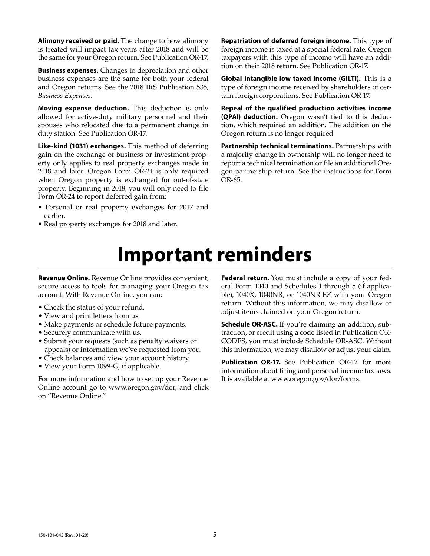**Alimony received or paid.** The change to how alimony is treated will impact tax years after 2018 and will be the same for your Oregon return. See Publication OR-17.

**Business expenses.** Changes to depreciation and other business expenses are the same for both your federal and Oregon returns. See the 2018 IRS Publication 535, *Business Expenses.*

**Moving expense deduction.** This deduction is only allowed for active-duty military personnel and their spouses who relocated due to a permanent change in duty station. See Publication OR-17.

**Like-kind (1031) exchanges.** This method of deferring gain on the exchange of business or investment property only applies to real property exchanges made in 2018 and later. Oregon Form OR-24 is only required when Oregon property is exchanged for out-of-state property. Beginning in 2018, you will only need to file Form OR-24 to report deferred gain from:

- Personal or real property exchanges for 2017 and earlier.
- Real property exchanges for 2018 and later.

**Repatriation of deferred foreign income.** This type of foreign income is taxed at a special federal rate. Oregon taxpayers with this type of income will have an addition on their 2018 return. See Publication OR-17.

**Global intangible low-taxed income (GILTI).** This is a type of foreign income received by shareholders of certain foreign corporations. See Publication OR-17.

**Repeal of the qualified production activities income (QPAI) deduction.** Oregon wasn't tied to this deduction, which required an addition. The addition on the Oregon return is no longer required.

**Partnership technical terminations.** Partnerships with a majority change in ownership will no longer need to report a technical termination or file an additional Oregon partnership return. See the instructions for Form OR-65.

# **Important reminders**

**Revenue Online.** Revenue Online provides convenient, secure access to tools for managing your Oregon tax account. With Revenue Online, you can:

- Check the status of your refund.
- View and print letters from us.
- Make payments or schedule future payments.
- Securely communicate with us.
- Submit your requests (such as penalty waivers or appeals) or information we've requested from you.
- Check balances and view your account history.
- View your Form 1099-G, if applicable.

For more information and how to set up your Revenue Online account go to www.oregon.gov/dor, and click on "Revenue Online."

**Federal return.** You must include a copy of your federal Form 1040 and Schedules 1 through 5 (if applicable), 1040X, 1040NR, or 1040NR-EZ with your Oregon return. Without this information, we may disallow or adjust items claimed on your Oregon return.

**Schedule OR-ASC.** If you're claiming an addition, subtraction, or credit using a code listed in Publication OR-CODES, you must include Schedule OR-ASC. Without this information, we may disallow or adjust your claim.

Publication OR-17. See Publication OR-17 for more information about filing and personal income tax laws. It is available at www.oregon.gov/dor/forms.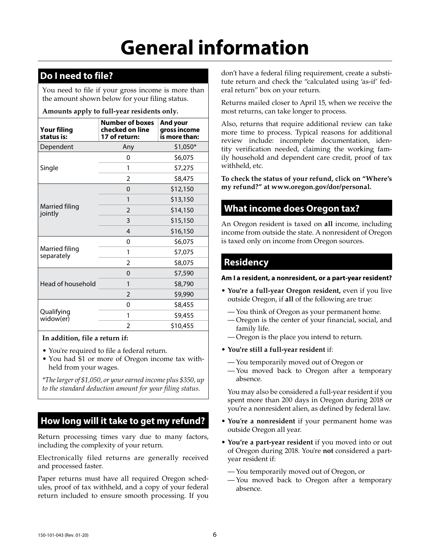# **General information**

# **Do I need to file?**

You need to file if your gross income is more than the amount shown below for your filing status.

#### **Amounts apply to full-year residents only.**

| <b>Your filing</b><br>status is: | <b>Number of boxes</b><br>checked on line<br>17 of return: | And your<br>gross income<br>is more than: |  |  |  |
|----------------------------------|------------------------------------------------------------|-------------------------------------------|--|--|--|
| Dependent                        | Any                                                        | $$1,050*$                                 |  |  |  |
|                                  | 0                                                          | \$6,075                                   |  |  |  |
| Single                           | 1                                                          | \$7,275                                   |  |  |  |
|                                  | $\overline{2}$                                             | \$8,475                                   |  |  |  |
|                                  | 0                                                          | \$12,150                                  |  |  |  |
|                                  | 1                                                          | \$13,150                                  |  |  |  |
| Married filing<br>jointly        | $\overline{2}$                                             | \$14,150                                  |  |  |  |
|                                  | 3                                                          | \$15,150                                  |  |  |  |
|                                  | $\overline{4}$                                             | \$16,150                                  |  |  |  |
|                                  | 0                                                          | \$6,075                                   |  |  |  |
| Married filing<br>separately     | 1                                                          | \$7,075                                   |  |  |  |
|                                  | $\overline{2}$                                             | \$8,075                                   |  |  |  |
|                                  | 0                                                          | \$7,590                                   |  |  |  |
| Head of household                | 1                                                          | \$8,790                                   |  |  |  |
|                                  | $\overline{2}$                                             | \$9,990                                   |  |  |  |
|                                  | 0                                                          | \$8,455                                   |  |  |  |
| Qualifying<br>widow(er)          | 1                                                          | \$9,455                                   |  |  |  |
|                                  | $\mathfrak z$                                              | \$10,455                                  |  |  |  |

**In addition, file a return if:**

• You're required to file a federal return.

• You had \$1 or more of Oregon income tax withheld from your wages.

*\*The larger of \$1,050, or your earned income plus \$350, up to the standard deduction amount for your filing status.* 

# **How long will it take to get my refund?**

Return processing times vary due to many factors, including the complexity of your return.

Electronically filed returns are generally received and processed faster.

Paper returns must have all required Oregon schedules, proof of tax withheld, and a copy of your federal return included to ensure smooth processing. If you

don't have a federal filing requirement, create a substitute return and check the "calculated using 'as-if' federal return" box on your return.

Returns mailed closer to April 15, when we receive the most returns, can take longer to process.

Also, returns that require additional review can take more time to process. Typical reasons for additional review include: incomplete documentation, identity verification needed, claiming the working family household and dependent care credit, proof of tax withheld, etc.

**To check the status of your refund, click on "Where's my refund?" at www.oregon.gov/dor/personal.**

# **What income does Oregon tax?**

An Oregon resident is taxed on **all** income, including income from outside the state. A nonresident of Oregon is taxed only on income from Oregon sources.

# **Residency**

**Am I a resident, a nonresident, or a part-year resident?**

- **You're a full-year Oregon resident,** even if you live outside Oregon, if **all** of the following are true:
	- You think of Oregon as your permanent home.
	- Oregon is the center of your financial, social, and family life.
	- Oregon is the place you intend to return.
- **You're still a full-year resident** if:
	- You temporarily moved out of Oregon or
	- You moved back to Oregon after a temporary absence.

You may also be considered a full-year resident if you spent more than 200 days in Oregon during 2018 or you're a nonresident alien, as defined by federal law.

- **You**'**re a nonresident** if your permanent home was outside Oregon all year.
- **You're a part-year resident** if you moved into or out of Oregon during 2018. You're **not** considered a partyear resident if:
	- You temporarily moved out of Oregon, or
	- You moved back to Oregon after a temporary absence.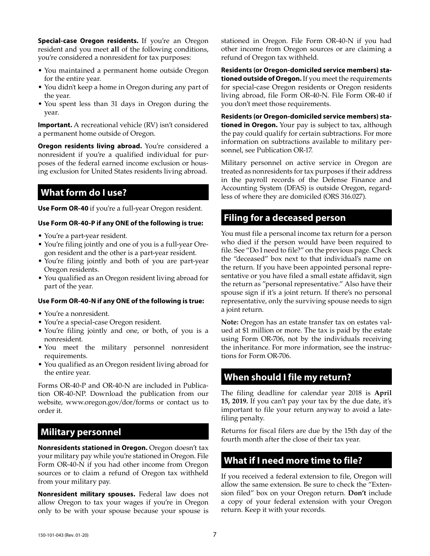**Special-case Oregon residents.** If you're an Oregon resident and you meet **all** of the following conditions, you're considered a nonresident for tax purposes:

- You maintained a permanent home outside Oregon for the entire year.
- You didn't keep a home in Oregon during any part of the year.
- You spent less than 31 days in Oregon during the year.

**Important.** A recreational vehicle (RV) isn't considered a permanent home outside of Oregon.

**Oregon residents living abroad.** You're considered a nonresident if you're a qualified individual for purposes of the federal earned income exclusion or housing exclusion for United States residents living abroad.

# **What form do I use?**

**Use Form OR-40** if you're a full-year Oregon resident.

#### **Use Form OR-40-P if any ONE of the following is true:**

- You're a part-year resident.
- You're filing jointly and one of you is a full-year Oregon resident and the other is a part-year resident.
- You're filing jointly and both of you are part-year Oregon residents.
- You qualified as an Oregon resident living abroad for part of the year.

#### **Use Form OR-40-N if any ONE of the following is true:**

- You're a nonresident.
- You're a special-case Oregon resident.
- You're filing jointly and one, or both, of you is a nonresident.
- You meet the military personnel nonresident requirements.
- You qualified as an Oregon resident living abroad for the entire year.

Forms OR-40-P and OR-40-N are included in Publication OR-40-NP. Download the publication from our website, www.oregon.gov/dor/forms or contact us to order it.

## **Military personnel**

**Nonresidents stationed in Oregon.** Oregon doesn't tax your military pay while you're stationed in Oregon. File Form OR-40-N if you had other income from Oregon sources or to claim a refund of Oregon tax withheld from your military pay.

**Nonresident military spouses.** Federal law does not allow Oregon to tax your wages if you're in Oregon only to be with your spouse because your spouse is stationed in Oregon. File Form OR-40-N if you had other income from Oregon sources or are claiming a refund of Oregon tax withheld.

**Residents (or Oregon-domiciled service members) stationed outside of Oregon.** If you meet the requirements for special-case Oregon residents or Oregon residents living abroad, file Form OR-40-N. File Form OR-40 if you don't meet those requirements.

**Residents (or Oregon-domiciled service members) stationed in Oregon.** Your pay is subject to tax, although the pay could qualify for certain subtractions. For more information on subtractions available to military personnel, see Publication OR-17.

Military personnel on active service in Oregon are treated as nonresidents for tax purposes if their address in the payroll records of the Defense Finance and Accounting System (DFAS) is outside Oregon, regardless of where they are domiciled (ORS 316.027).

## **Filing for a deceased person**

You must file a personal income tax return for a person who died if the person would have been required to file. See "Do I need to file?" on the previous page. Check the "deceased" box next to that individual's name on the return. If you have been appointed personal representative or you have filed a small estate affidavit, sign the return as "personal representative." Also have their spouse sign if it's a joint return. If there's no personal representative, only the surviving spouse needs to sign a joint return.

**Note:** Oregon has an estate transfer tax on estates valued at \$1 million or more. The tax is paid by the estate using Form OR-706, not by the individuals receiving the inheritance. For more information, see the instructions for Form OR-706.

## **When should I file my return?**

The filing deadline for calendar year 2018 is **April 15, 2019.** If you can't pay your tax by the due date, it's important to file your return anyway to avoid a latefiling penalty.

Returns for fiscal filers are due by the 15th day of the fourth month after the close of their tax year.

## **What if I need more time to file?**

If you received a federal extension to file, Oregon will allow the same extension. Be sure to check the "Extension filed" box on your Oregon return. **Don't** include a copy of your federal extension with your Oregon return. Keep it with your records.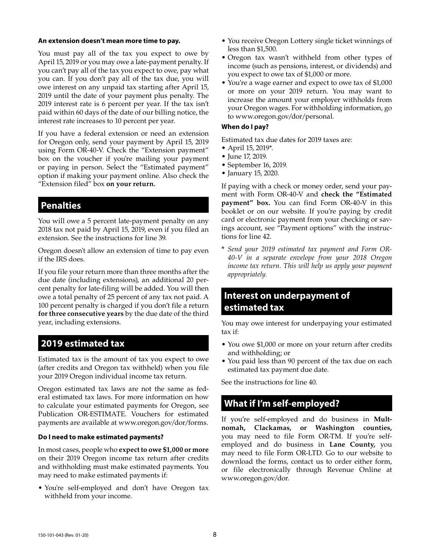#### **An extension doesn't mean more time to pay.**

You must pay all of the tax you expect to owe by April 15, 2019 or you may owe a late-payment penalty. If you can't pay all of the tax you expect to owe, pay what you can. If you don't pay all of the tax due, you will owe interest on any unpaid tax starting after April 15, 2019 until the date of your payment plus penalty. The 2019 interest rate is 6 percent per year. If the tax isn't paid within 60 days of the date of our billing notice, the interest rate increases to 10 percent per year.

If you have a federal extension or need an extension for Oregon only, send your payment by April 15, 2019 using Form OR-40-V. Check the "Extension payment" box on the voucher if you're mailing your payment or paying in person. Select the "Estimated payment" option if making your payment online. Also check the "Extension filed" box **on your return.**

# **Penalties**

You will owe a 5 percent late-payment penalty on any 2018 tax not paid by April 15, 2019, even if you filed an extension. See the instructions for line 39.

Oregon doesn't allow an extension of time to pay even if the IRS does.

If you file your return more than three months after the due date (including extensions), an additional 20 percent penalty for late-filing will be added. You will then owe a total penalty of 25 percent of any tax not paid. A 100 percent penalty is charged if you don't file a return **for three consecutive years** by the due date of the third year, including extensions.

# **2019 estimated tax**

Estimated tax is the amount of tax you expect to owe (after credits and Oregon tax withheld) when you file your 2019 Oregon individual income tax return.

Oregon estimated tax laws are not the same as federal estimated tax laws. For more information on how to calculate your estimated payments for Oregon, see Publication OR-ESTIMATE. Vouchers for estimated payments are available at www.oregon.gov/dor/forms.

#### **Do I need to make estimated payments?**

In most cases, people who **expect to owe \$1,000 or more** on their 2019 Oregon income tax return after credits and withholding must make estimated payments. You may need to make estimated payments if:

• You're self-employed and don't have Oregon tax withheld from your income.

- You receive Oregon Lottery single ticket winnings of less than \$1,500.
- Oregon tax wasn't withheld from other types of income (such as pensions, interest, or dividends) and you expect to owe tax of \$1,000 or more.
- You're a wage earner and expect to owe tax of \$1,000 or more on your 2019 return. You may want to increase the amount your employer withholds from your Oregon wages. For withholding information, go to www.oregon.gov/dor/personal.

#### **When do I pay?**

Estimated tax due dates for 2019 taxes are:

- April 15, 2019\*.
- June 17, 2019.
- September 16, 2019.
- January 15, 2020.

If paying with a check or money order, send your payment with Form OR-40-V and **check the "Estimated payment" box.** You can find Form OR-40-V in this booklet or on our website. If you're paying by credit card or electronic payment from your checking or savings account, see "Payment options" with the instructions for line 42.

**\*** *Send your 2019 estimated tax payment and Form OR-40-V in a separate envelope from your 2018 Oregon income tax return. This will help us apply your payment appropriately.*

# **Interest on underpayment of estimated tax**

You may owe interest for underpaying your estimated tax if:

- You owe \$1,000 or more on your return after credits and withholding; or
- You paid less than 90 percent of the tax due on each estimated tax payment due date.

See the instructions for line 40.

# **What if I'm self-employed?**

If you're self-employed and do business in **Multnomah, Clackamas, or Washington counties,**  you may need to file Form OR-TM. If you're selfemployed and do business in **Lane County,** you may need to file Form OR-LTD. Go to our website to download the forms, contact us to order either form, or file electronically through Revenue Online at www.oregon.gov/dor.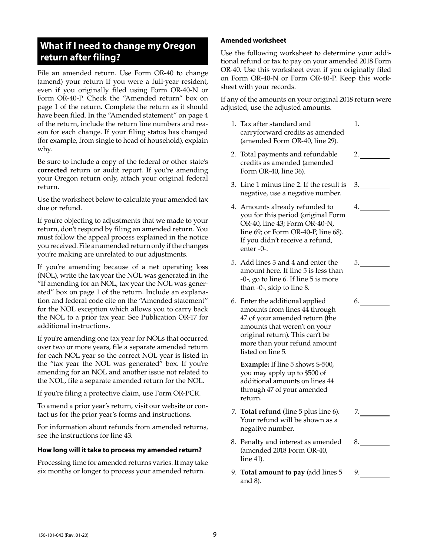# **What if I need to change my Oregon return after filing?**

File an amended return. Use Form OR-40 to change (amend) your return if you were a full-year resident, even if you originally filed using Form OR-40-N or Form OR-40-P. Check the "Amended return" box on page 1 of the return. Complete the return as it should have been filed. In the "Amended statement" on page 4 of the return, include the return line numbers and reason for each change. If your filing status has changed (for example, from single to head of household), explain why.

Be sure to include a copy of the federal or other state's **corrected** return or audit report. If you're amending your Oregon return only, attach your original federal return.

Use the worksheet below to calculate your amended tax due or refund.

If you're objecting to adjustments that we made to your return, don't respond by filing an amended return. You must follow the appeal process explained in the notice you received. File an amended return only if the changes you're making are unrelated to our adjustments.

If you're amending because of a net operating loss (NOL), write the tax year the NOL was generated in the "If amending for an NOL, tax year the NOL was generated" box on page 1 of the return. Include an explanation and federal code cite on the "Amended statement" for the NOL exception which allows you to carry back the NOL to a prior tax year. See Publication OR-17 for additional instructions.

If you're amending one tax year for NOLs that occurred over two or more years, file a separate amended return for each NOL year so the correct NOL year is listed in the "tax year the NOL was generated" box. If you're amending for an NOL and another issue not related to the NOL, file a separate amended return for the NOL.

If you're filing a protective claim, use Form OR-PCR.

To amend a prior year's return, visit our website or contact us for the prior year's forms and instructions.

For information about refunds from amended returns, see the instructions for line 43.

#### **How long will it take to process my amended return?**

Processing time for amended returns varies. It may take six months or longer to process your amended return.

#### **Amended worksheet**

Use the following worksheet to determine your additional refund or tax to pay on your amended 2018 Form OR-40. Use this worksheet even if you originally filed on Form OR-40-N or Form OR-40-P. Keep this worksheet with your records.

If any of the amounts on your original 2018 return were adjusted, use the adjusted amounts.

1. Tax after standard and carryforward credits as amended (amended Form OR-40, line 29). 1. 2.

3.

5.

6.

7.

8.

9.

4.

- 2. Total payments and refundable credits as amended (amended Form OR-40, line 36).
- 3. Line 1 minus line 2. If the result is negative, use a negative number.
- 4. Amounts already refunded to you for this period (original Form OR-40, line 43; Form OR-40-N, line 69; or Form OR-40-P, line 68). If you didn't receive a refund, enter -0-.
- 5. Add lines 3 and 4 and enter the amount here. If line 5 is less than -0-, go to line 6. If line 5 is more than -0-, skip to line 8.
- 6. Enter the additional applied amounts from lines 44 through 47 of your amended return (the amounts that weren't on your original return). This can't be more than your refund amount listed on line 5.

**Example:** If line 5 shows \$-500, you may apply up to \$500 of additional amounts on lines 44 through 47 of your amended return.

- 7. **Total refund** (line 5 plus line 6). Your refund will be shown as a negative number.
- 8. Penalty and interest as amended (amended 2018 Form OR-40, line 41).
- 9. **Total amount to pay** (add lines 5 and 8).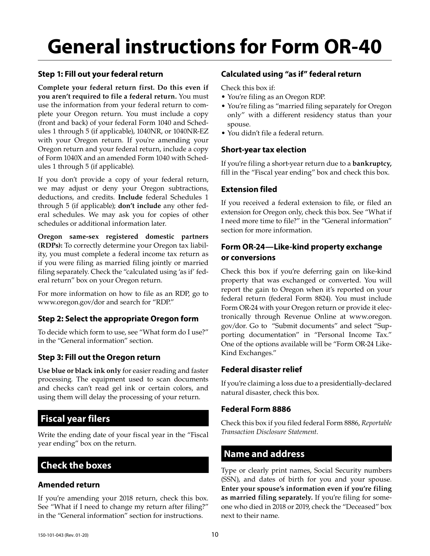# **General instructions for Form OR-40**

## **Step 1: Fill out your federal return**

**Complete your federal return first. Do this even if you aren't required to file a federal return.** You must use the information from your federal return to complete your Oregon return. You must include a copy (front and back) of your federal Form 1040 and Schedules 1 through 5 (if applicable), 1040NR, or 1040NR-EZ with your Oregon return. If you're amending your Oregon return and your federal return, include a copy of Form 1040X and an amended Form 1040 with Schedules 1 through 5 (if applicable).

If you don't provide a copy of your federal return, we may adjust or deny your Oregon subtractions, deductions, and credits. **Include** federal Schedules 1 through 5 (if applicable); **don't include** any other federal schedules. We may ask you for copies of other schedules or additional information later.

**Oregon same-sex registered domestic partners (RDPs):** To correctly determine your Oregon tax liability, you must complete a federal income tax return as if you were filing as married filing jointly or married filing separately. Check the "calculated using 'as if' federal return" box on your Oregon return.

For more information on how to file as an RDP, go to www.oregon.gov/dor and search for "RDP."

## **Step 2: Select the appropriate Oregon form**

To decide which form to use, see "What form do I use?" in the "General information" section.

## **Step 3: Fill out the Oregon return**

**Use blue or black ink only** for easier reading and faster processing. The equipment used to scan documents and checks can't read gel ink or certain colors, and using them will delay the processing of your return.

# **Fiscal year filers**

Write the ending date of your fiscal year in the "Fiscal year ending" box on the return.

# **Check the boxes**

## **Amended return**

If you're amending your 2018 return, check this box. See "What if I need to change my return after filing?" in the "General information" section for instructions.

## **Calculated using "as if" federal return**

Check this box if:

- You're filing as an Oregon RDP.
- You're filing as "married filing separately for Oregon only" with a different residency status than your spouse.
- You didn't file a federal return.

## **Short-year tax election**

If you're filing a short-year return due to a **bankruptcy,** fill in the "Fiscal year ending" box and check this box.

## **Extension filed**

If you received a federal extension to file, or filed an extension for Oregon only, check this box. See "What if I need more time to file?" in the "General information" section for more information.

## **Form OR-24—Like-kind property exchange or conversions**

Check this box if you're deferring gain on like-kind property that was exchanged or converted. You will report the gain to Oregon when it's reported on your federal return (federal Form 8824). You must include Form OR-24 with your Oregon return or provide it electronically through Revenue Online at www.oregon. gov/dor. Go to "Submit documents" and select "Supporting documentation" in "Personal Income Tax." One of the options available will be "Form OR-24 Like-Kind Exchanges."

## **Federal disaster relief**

If you're claiming a loss due to a presidentially-declared natural disaster, check this box.

## **Federal Form 8886**

Check this box if you filed federal Form 8886, *Reportable Transaction Disclosure Statement*.

# **Name and address**

Type or clearly print names, Social Security numbers (SSN), and dates of birth for you and your spouse. **Enter your spouse's information even if you're filing as married filing separately.** If you're filing for someone who died in 2018 or 2019, check the "Deceased" box next to their name.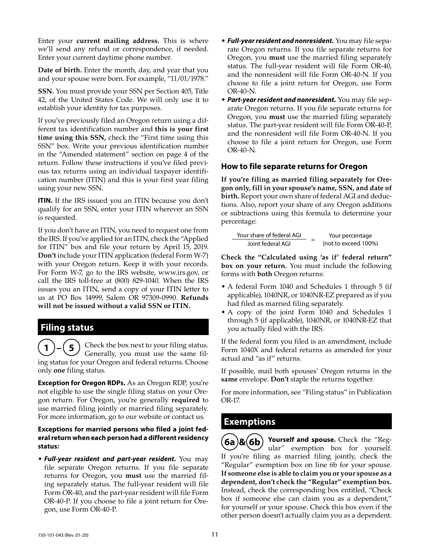Enter your **current mailing address.** This is where we'll send any refund or correspondence, if needed. Enter your current daytime phone number.

**Date of birth.** Enter the month, day, and year that you and your spouse were born. For example, "11/01/1978."

**SSN.** You must provide your SSN per Section 405, Title 42, of the United States Code. We will only use it to establish your identity for tax purposes.

If you've previously filed an Oregon return using a different tax identification number and **this is your first time using this SSN,** check the "First time using this SSN" box. Write your previous identification number in the "Amended statement" section on page 4 of the return. Follow these instructions if you've filed previous tax returns using an individual taxpayer identification number (ITIN) and this is your first year filing using your new SSN.

**ITIN.** If the IRS issued you an ITIN because you don't qualify for an SSN, enter your ITIN wherever an SSN is requested.

If you don't have an ITIN, you need to request one from the IRS. If you've applied for an ITIN, check the "Applied for ITIN" box and file your return by April 15, 2019. **Don't** include your ITIN application (federal Form W-7) with your Oregon return. Keep it with your records. For Form W-7, go to the IRS website, www.irs.gov, or call the IRS toll-free at (800) 829-1040. When the IRS issues you an ITIN, send a copy of your ITIN letter to us at PO Box 14999, Salem OR 97309-0990. **Refunds will not be issued without a valid SSN or ITIN.**

# **Filing status**

**1** Check the box next to your filing status. Generally, you must use the same filing status for your Oregon and federal returns. Choose only **one** filing status.

**Exception for Oregon RDPs.** As an Oregon RDP, you're not eligible to use the single filing status on your Oregon return. For Oregon, you're generally **required** to use married filing jointly or married filing separately. For more information, go to our website or contact us.

#### **Exceptions for married persons who filed a joint federal return when each person had a different residency status:**

• *Full-year resident and part-year resident.* You may file separate Oregon returns. If you file separate returns for Oregon, you **must** use the married filing separately status. The full-year resident will file Form OR-40, and the part-year resident will file Form OR-40-P. If you choose to file a joint return for Oregon, use Form OR-40-P.

- *Full-year resident and nonresident.* You may file separate Oregon returns. If you file separate returns for Oregon, you **must** use the married filing separately status. The full-year resident will file Form OR-40, and the nonresident will file Form OR-40-N. If you choose to file a joint return for Oregon, use Form OR-40-N.
- *Part-year resident and nonresident.* You may file separate Oregon returns. If you file separate returns for Oregon, you **must** use the married filing separately status. The part-year resident will file Form OR-40-P, and the nonresident will file Form OR-40-N. If you choose to file a joint return for Oregon, use Form OR-40-N.

## **How to file separate returns for Oregon**

**If you're filing as married filing separately for Oregon only, fill in your spouse's name, SSN, and date of birth.** Report your own share of federal AGI and deductions. Also, report your share of any Oregon additions or subtractions using this formula to determine your percentage:

Your share of federal AGI <sup>=</sup> Your percentage Joint federal AGI (not to exceed 100%)

**Check the "Calculated using 'as if' federal return" box on your return.** You must include the following forms with **both** Oregon returns:

- A federal Form 1040 and Schedules 1 through 5 (if applicable), 1040NR, or 1040NR-EZ prepared as if you had filed as married filing separately.
- A copy of the joint Form 1040 and Schedules 1 through 5 (if applicable), 1040NR, or 1040NR-EZ that you actually filed with the IRS.

If the federal form you filed is an amendment, include Form 1040X and federal returns as amended for your actual and "as if" returns.

If possible, mail both spouses' Oregon returns in the **same** envelope. **Don't** staple the returns together.

For more information, see "Filing status" in Publication OR-17.

# **Exemptions**

 $\mathbf{F}(\mathbf{6a})\mathbf{g}(\mathbf{6b})$  Yourself and spouse. Check the "Regular" exemption box for yourself. If you're filing as married filing jointly, check the "Regular" exemption box on line 6b for your spouse. **If someone else is able to claim you or your spouse as a dependent, don't check the "Regular" exemption box.**  Instead, check the corresponding box entitled, "Check box if someone else can claim you as a dependent," for yourself or your spouse. Check this box even if the other person doesn't actually claim you as a dependent.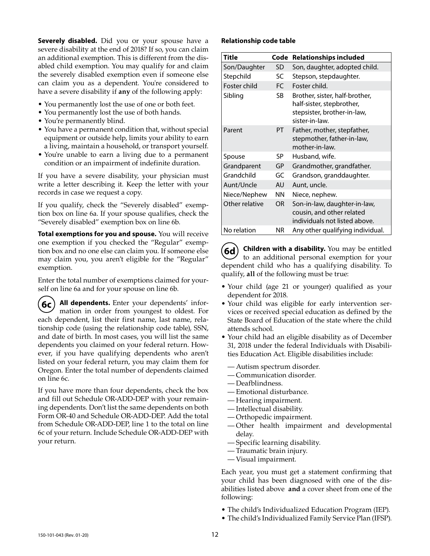**Severely disabled.** Did you or your spouse have a severe disability at the end of 2018? If so, you can claim an additional exemption. This is different from the disabled child exemption. You may qualify for and claim the severely disabled exemption even if someone else can claim you as a dependent. You're considered to have a severe disability if **any** of the following apply:

- You permanently lost the use of one or both feet.
- You permanently lost the use of both hands.
- You're permanently blind.
- You have a permanent condition that, without special equipment or outside help, limits your ability to earn a living, maintain a household, or transport yourself.
- You're unable to earn a living due to a permanent condition or an impairment of indefinite duration.

If you have a severe disability, your physician must write a letter describing it. Keep the letter with your records in case we request a copy.

If you qualify, check the "Severely disabled" exemption box on line 6a. If your spouse qualifies, check the "Severely disabled" exemption box on line 6b.

**Total exemptions for you and spouse.** You will receive one exemption if you checked the "Regular" exemption box and no one else can claim you. If someone else may claim you, you aren't eligible for the "Regular" exemption.

Enter the total number of exemptions claimed for yourself on line 6a and for your spouse on line 6b.

**6c All dependents.** Enter your dependents' information in order from youngest to oldest. For each dependent, list their first name, last name, relationship code (using the relationship code table), SSN, and date of birth. In most cases, you will list the same dependents you claimed on your federal return. However, if you have qualifying dependents who aren't listed on your federal return, you may claim them for Oregon. Enter the total number of dependents claimed on line 6c.

If you have more than four dependents, check the box and fill out Schedule OR-ADD-DEP with your remaining dependents. Don't list the same dependents on both Form OR-40 and Schedule OR-ADD-DEP. Add the total from Schedule OR-ADD-DEP, line 1 to the total on line 6c of your return. Include Schedule OR-ADD-DEP with your return.

#### **Relationship code table**

| <b>Title</b>   | Code      | <b>Relationships included</b>                                                                                |
|----------------|-----------|--------------------------------------------------------------------------------------------------------------|
| Son/Daughter   | SD        | Son, daughter, adopted child.                                                                                |
| Stepchild      | SC        | Stepson, stepdaughter.                                                                                       |
| Foster child   | FC.       | Foster child.                                                                                                |
| Sibling        | SB        | Brother, sister, half-brother,<br>half-sister, stepbrother,<br>stepsister, brother-in-law,<br>sister-in-law. |
| Parent         | PT        | Father, mother, stepfather,<br>stepmother, father-in-law,<br>mother-in-law.                                  |
| Spouse         | SP        | Husband, wife.                                                                                               |
| Grandparent    | <b>GP</b> | Grandmother, grandfather.                                                                                    |
| Grandchild     | GC        | Grandson, granddaughter.                                                                                     |
| Aunt/Uncle     | AU        | Aunt, uncle.                                                                                                 |
| Niece/Nephew   | ΝN        | Niece, nephew.                                                                                               |
| Other relative | <b>OR</b> | Son-in-law, daughter-in-law,<br>cousin, and other related<br>individuals not listed above.                   |
| No relation    | ΝR        | Any other qualifying individual.                                                                             |

**6d** Children with a disability. You may be entitled to an additional personal exemption for your dependent child who has a qualifying disability. To qualify, **all** of the following must be true:

- Your child (age 21 or younger) qualified as your dependent for 2018.
- Your child was eligible for early intervention services or received special education as defined by the State Board of Education of the state where the child attends school.
- Your child had an eligible disability as of December 31, 2018 under the federal Individuals with Disabilities Education Act. Eligible disabilities include:
	- Autism spectrum disorder.
	- Communication disorder.
	- Deafblindness.
	- Emotional disturbance.
	- Hearing impairment.
	- Intellectual disability.
	- Orthopedic impairment.
	- Other health impairment and developmental delay.
	- Specific learning disability.
	- Traumatic brain injury.
	- Visual impairment.

Each year, you must get a statement confirming that your child has been diagnosed with one of the disabilities listed above **and** a cover sheet from one of the following:

- The child's Individualized Education Program (IEP).
- The child's Individualized Family Service Plan (IFSP).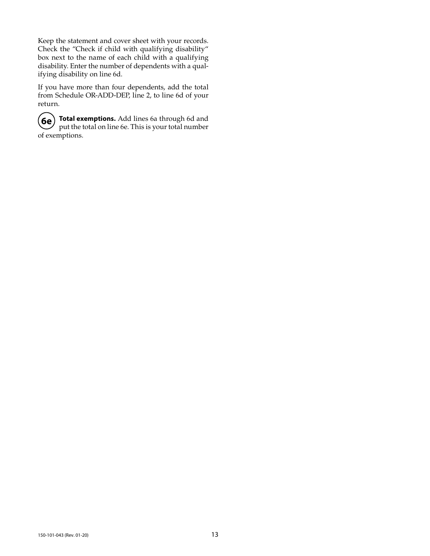Keep the statement and cover sheet with your records. Check the "Check if child with qualifying disability" box next to the name of each child with a qualifying disability. Enter the number of dependents with a qualifying disability on line 6d.

If you have more than four dependents, add the total from Schedule OR-ADD-DEP, line 2, to line 6d of your return.

**6e Total exemptions.** Add lines 6a through 6d and put the total on line 6e. This is your total number of exemptions.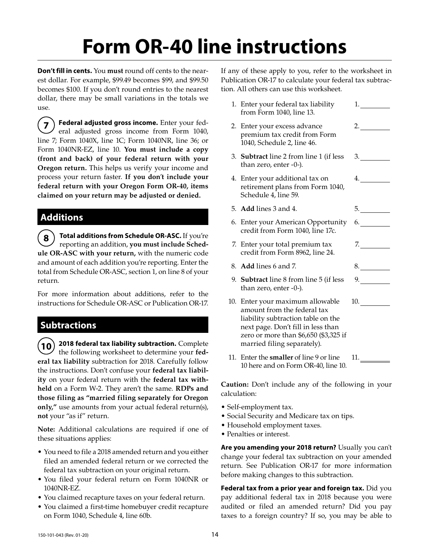# **Form OR-40 line instructions**

**Don't fill in cents.** You **must** round off cents to the nearest dollar. For example, \$99.49 becomes \$99, and \$99.50 becomes \$100. If you don't round entries to the nearest dollar, there may be small variations in the totals we use.

**7 Federal adjusted gross income.** Enter your federal adjusted gross income from Form 1040, line 7; Form 1040X, line 1C; Form 1040NR, line 36; or Form 1040NR-EZ, line 10. **You must include a copy (front and back) of your federal return with your Oregon return.** This helps us verify your income and process your return faster. **If you don**'**t include your federal return with your Oregon Form OR-40, items claimed on your return may be adjusted or denied.**

# **Additions**

**8 Total additions from Schedule OR-ASC.** If you're reporting an addition, **you must include Schedule OR-ASC with your return,** with the numeric code and amount of each addition you're reporting. Enter the total from Schedule OR-ASC, section 1, on line 8 of your return.

For more information about additions, refer to the instructions for Schedule OR-ASC or Publication OR-17.

# **Subtractions**

**10 2018 federal tax liability subtraction.** Complete the following worksheet to determine your **federal tax liability** subtraction for 2018. Carefully follow the instructions. Don't confuse your **federal tax liability** on your federal return with the **federal tax withheld** on a Form W-2. They aren't the same. **RDPs and those filing as "married filing separately for Oregon only,"** use amounts from your actual federal return(s), **not** your "as if" return.

**Note:** Additional calculations are required if one of these situations applies:

- You need to file a 2018 amended return and you either filed an amended federal return or we corrected the federal tax subtraction on your original return.
- You filed your federal return on Form 1040NR or 1040NR-EZ.
- You claimed recapture taxes on your federal return.
- You claimed a first-time homebuyer credit recapture on Form 1040, Schedule 4, line 60b.

If any of these apply to you, refer to the worksheet in Publication OR-17 to calculate your federal tax subtraction. All others can use this worksheet.

| 1. Enter your federal tax liability<br>from Form 1040, line 13.                                                                                                                                                     | 1. $\qquad$                                                                                                                                                                                                                         |
|---------------------------------------------------------------------------------------------------------------------------------------------------------------------------------------------------------------------|-------------------------------------------------------------------------------------------------------------------------------------------------------------------------------------------------------------------------------------|
| 2. Enter your excess advance<br>premium tax credit from Form<br>1040, Schedule 2, line 46.                                                                                                                          |                                                                                                                                                                                                                                     |
| 3. Subtract line 2 from line 1 (if less<br>than zero, enter -0-).                                                                                                                                                   | 3.                                                                                                                                                                                                                                  |
| 4. Enter your additional tax on<br>retirement plans from Form 1040,<br>Schedule 4, line 59.                                                                                                                         | 4.                                                                                                                                                                                                                                  |
| 5. Add lines 3 and 4.                                                                                                                                                                                               | 5.                                                                                                                                                                                                                                  |
| 6. Enter your American Opportunity<br>credit from Form 1040, line 17c.                                                                                                                                              | 6.                                                                                                                                                                                                                                  |
| 7. Enter your total premium tax<br>credit from Form 8962, line 24.                                                                                                                                                  | 7.                                                                                                                                                                                                                                  |
| 8. Add lines 6 and 7.                                                                                                                                                                                               | 8.                                                                                                                                                                                                                                  |
| 9. <b>Subtract</b> line 8 from line 5 (if less<br>than zero, enter -0-).                                                                                                                                            | 9.                                                                                                                                                                                                                                  |
| 10. Enter your maximum allowable<br>amount from the federal tax<br>liability subtraction table on the<br>next page. Don't fill in less than<br>zero or more than \$6,650 (\$3,325 if<br>married filing separately). | <b>10.</b> The contract of the contract of the contract of the contract of the contract of the contract of the contract of the contract of the contract of the contract of the contract of the contract of the contract of the cont |
| 11. Enter the <b>smaller</b> of line 9 or line<br>10 here and on Form OR-40, line 10.                                                                                                                               | 11.                                                                                                                                                                                                                                 |

**Caution:** Don't include any of the following in your calculation:

- Self-employment tax.
- Social Security and Medicare tax on tips.
- Household employment taxes.
- Penalties or interest.

**Are you amending your 2018 return?** Usually you can't change your federal tax subtraction on your amended return. See Publication OR-17 for more information before making changes to this subtraction.

**Federal tax from a prior year and foreign tax.** Did you pay additional federal tax in 2018 because you were audited or filed an amended return? Did you pay taxes to a foreign country? If so, you may be able to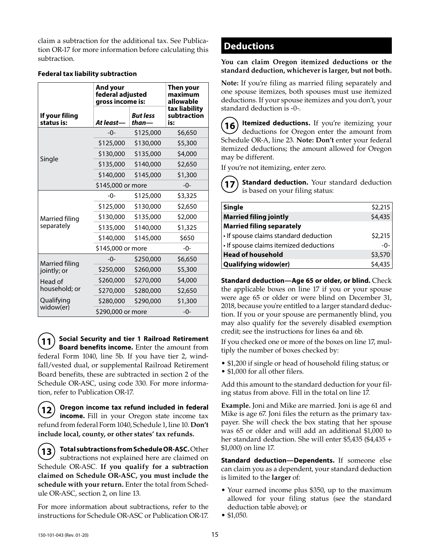claim a subtraction for the additional tax. See Publication OR-17 for more information before calculating this subtraction.

|                              | And your          | federal adjusted<br>gross income is: |                                     |  |  |  |  |  |
|------------------------------|-------------------|--------------------------------------|-------------------------------------|--|--|--|--|--|
| If your filing<br>status is: | At least-         | <b>But less</b><br>than-             | tax liability<br>subtraction<br>is: |  |  |  |  |  |
|                              | $-0-$             | \$125,000                            | \$6,650                             |  |  |  |  |  |
|                              | \$125,000         | \$130,000                            | \$5,300                             |  |  |  |  |  |
|                              | \$130,000         | \$135,000                            | \$4,000                             |  |  |  |  |  |
| Single                       | \$135,000         | \$140,000                            | \$2,650                             |  |  |  |  |  |
|                              | \$140,000         | \$145,000                            | \$1,300                             |  |  |  |  |  |
|                              | \$145,000 or more |                                      | -0-                                 |  |  |  |  |  |
|                              | $-0-$             | \$125,000                            | \$3,325                             |  |  |  |  |  |
|                              | \$125,000         | \$130,000                            | \$2,650                             |  |  |  |  |  |
| Married filing               | \$130,000         | \$135,000                            | \$2,000                             |  |  |  |  |  |
| separately                   | \$135,000         | \$140,000                            | \$1,325                             |  |  |  |  |  |
|                              | \$140,000         | \$145,000                            | \$650                               |  |  |  |  |  |
|                              |                   | \$145,000 or more                    |                                     |  |  |  |  |  |
| <b>Married filing</b>        | $-0-$             | \$250,000                            | \$6,650                             |  |  |  |  |  |
| jointly; or                  | \$250,000         | \$260,000                            | \$5,300                             |  |  |  |  |  |
| Head of                      | \$260,000         | \$270,000                            | \$4,000                             |  |  |  |  |  |
| household; or                | \$270,000         | \$280,000                            | \$2,650                             |  |  |  |  |  |
| Qualifying                   | \$280,000         | \$290,000                            | \$1,300                             |  |  |  |  |  |
| widow(er)                    | \$290,000 or more |                                      | $-0-$                               |  |  |  |  |  |

#### **Federal tax liability subtraction**

**11 Social Security and tier 1 Railroad Retirement Board benefits income.** Enter the amount from federal Form 1040, line 5b. If you have tier 2, windfall/vested dual, or supplemental Railroad Retirement Board benefits, these are subtracted in section 2 of the Schedule OR-ASC, using code 330. For more information, refer to Publication OR-17.

**12 Oregon income tax refund included in federal income.** Fill in your Oregon state income tax refund from federal Form 1040, Schedule 1, line 10. **Don't include local, county, or other states' tax refunds.**

**13 Total subtractions from Schedule OR-ASC.** Other subtractions not explained here are claimed on Schedule OR-ASC. **If you qualify for a subtraction claimed on Schedule OR-ASC, you must include the schedule with your return.** Enter the total from Schedule OR-ASC, section 2, on line 13.

For more information about subtractions, refer to the instructions for Schedule OR-ASC or Publication OR-17.

## **Deductions**

**You can claim Oregon itemized deductions or the standard deduction, whichever is larger, but not both.**

**Note:** If you're filing as married filing separately and one spouse itemizes, both spouses must use itemized deductions. If your spouse itemizes and you don't, your standard deduction is -0-.

**16 Itemized deductions.** If you're itemizing your deductions for Oregon enter the amount from Schedule OR-A, line 23. **Note: Don't** enter your federal itemized deductions; the amount allowed for Oregon may be different.

If you're not itemizing, enter zero.

**17 Standard deduction.** Your standard deduction is based on your filing status:

| <b>Single</b>                          | \$2,215         |
|----------------------------------------|-----------------|
| <b>Married filing jointly</b>          | \$4,435         |
| <b>Married filing separately</b>       |                 |
| • If spouse claims standard deduction  | $$2,215$<br>-0- |
| • If spouse claims itemized deductions |                 |
| <b>Head of household</b>               | \$3,570         |
| <b>Qualifying widow(er)</b>            | \$4,435         |

**Standard deduction—Age 65 or older, or blind.** Check the applicable boxes on line 17 if you or your spouse were age 65 or older or were blind on December 31, 2018, because you're entitled to a larger standard deduction. If you or your spouse are permanently blind, you may also qualify for the severely disabled exemption credit; see the instructions for lines 6a and 6b.

If you checked one or more of the boxes on line 17, multiply the number of boxes checked by:

• \$1,200 if single or head of household filing status; or • \$1,000 for all other filers.

Add this amount to the standard deduction for your filing status from above. Fill in the total on line 17.

**Example.** Joni and Mike are married. Joni is age 61 and Mike is age 67. Joni files the return as the primary taxpayer. She will check the box stating that her spouse was 65 or older and will add an additional \$1,000 to her standard deduction. She will enter \$5,435 (\$4,435 + \$1,000) on line 17.

**Standard deduction—Dependents.** If someone else can claim you as a dependent, your standard deduction is limited to the **larger** of:

- Your earned income plus \$350, up to the maximum allowed for your filing status (see the standard deduction table above); or
- \$1,050.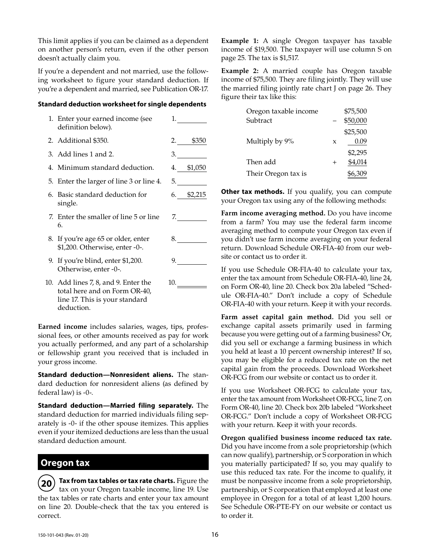This limit applies if you can be claimed as a dependent on another person's return, even if the other person doesn't actually claim you.

If you're a dependent and not married, use the following worksheet to figure your standard deduction. If you're a dependent and married, see Publication OR-17.

#### **Standard deduction worksheet for single dependents**

| 1. Enter your earned income (see<br>definition below).                                                                | 1. $\qquad \qquad$                           |
|-----------------------------------------------------------------------------------------------------------------------|----------------------------------------------|
| 2. Additional \$350.                                                                                                  | $2.$ \$350                                   |
| 3. Add lines 1 and 2.                                                                                                 | 3.                                           |
| 4. Minimum standard deduction.                                                                                        | 4. \$1,050                                   |
| 5. Enter the larger of line 3 or line 4.                                                                              | 5.                                           |
| 6. Basic standard deduction for<br>single.                                                                            | $6.$ \$2,215                                 |
| 7. Enter the smaller of line 5 or line<br>6.                                                                          | 7.                                           |
| 8. If you're age 65 or older, enter<br>\$1,200. Otherwise, enter -0-.                                                 | 8.                                           |
| 9. If you're blind, enter \$1,200.<br>Otherwise, enter -0-.                                                           | 9. $\qquad \qquad \overline{\qquad \qquad }$ |
| 10. Add lines 7, 8, and 9. Enter the<br>total here and on Form OR-40,<br>line 17. This is your standard<br>deduction. | 10.                                          |

**Earned income** includes salaries, wages, tips, professional fees, or other amounts received as pay for work you actually performed, and any part of a scholarship or fellowship grant you received that is included in your gross income.

**Standard deduction—Nonresident aliens.** The standard deduction for nonresident aliens (as defined by federal law) is -0-.

**Standard deduction—Married filing separately.** The standard deduction for married individuals filing separately is -0- if the other spouse itemizes. This applies even if your itemized deductions are less than the usual standard deduction amount.

# **Oregon tax**

**20 Tax from tax tables or tax rate charts.** Figure the tax on your Oregon taxable income, line 19. Use the tax tables or rate charts and enter your tax amount on line 20. Double-check that the tax you entered is correct.

**Example 1:** A single Oregon taxpayer has taxable income of \$19,500. The taxpayer will use column S on page 25. The tax is \$1,517.

**Example 2:** A married couple has Oregon taxable income of \$75,500. They are filing jointly. They will use the married filing jointly rate chart J on page 26. They figure their tax like this:

| Oregon taxable income |                | \$75,500 |
|-----------------------|----------------|----------|
| Subtract              |                | \$50,000 |
|                       |                | \$25,500 |
| Multiply by 9%        | X              | 0.09     |
|                       |                | \$2,295  |
| Then add              | $\overline{+}$ | \$4,014  |
| Their Oregon tax is   |                | \$6,309  |

**Other tax methods.** If you qualify, you can compute your Oregon tax using any of the following methods:

**Farm income averaging method.** Do you have income from a farm? You may use the federal farm income averaging method to compute your Oregon tax even if you didn't use farm income averaging on your federal return. Download Schedule OR-FIA-40 from our website or contact us to order it.

If you use Schedule OR-FIA-40 to calculate your tax, enter the tax amount from Schedule OR-FIA-40, line 24, on Form OR-40, line 20. Check box 20a labeled "Schedule OR-FIA-40." Don't include a copy of Schedule OR-FIA-40 with your return. Keep it with your records.

**Farm asset capital gain method.** Did you sell or exchange capital assets primarily used in farming because you were getting out of a farming business? Or, did you sell or exchange a farming business in which you held at least a 10 percent ownership interest? If so, you may be eligible for a reduced tax rate on the net capital gain from the proceeds. Download Worksheet OR-FCG from our website or contact us to order it.

If you use Worksheet OR-FCG to calculate your tax, enter the tax amount from Worksheet OR-FCG, line 7, on Form OR-40, line 20. Check box 20b labeled "Worksheet OR-FCG." Don't include a copy of Worksheet OR-FCG with your return. Keep it with your records.

**Oregon qualified business income reduced tax rate.**  Did you have income from a sole proprietorship (which can now qualify), partnership, or S corporation in which you materially participated? If so, you may qualify to use this reduced tax rate. For the income to qualify, it must be nonpassive income from a sole proprietorship, partnership, or S corporation that employed at least one employee in Oregon for a total of at least 1,200 hours. See Schedule OR-PTE-FY on our website or contact us to order it.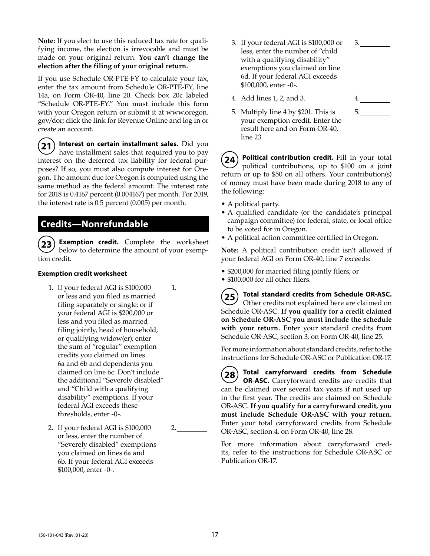**Note:** If you elect to use this reduced tax rate for qualifying income, the election is irrevocable and must be made on your original return. **You can't change the election after the filing of your original return.**

If you use Schedule OR-PTE-FY to calculate your tax, enter the tax amount from Schedule OR-PTE-FY, line 14a, on Form OR-40, line 20. Check box 20c labeled "Schedule OR-PTE-FY." You must include this form with your Oregon return or submit it at www.oregon. gov/dor; click the link for Revenue Online and log in or create an account.

**21 Interest on certain installment sales.** Did you have installment sales that required you to pay interest on the deferred tax liability for federal purposes? If so, you must also compute interest for Oregon. The amount due for Oregon is computed using the same method as the federal amount. The interest rate for 2018 is 0.4167 percent (0.004167) per month. For 2019, the interest rate is 0.5 percent (0.005) per month.

## **Credits—Nonrefundable**

**23 Exemption credit.** Complete the worksheet below to determine the amount of your exemption credit.

#### **Exemption credit worksheet**

- 1. If your federal AGI is \$100,000 or less and you filed as married filing separately or single; or if your federal AGI is \$200,000 or less and you filed as married filing jointly, head of household, or qualifying widow(er); enter the sum of "regular" exemption credits you claimed on lines 6a and 6b and dependents you claimed on line 6c. Don't include the additional "Severely disabled" and "Child with a qualifying disability" exemptions. If your federal AGI exceeds these thresholds, enter -0-.
- 2. If your federal AGI is \$100,000 or less, enter the number of "Severely disabled" exemptions you claimed on lines 6a and 6b. If your federal AGI exceeds \$100,000, enter -0-.

2.

1.

- 3. If your federal AGI is \$100,000 or less, enter the number of "child with a qualifying disability" exemptions you claimed on line 6d. If your federal AGI exceeds \$100,000, enter -0-.
- 4. Add lines 1, 2, and 3.

| 4. |  |
|----|--|
| 5. |  |

3.

5. Multiply line 4 by \$201. This is your exemption credit. Enter the result here and on Form OR-40, line 23.

**24 Political contribution credit.** Fill in your total political contributions, up to \$100 on a joint return or up to \$50 on all others. Your contribution(s) of money must have been made during 2018 to any of the following:

- A political party.
- A qualified candidate (or the candidate's principal campaign committee) for federal, state, or local office to be voted for in Oregon.
- A political action committee certified in Oregon.

**Note:** A political contribution credit isn't allowed if your federal AGI on Form OR-40, line 7 exceeds:

- \$200,000 for married filing jointly filers; or
- \$100,000 for all other filers.
- **25 Total standard credits from Schedule OR-ASC.** Other credits not explained here are claimed on Schedule OR-ASC. **If you qualify for a credit claimed on Schedule OR-ASC you must include the schedule with your return.** Enter your standard credits from Schedule OR-ASC, section 3, on Form OR-40, line 25.

For more information about standard credits, refer to the instructions for Schedule OR-ASC or Publication OR-17.

**28 Total carryforward credits from Schedule OR-ASC.** Carryforward credits are credits that can be claimed over several tax years if not used up in the first year. The credits are claimed on Schedule OR-ASC. **If you qualify for a carryforward credit, you must include Schedule OR-ASC with your return.** Enter your total carryforward credits from Schedule OR-ASC, section 4, on Form OR-40, line 28.

For more information about carryforward credits, refer to the instructions for Schedule OR-ASC or Publication OR-17.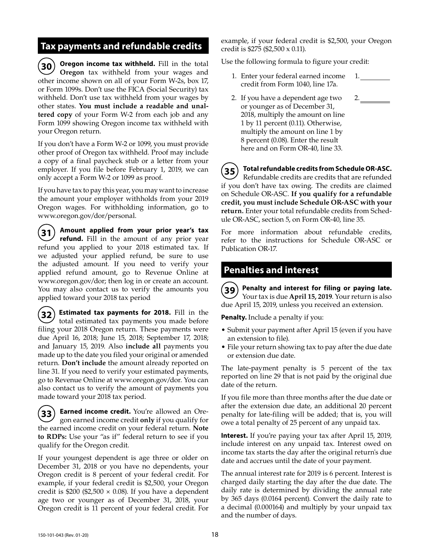## **Tax payments and refundable credits**

**30 Oregon income tax withheld.** Fill in the total **Oregon** tax withheld from your wages and other income shown on all of your Form W-2s, box 17, or Form 1099s. Don't use the FICA (Social Security) tax withheld. Don't use tax withheld from your wages by other states. **You must include a readable and unaltered copy** of your Form W-2 from each job and any Form 1099 showing Oregon income tax withheld with your Oregon return.

If you don't have a Form W-2 or 1099, you must provide other proof of Oregon tax withheld. Proof may include a copy of a final paycheck stub or a letter from your employer. If you file before February 1, 2019, we can only accept a Form W-2 or 1099 as proof.

If you have tax to pay this year, you may want to increase the amount your employer withholds from your 2019 Oregon wages. For withholding information, go to www.oregon.gov/dor/personal.

**31 Amount applied from your prior year's tax refund.** Fill in the amount of any prior year refund you applied to your 2018 estimated tax. If we adjusted your applied refund, be sure to use the adjusted amount. If you need to verify your applied refund amount, go to Revenue Online at www.oregon.gov/dor; then log in or create an account. You may also contact us to verify the amounts you applied toward your 2018 tax period

**32) Estimated tax payments for 2018.** Fill in the total estimated tax payments you made before filing your 2018 Oregon return. These payments were due April 16, 2018; June 15, 2018; September 17, 2018; and January 15, 2019. Also **include all** payments you made up to the date you filed your original or amended return. **Don't include** the amount already reported on line 31. If you need to verify your estimated payments, go to Revenue Online at www.oregon.gov/dor. You can also contact us to verify the amount of payments you made toward your 2018 tax period.

**33 Earned income credit.** You're allowed an Oregon earned income credit **only** if you qualify for the earned income credit on your federal return. **Note to RDPs:** Use your "as if" federal return to see if you qualify for the Oregon credit.

If your youngest dependent is age three or older on December 31, 2018 or you have no dependents, your Oregon credit is 8 percent of your federal credit. For example, if your federal credit is \$2,500, your Oregon credit is \$200 (\$2,500  $\times$  0.08). If you have a dependent age two or younger as of December 31, 2018, your Oregon credit is 11 percent of your federal credit. For example, if your federal credit is \$2,500, your Oregon credit is \$275 (\$2,500 x 0.11).

Use the following formula to figure your credit:

- 1. Enter your federal earned income credit from Form 1040, line 17a. 1.
- 2. If you have a dependent age two or younger as of December 31, 2018, multiply the amount on line 1 by 11 percent (0.11). Otherwise, multiply the amount on line 1 by 8 percent (0.08). Enter the result here and on Form OR-40, line 33. 2.

**35 Total refundable credits from Schedule OR-ASC.** Refundable credits are credits that are refunded if you don't have tax owing. The credits are claimed on Schedule OR-ASC. **If you qualify for a refundable credit, you must include Schedule OR-ASC with your return.** Enter your total refundable credits from Schedule OR-ASC, section 5, on Form OR-40, line 35.

For more information about refundable credits, refer to the instructions for Schedule OR-ASC or Publication OR-17.

## **Penalties and interest**

**39 Penalty and interest for filing or paying late.** Your tax is due **April 15, 2019**. Your return is also due April 15, 2019, unless you received an extension.

**Penalty.** Include a penalty if you:

- Submit your payment after April 15 (even if you have an extension to file).
- File your return showing tax to pay after the due date or extension due date.

The late-payment penalty is 5 percent of the tax reported on line 29 that is not paid by the original due date of the return.

If you file more than three months after the due date or after the extension due date, an additional 20 percent penalty for late-filing will be added; that is, you will owe a total penalty of 25 percent of any unpaid tax.

**Interest.** If you're paying your tax after April 15, 2019, include interest on any unpaid tax. Interest owed on income tax starts the day after the original return's due date and accrues until the date of your payment.

The annual interest rate for 2019 is 6 percent. Interest is charged daily starting the day after the due date. The daily rate is determined by dividing the annual rate by 365 days (0.0164 percent). Convert the daily rate to a decimal (0.000164) and multiply by your unpaid tax and the number of days.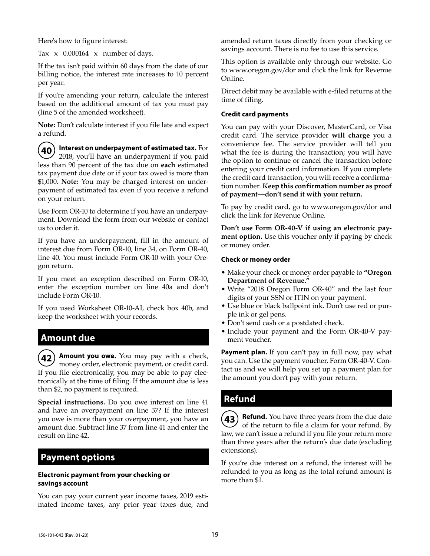Here's how to figure interest:

Tax x 0.000164 x number of days.

If the tax isn't paid within 60 days from the date of our billing notice, the interest rate increases to 10 percent per year.

If you're amending your return, calculate the interest based on the additional amount of tax you must pay (line 5 of the amended worksheet).

**Note:** Don't calculate interest if you file late and expect a refund.

**40 Interest on underpayment of estimated tax.** For 2018, you'll have an underpayment if you paid less than 90 percent of the tax due on **each** estimated tax payment due date or if your tax owed is more than \$1,000. **Note:** You may be charged interest on underpayment of estimated tax even if you receive a refund on your return.

Use Form OR-10 to determine if you have an underpayment. Download the form from our website or contact us to order it.

If you have an underpayment, fill in the amount of interest due from Form OR-10, line 34, on Form OR-40, line 40. You must include Form OR-10 with your Oregon return.

If you meet an exception described on Form OR-10, enter the exception number on line 40a and don't include Form OR-10.

If you used Worksheet OR-10-AI, check box 40b, and keep the worksheet with your records.

## **Amount due**

**42 Amount you owe.** You may pay with a check, money order, electronic payment, or credit card. If you file electronically, you may be able to pay electronically at the time of filing. If the amount due is less than \$2, no payment is required.

**Special instructions.** Do you owe interest on line 41 and have an overpayment on line 37? If the interest you owe is more than your overpayment, you have an amount due. Subtract line 37 from line 41 and enter the result on line 42.

## **Payment options**

#### **Electronic payment from your checking or savings account**

You can pay your current year income taxes, 2019 estimated income taxes, any prior year taxes due, and amended return taxes directly from your checking or savings account. There is no fee to use this service.

This option is available only through our website. Go to www.oregon.gov/dor and click the link for Revenue Online.

Direct debit may be available with e-filed returns at the time of filing.

#### **Credit card payments**

You can pay with your Discover, MasterCard, or Visa credit card. The service provider **will charge** you a convenience fee. The service provider will tell you what the fee is during the transaction; you will have the option to continue or cancel the transaction before entering your credit card information. If you complete the credit card transaction, you will receive a confirmation number. **Keep this confirmation number as proof of payment—don't send it with your return.**

To pay by credit card, go to www.oregon.gov/dor and click the link for Revenue Online.

**Don't use Form OR-40-V if using an electronic payment option.** Use this voucher only if paying by check or money order.

#### **Check or money order**

- Make your check or money order payable to **"Oregon Department of Revenue."**
- Write "2018 Oregon Form OR-40" and the last four digits of your SSN or ITIN on your payment.
- Use blue or black ballpoint ink. Don't use red or purple ink or gel pens.
- Don't send cash or a postdated check.
- Include your payment and the Form OR-40-V payment voucher.

**Payment plan.** If you can't pay in full now, pay what you can. Use the payment voucher, Form OR-40-V. Contact us and we will help you set up a payment plan for the amount you don't pay with your return.

## **Refund**

**43 Refund.** You have three years from the due date of the return to file a claim for your refund. By law, we can't issue a refund if you file your return more than three years after the return's due date (excluding extensions).

If you're due interest on a refund, the interest will be refunded to you as long as the total refund amount is more than \$1.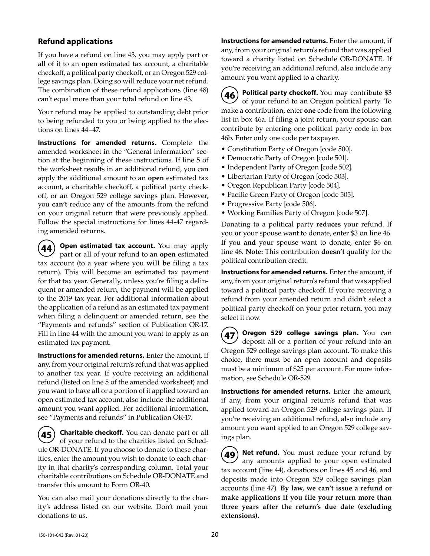## **Refund applications**

If you have a refund on line 43, you may apply part or all of it to an **open** estimated tax account, a charitable checkoff, a political party checkoff, or an Oregon 529 college savings plan. Doing so will reduce your net refund. The combination of these refund applications (line 48) can't equal more than your total refund on line 43.

Your refund may be applied to outstanding debt prior to being refunded to you or being applied to the elections on lines 44–47.

**Instructions for amended returns.** Complete the amended worksheet in the "General information" section at the beginning of these instructions. If line 5 of the worksheet results in an additional refund, you can apply the additional amount to an **open** estimated tax account, a charitable checkoff, a political party checkoff, or an Oregon 529 college savings plan. However, you **can't** reduce any of the amounts from the refund on your original return that were previously applied. Follow the special instructions for lines 44-47 regarding amended returns.

**Open estimated tax account.** You may apply part or all of your refund to an **open** estimated tax account (to a year where you **will be** filing a tax return). This will become an estimated tax payment for that tax year. Generally, unless you're filing a delinquent or amended return, the payment will be applied to the 2019 tax year. For additional information about the application of a refund as an estimated tax payment when filing a delinquent or amended return, see the "Payments and refunds" section of Publication OR-17. Fill in line 44 with the amount you want to apply as an estimated tax payment.

**Instructions for amended returns.** Enter the amount, if any, from your original return's refund that was applied to another tax year. If you're receiving an additional refund (listed on line 5 of the amended worksheet) and you want to have all or a portion of it applied toward an open estimated tax account, also include the additional amount you want applied. For additional information, see "Payments and refunds" in Publication OR-17.

**45 Charitable checkoff.** You can donate part or all of your refund to the charities listed on Schedule OR-DONATE. If you choose to donate to these charities, enter the amount you wish to donate to each charity in that charity's corresponding column. Total your charitable contributions on Schedule OR-DONATE and transfer this amount to Form OR-40.

You can also mail your donations directly to the charity's address listed on our website. Don't mail your donations to us.

**Instructions for amended returns.** Enter the amount, if any, from your original return's refund that was applied toward a charity listed on Schedule OR-DONATE. If you're receiving an additional refund, also include any amount you want applied to a charity.

**46 Political party checkoff.** You may contribute \$3 of your refund to an Oregon political party. To make a contribution, enter **one** code from the following list in box 46a. If filing a joint return, your spouse can contribute by entering one political party code in box 46b. Enter only one code per taxpayer.

- Constitution Party of Oregon [code 500].
- Democratic Party of Oregon [code 501].
- Independent Party of Oregon [code 502].
- Libertarian Party of Oregon [code 503].
- Oregon Republican Party [code 504].
- Pacific Green Party of Oregon [code 505].
- Progressive Party [code 506].
- Working Families Party of Oregon [code 507].

Donating to a political party **reduces** your refund. If you **or** your spouse want to donate, enter \$3 on line 46. If you **and** your spouse want to donate, enter \$6 on line 46. **Note:** This contribution **doesn't** qualify for the political contribution credit.

**Instructions for amended returns.** Enter the amount, if any, from your original return's refund that was applied toward a political party checkoff. If you're receiving a refund from your amended return and didn't select a political party checkoff on your prior return, you may select it now.

**47 Oregon 529 college savings plan.** You can deposit all or a portion of your refund into an Oregon 529 college savings plan account. To make this choice, there must be an open account and deposits must be a minimum of \$25 per account. For more information, see Schedule OR-529.

**Instructions for amended returns.** Enter the amount, if any, from your original return's refund that was applied toward an Oregon 529 college savings plan. If you're receiving an additional refund, also include any amount you want applied to an Oregon 529 college savings plan.

**Net refund.** You must reduce your refund by any amounts applied to your open estimated tax account (line 44), donations on lines 45 and 46, and deposits made into Oregon 529 college savings plan accounts (line 47). **By law, we can't issue a refund or make applications if you file your return more than three years after the return's due date (excluding extensions).**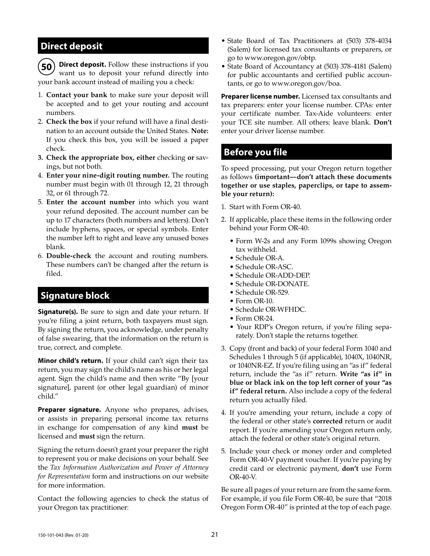## **Direct deposit**

**50 Direct deposit.** Follow these instructions if you want us to deposit your refund directly into your bank account instead of mailing you a check:

- 1. **Contact your bank** to make sure your deposit will be accepted and to get your routing and account numbers.
- 2. **Check the box** if your refund will have a final destination to an account outside the United States. **Note:** If you check this box, you will be issued a paper check.
- **3. Check the appropriate box, either** checking **or** savings, but not both.
- 4. **Enter your nine-digit routing number.** The routing number must begin with 01 through 12, 21 through 32, or 61 through 72.
- 5. **Enter the account number** into which you want your refund deposited. The account number can be up to 17 characters (both numbers and letters). Don't include hyphens, spaces, or special symbols. Enter the number left to right and leave any unused boxes blank.
- 6. **Double-check** the account and routing numbers. These numbers can't be changed after the return is filed.

## **Signature block**

**Signature(s).** Be sure to sign and date your return. If you're filing a joint return, both taxpayers must sign. By signing the return, you acknowledge, under penalty of false swearing, that the information on the return is true, correct, and complete.

**Minor child's return.** If your child can't sign their tax return, you may sign the child's name as his or her legal agent. Sign the child's name and then write "By [your signature], parent (or other legal guardian) of minor child."

**Preparer signature.** Anyone who prepares, advises, or assists in preparing personal income tax returns in exchange for compensation of any kind **must** be licensed and **must** sign the return.

Signing the return doesn't grant your preparer the right to represent you or make decisions on your behalf. See the *Tax Information Authorization and Power of Attorney for Representation* form and instructions on our website for more information.

Contact the following agencies to check the status of your Oregon tax practitioner:

- State Board of Tax Practitioners at (503) 378-4034 (Salem) for licensed tax consultants or preparers, or go to www.oregon.gov/obtp.
- State Board of Accountancy at (503) 378-4181 (Salem) for public accountants and certified public accountants, or go to www.oregon.gov/boa.

**Preparer license number.** Licensed tax consultants and tax preparers: enter your license number. CPAs: enter your certificate number. Tax-Aide volunteers: enter your TCE site number. All others: leave blank. **Don't**  enter your driver license number.

# **Before you file**

To speed processing, put your Oregon return together as follows **(important—don't attach these documents together or use staples, paperclips, or tape to assemble your return):**

- 1. Start with Form OR-40.
- 2. If applicable, place these items in the following order behind your Form OR-40:
	- Form W-2s and any Form 1099s showing Oregon tax withheld.
	- Schedule OR-A.
	- Schedule OR-ASC.
	- Schedule OR-ADD-DEP.
	- Schedule OR-DONATE.
	- Schedule OR-529.
	- Form OR-10.
	- Schedule OR-WFHDC.
	- Form OR-24.
	- Your RDP's Oregon return, if you're filing separately. Don't staple the returns together.
- 3. Copy (front and back) of your federal Form 1040 and Schedules 1 through 5 (if applicable), 1040X, 1040NR, or 1040NR-EZ. If you're filing using an "as if" federal return, include the "as if" return. **Write "as if" in blue or black ink on the top left corner of your "as if" federal return.** Also include a copy of the federal return you actually filed.
- 4. If you're amending your return, include a copy of the federal or other state's **corrected** return or audit report. If you're amending your Oregon return only, attach the federal or other state's original return.
- 5. Include your check or money order and completed Form OR-40-V payment voucher. If you're paying by credit card or electronic payment, **don't** use Form OR-40-V.

Be sure all pages of your return are from the same form. For example, if you file Form OR-40, be sure that "2018 Oregon Form OR-40" is printed at the top of each page.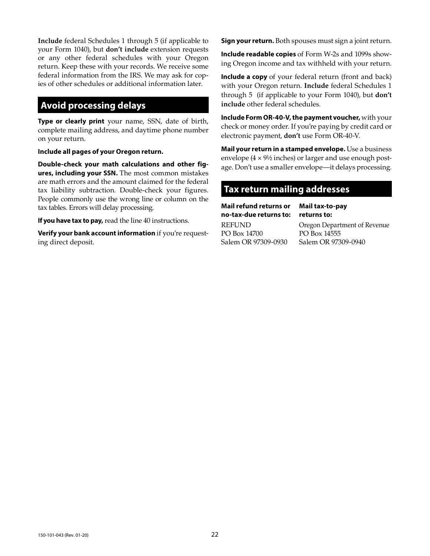**Include** federal Schedules 1 through 5 (if applicable to your Form 1040), but **don't include** extension requests or any other federal schedules with your Oregon return. Keep these with your records. We receive some federal information from the IRS. We may ask for copies of other schedules or additional information later.

# **Avoid processing delays**

**Type or clearly print** your name, SSN, date of birth, complete mailing address, and daytime phone number on your return.

**Include all pages of your Oregon return.**

**Double-check your math calculations and other figures, including your SSN.** The most common mistakes are math errors and the amount claimed for the federal tax liability subtraction. Double-check your figures. People commonly use the wrong line or column on the tax tables. Errors will delay processing.

**If you have tax to pay,** read the line 40 instructions.

**Verify your bank account information** if you're requesting direct deposit.

**Sign your return.** Both spouses must sign a joint return.

**Include readable copies** of Form W-2s and 1099s showing Oregon income and tax withheld with your return.

**Include a copy** of your federal return (front and back) with your Oregon return. **Include** federal Schedules 1 through 5 (if applicable to your Form 1040), but **don't include** other federal schedules.

**Include Form OR-40-V, the payment voucher,** with your check or money order. If you're paying by credit card or electronic payment, **don't** use Form OR-40-V.

**Mail your return in a stamped envelope.** Use a business envelope  $(4 \times 9\frac{1}{2})$  inches) or larger and use enough postage. Don't use a smaller envelope—it delays processing.

# **Tax return mailing addresses**

**Mail refund returns or no-tax-due returns to:**

**Mail tax-to-pay returns to:**

REFUND PO Box 14700 Salem OR 97309-0930 Oregon Department of Revenue PO Box 14555 Salem OR 97309-0940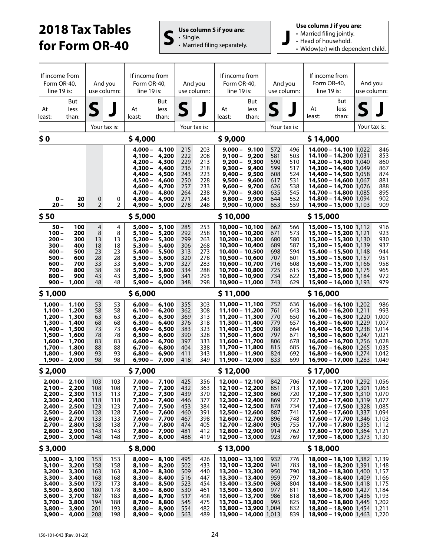# **2018 Tax Tables for Form OR-40 S**  $\left| \begin{array}{c} \mathbf{U} \mathbf{s} \in \mathbf{C} \text{ column S if you are:} \\ \mathbf{U} \mathbf{s} \in \mathbf{D} \text{ number of } \mathbf{D} \end{array} \right|$

• Single. • Single.<br>• Single.<br>• Married filing separately. **Use column J if you are:**

- Married filing jointly.
- Head of household.

• Widow(er) with dependent child.

| If income from<br>Form OR-40,<br>And you<br>line 19 is:<br>use column:                                                                                                           |                                                                                        | If income from<br>Form OR-40,<br>line 19 is:                        |                                                                    |                                                                                                                              | And you<br>use column:                                                                                                                                                                     | If income from<br>Form OR-40,<br>line 19 is:                       |                                                                    | And you<br>use column:                                                                                                                                                                           |                                                                                                                                                                         | If income from<br>Form OR-40,<br>line 19 is:                       |                                                                    | And you<br>use column:                                                                                                                                                                                                                                                                                |                      |  |                                                                                        |
|----------------------------------------------------------------------------------------------------------------------------------------------------------------------------------|----------------------------------------------------------------------------------------|---------------------------------------------------------------------|--------------------------------------------------------------------|------------------------------------------------------------------------------------------------------------------------------|--------------------------------------------------------------------------------------------------------------------------------------------------------------------------------------------|--------------------------------------------------------------------|--------------------------------------------------------------------|--------------------------------------------------------------------------------------------------------------------------------------------------------------------------------------------------|-------------------------------------------------------------------------------------------------------------------------------------------------------------------------|--------------------------------------------------------------------|--------------------------------------------------------------------|-------------------------------------------------------------------------------------------------------------------------------------------------------------------------------------------------------------------------------------------------------------------------------------------------------|----------------------|--|----------------------------------------------------------------------------------------|
| At<br>least:                                                                                                                                                                     | But<br>less<br>than:                                                                   | S                                                                   |                                                                    | At<br>least:                                                                                                                 | But<br>less<br>than:                                                                                                                                                                       | $\mathsf{S}$                                                       |                                                                    | At<br>least:                                                                                                                                                                                     | But<br>less<br>than:                                                                                                                                                    | S                                                                  |                                                                    | At<br>least:                                                                                                                                                                                                                                                                                          | But<br>less<br>than: |  |                                                                                        |
|                                                                                                                                                                                  | Your tax is:                                                                           |                                                                     |                                                                    |                                                                                                                              |                                                                                                                                                                                            |                                                                    | Your tax is:                                                       |                                                                                                                                                                                                  |                                                                                                                                                                         |                                                                    | Your tax is:                                                       |                                                                                                                                                                                                                                                                                                       |                      |  | Your tax is:                                                                           |
| \$0                                                                                                                                                                              |                                                                                        |                                                                     |                                                                    | \$4,000                                                                                                                      |                                                                                                                                                                                            |                                                                    |                                                                    | \$9,000                                                                                                                                                                                          |                                                                                                                                                                         |                                                                    |                                                                    | \$14,000                                                                                                                                                                                                                                                                                              |                      |  |                                                                                        |
| $0 -$<br>$20 -$                                                                                                                                                                  | 20<br>50                                                                               | 0<br>$\overline{2}$                                                 | 0<br>$\mathbf{2}$                                                  | 4,000 –<br>$4,100 -$<br>$4,300 -$<br>4,400 –<br>$4,500 -$<br>4,600 –<br>$4,700 -$<br>$4,800 -$<br>$4,900 -$                  | 4,100<br>4,200<br>4,200 - 4,300<br>4,400<br>4,500<br>4,600<br>4,700<br>4,800<br>4,900<br>5,000                                                                                             | 215<br>222<br>229<br>236<br>243<br>250<br>257<br>264<br>271<br>278 | 203<br>208<br>213<br>218<br>223<br>228<br>233<br>238<br>243<br>248 | $9,500 -$<br>$9,700 -$                                                                                                                                                                           | $9,000 - 9,100$<br>$9,100 - 9,200$<br>$9,200 - 9,300$<br>$9,300 - 9,400$<br>$9,400 - 9,500$<br>9,600<br>$9,600 - 9,700$<br>9,800<br>$9,800 - 9,900$<br>$9,900 - 10,000$ | 572<br>581<br>590<br>599<br>608<br>617<br>626<br>635<br>644<br>653 | 496<br>503<br>510<br>517<br>524<br>531<br>538<br>545<br>552<br>559 | 14,000 - 14,100 1,022<br>14,100 - 14,200 1.031<br>14,200 - 14,300 1,040<br><b>14,300 - 14,400</b> 1,049<br>14,400 - 14,500 1,058<br>14,500 - 14,600 1,067<br>14,600 - 14,700 1,076<br>14,700 - 14,800 1,085<br><b>14,800 - 14,900</b> 1,094<br>14,900 - 15,000 1.103                                  |                      |  | 846<br>853<br>860<br>867<br>874<br>881<br>888<br>895<br>902<br>909                     |
| \$50                                                                                                                                                                             |                                                                                        |                                                                     |                                                                    | \$5,000                                                                                                                      |                                                                                                                                                                                            |                                                                    |                                                                    | \$10,000                                                                                                                                                                                         |                                                                                                                                                                         |                                                                    |                                                                    | \$15,000                                                                                                                                                                                                                                                                                              |                      |  |                                                                                        |
| $50 -$<br>$100 -$<br>$200 -$<br>$300 -$<br>$400 -$<br>$500 -$<br>$600 -$<br>$700 -$<br>$800 -$<br>$900 -$                                                                        | 100<br>200<br>300<br>400<br>500<br>600<br>700<br>800<br>900<br>1,000                   | $\overline{4}$<br>8<br>13<br>18<br>23<br>28<br>33<br>38<br>43<br>48 | 4<br>8<br>13<br>18<br>23<br>28<br>33<br>38<br>43<br>48             | 5,000 –<br>$5,100 -$<br>$5,200 -$<br>$5,300 -$<br>$5,400 -$<br>$5,500 -$<br>$5.600 -$<br>$5,700 -$<br>$5,800 -$<br>$5,900 -$ | 5,100<br>5,200<br>5,300<br>5,400<br>5,500<br>5,600<br>5,700<br>5,800<br>5,900<br>6,000                                                                                                     | 285<br>292<br>299<br>306<br>313<br>320<br>327<br>334<br>341<br>348 | 253<br>258<br>263<br>268<br>273<br>278<br>283<br>288<br>293<br>298 | $10,000 - 10,100$<br>$10,100 - 10,200$<br>$10,200 - 10,300$<br>10,300 - 10,400<br>10,400 - 10,500<br>10,500 - 10,600<br>10,600 - 10,700<br>10,700 - 10,800<br>10,800 - 10,900<br>10,900 - 11,000 |                                                                                                                                                                         | 662<br>671<br>680<br>689<br>698<br>707<br>716<br>725<br>734<br>743 | 566<br>573<br>580<br>587<br>594<br>601<br>608<br>615<br>622<br>629 | 15,000 - 15,100 1,112<br>15,100 - 15,200 1.121<br>15,200 - 15,300 1,130<br>15,300 - 15,400 1,139<br>15,400 - 15,500 1,148<br>15,500 - 15,600 1,157<br>15,600 - 15,700 1,166<br>15,700 - 15,800 1,175<br>15,800 - 15,900 1,184<br>15,900 - 16,000 1,193                                                |                      |  | 916<br>923<br>930<br>937<br>944<br>951<br>958<br>965<br>972<br>979                     |
| \$1,000                                                                                                                                                                          |                                                                                        |                                                                     |                                                                    | \$6,000                                                                                                                      |                                                                                                                                                                                            |                                                                    |                                                                    | \$11,000                                                                                                                                                                                         |                                                                                                                                                                         |                                                                    |                                                                    | \$16,000                                                                                                                                                                                                                                                                                              |                      |  |                                                                                        |
| $1,000 -$<br>$1,100 -$<br>$1,200 -$<br>$1,300 -$<br>$1,400 -$<br>1,500 –<br>$1,600 -$<br>$1,700 -$<br>$1,800 -$<br>1,900 –                                                       | 1,100<br>1,200<br>1,300<br>1,400<br>1,500<br>1,600<br>1,700<br>1,800<br>1,900<br>2,000 | 53<br>58<br>63<br>68<br>73<br>78<br>83<br>88<br>93<br>98            | 53<br>58<br>63<br>68<br>73<br>78<br>83<br>88<br>93<br>98           | $6,000 -$<br>$6.100 -$<br>$6,200 -$<br>$6,300 -$<br>$6,400 -$<br>$6,500 -$<br>$6,600 -$<br>$6,800 -$                         | 6,100<br>6,200<br>6,300<br>6,400<br>6,500<br>6,600<br>6,700<br>$6.700 - 6.800$<br>6,900<br>$6,900 - 7,000$                                                                                 | 355<br>362<br>369<br>376<br>383<br>390<br>397<br>404<br>411<br>418 | 303<br>308<br>313<br>318<br>323<br>328<br>333<br>338<br>343<br>349 | 11,000 - 11,100<br>11,100 - 11,200<br>11,200 - 11,300<br>11,300 - 11,400<br>11,400 - 11,500<br>11,500 - 11,600<br>11,600 - 11,700<br>11,700 - 11,800<br>11,800 - 11,900<br>11,900 - 12,000       |                                                                                                                                                                         | 752<br>761<br>770<br>779<br>788<br>797<br>806<br>815<br>824<br>833 | 636<br>643<br>650<br>657<br>664<br>671<br>678<br>685<br>692<br>699 | $16,000 - 16,100$ 1,202<br>16,100 - 16,200 1,211<br>16,200 - 16,300 1,220<br>16,300 - 16,400 1,229<br>16,400 - 16,500 1,238<br>$16,500 - 16,600$ 1,247<br>$16,600 - 16,700$ 1,256<br>$16,700 - 16,800$ 1,265<br>16,800 - 16,900 1,274<br>$16,900 - 17,000$ 1,283                                      |                      |  | 986<br>993<br>1,000<br>1,007<br>1,014<br>1,021<br>1,028<br>1,035<br>1,042<br>1,049     |
| \$2,000                                                                                                                                                                          |                                                                                        |                                                                     |                                                                    | \$7,000                                                                                                                      |                                                                                                                                                                                            |                                                                    |                                                                    | \$12,000                                                                                                                                                                                         |                                                                                                                                                                         |                                                                    |                                                                    | \$17,000                                                                                                                                                                                                                                                                                              |                      |  |                                                                                        |
| $2,000 - 2,100$<br>$2,100 - 2,200$<br>$2,200 - 2,300$<br>$2,300 - 2,400$<br>$2,400 - 2,500$<br>$2,500 - 2,600$<br>2,600 - 2,700<br>2,700 - 2,800<br>$2,800 - 2,900$<br>$2,900 -$ | 3,000                                                                                  | 103<br>108<br>113<br>118<br>123<br>128<br>133<br>138<br>143<br>148  | 103<br>108<br>113<br>118<br>123<br>128<br>133<br>138<br>143<br>148 | $7,900 -$                                                                                                                    | 7,000 - 7,100<br>7,100 - 7,200<br>7,200 - 7,300<br>7,300 - 7,400<br>7,400 - 7,500<br>7,500 - 7,600<br>7,600 - 7,700<br>7,700 - 7,800<br>7,800 - 7,900<br>8,000                             | 425<br>432<br>439<br>446<br>453<br>460<br>467<br>474<br>481<br>488 | 356<br>363<br>370<br>377<br>384<br>391<br>398<br>405<br>412<br>419 | 12,000 - 12,100<br>12,100 - 12,200<br>12,200 - 12,300<br>12,300 - 12,400<br>12,400 - 12,500<br>12,500 - 12,600<br>12,600 - 12,700<br>12,700 - 12,800<br>12,800 - 12,900<br>12,900 - 13,000       |                                                                                                                                                                         | 842<br>851<br>860<br>869<br>878<br>887<br>896<br>905<br>914<br>923 | 706<br>713<br>720<br>727<br>734<br>741<br>748<br>755<br>762<br>769 | 17,000 - 17,100 1,292<br>17,100 - 17,200 1,301<br>17,200 - 17,300 1,310<br><b>17,300 - 17,400</b> 1,319<br>17,400 - 17,500 1,328<br><b>17,500 - 17,600</b> 1,337<br>17,600 - 17,700 1,346<br><b>17,700 - 17,800</b> 1,355<br><b>17,800 – 17,900</b> 1,364<br><b>17,900 - 18,000</b> 1,373             |                      |  | 1,056<br>1.063<br>1,070<br>1,077<br>1,085<br>1,094<br>1,103<br>1,112<br>1,121<br>1,130 |
| \$3,000                                                                                                                                                                          |                                                                                        |                                                                     |                                                                    | \$8,000                                                                                                                      |                                                                                                                                                                                            |                                                                    |                                                                    | \$13,000                                                                                                                                                                                         |                                                                                                                                                                         |                                                                    |                                                                    | \$18,000                                                                                                                                                                                                                                                                                              |                      |  |                                                                                        |
| $3,000 - 3,100$<br>$3,100 - 3,200$<br>3,200 –<br>$3,300 - 3,400$<br>$3,400 - 3,500$<br>$3,500 - 3,600$<br>$3,600 -$<br>$3,700 - 3,800$<br>$3,800 - 3,900$<br>$3,900 - 4,000$     | 3,300<br>3,700                                                                         | 153<br>158<br>163<br>168<br>173<br>180<br>187<br>194<br>201<br>208  | 153<br>158<br>163<br>168<br>173<br>178<br>183<br>188<br>193<br>198 |                                                                                                                              | $8,000 - 8,100$<br>$8,100 - 8,200$<br>$8,200 - 8,300$<br>$8,300 - 8,400$<br>$8,400 - 8,500$<br>$8,500 - 8,600$<br>$8,600 - 8,700$<br>$8,700 - 8,800$<br>$8,800 - 8,900$<br>$8,900 - 9,000$ | 495<br>502<br>509<br>516<br>523<br>530<br>537<br>545<br>554<br>563 | 426<br>433<br>440<br>447<br>454<br>461<br>468<br>475<br>482<br>489 | 13,000 - 13,100<br>13,100 - 13,200<br>13,200 - 13,300<br>13,300 - 13,400<br>13,400 - 13,500<br>13,500 - 13,600<br>13,600 - 13,700<br>13,700 - 13,800<br>13,800 - 13,900 1,004                    | <b>13,900 - 14,000</b> 1,013                                                                                                                                            | 932<br>941<br>950<br>959<br>968<br>977<br>986<br>995               | 776<br>783<br>790<br>797<br>804<br>811<br>818<br>825<br>832<br>839 | 18,000 - 18,100 1,382 1,139<br>18,100 - 18,200 1,391<br><b>18,200 - 18,300</b> 1,400<br><b>18,300 - 18,400</b> 1,409<br><b>18,400 - 18,500</b> 1,418<br><b>18,500 - 18,600</b> 1,427<br>18,600 - 18,700 1,436<br>18,700 - 18,800 1,445<br><b>18,800 - 18,900</b> 1,454<br>18,900 - 19,000 1,463 1,220 |                      |  | 1,148<br>1,157<br>1,166<br>1,175<br>1,184<br>1,193<br>1,202<br>1,211                   |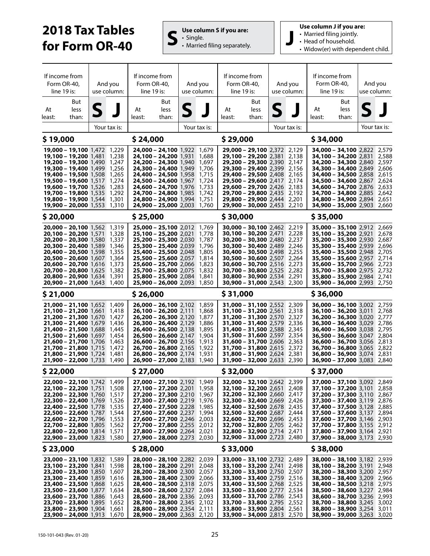# **2018 Tax Tables for Form OR-40 S**  $\left| \begin{array}{c} \mathbf{U} \mathbf{s} \in \mathbf{C} \text{ column S if you are:} \\ \mathbf{S} \end{array} \right|$



**Use column J if you are:**

- Married filing jointly.
- Head of household.
- Widow(er) with dependent child.

| If income from<br>Form OR-40.<br>line 19 is: |                                                                          | And you<br>use column: |                |          |                                                                          | If income from<br>Form OR-40,<br>line 19 is: |                |          | And you<br>use column:                                              | If income from<br>Form OR-40,<br>line 19 is: |                | And you<br>use column:                                             |       | If income from<br>Form OR-40,<br>line 19 is:<br>But |                | And you<br>use column: |  |
|----------------------------------------------|--------------------------------------------------------------------------|------------------------|----------------|----------|--------------------------------------------------------------------------|----------------------------------------------|----------------|----------|---------------------------------------------------------------------|----------------------------------------------|----------------|--------------------------------------------------------------------|-------|-----------------------------------------------------|----------------|------------------------|--|
| At                                           | But<br>less                                                              | S                      |                | At       | But<br>less                                                              | 5                                            |                | At       | But<br>less                                                         | S                                            |                | At                                                                 | less  | S.                                                  |                |                        |  |
| least:                                       | than:                                                                    |                        |                | least:   | than:                                                                    |                                              |                | least:   | than:                                                               |                                              |                | least:                                                             | than: |                                                     |                |                        |  |
|                                              |                                                                          |                        | Your tax is:   |          |                                                                          |                                              | Your tax is:   |          |                                                                     |                                              | Your tax is:   |                                                                    |       | Your tax is:                                        |                |                        |  |
| \$19,000                                     |                                                                          |                        |                | \$24,000 |                                                                          |                                              |                | \$29,000 |                                                                     |                                              |                | \$34,000                                                           |       |                                                     |                |                        |  |
|                                              | 19,000 - 19,100 1,472 1,229                                              |                        |                |          | 24,000 - 24,100 1,922 1,679                                              |                                              |                |          | 29,000 - 29,100 2,372 2,129                                         |                                              |                | 34,000 - 34,100 2,822 2,579                                        |       |                                                     |                |                        |  |
|                                              | 19,100 - 19,200 1.481 1.238<br><b>19,200 - 19,300</b> 1,490 1,247        |                        |                |          | <b>24,100 – 24,200</b> 1,931<br><b>24,200 - 24,300</b> 1,940             |                                              | 1,688<br>1,697 |          | 29,100 - 29,200 2,381<br><b>29,200 – 29,300</b> 2,390               |                                              | 2,138<br>2,147 | <b>34,100 - 34,200</b> 2,831<br><b>34,200 - 34,300</b> 2,840       |       |                                                     | 2,588<br>2,597 |                        |  |
|                                              | 19,300 - 19,400 1,499 1,256<br>19,400 - 19,500 1,508                     |                        | 1,265          |          | <b>24,300 - 24,400</b> 1,949<br>24,400 - 24,500 1,958                    |                                              | 1,706<br>1,715 |          | 29,300 - 29,400 2,399<br>29,400 - 29,500 2,408                      |                                              | 2,156<br>2,165 | 34,300 - 34,400 2,849<br><b>34,400 - 34,500</b> 2,858              |       |                                                     | 2,606<br>2,615 |                        |  |
|                                              | 19,500 - 19,600 1,517                                                    |                        | 1,274          |          | 24,500 - 24,600 1,967                                                    |                                              | 1,724          |          | 29,500 - 29,600 2,417                                               |                                              | 2,174          | <b>34,500 - 34,600 2,867</b>                                       |       |                                                     | 2,624          |                        |  |
|                                              | <b>19,600 - 19,700</b> 1,526<br>19,700 - 19,800 1,535                    |                        | 1,283<br>1,292 |          | <b>24,600 - 24,700</b> 1,976<br>24,700 - 24,800 1,985                    |                                              | 1,733<br>1,742 |          | 29,600 - 29,700 2,426<br>29,700 - 29,800 2,435                      |                                              | 2,183<br>2,192 | <b>34,600 - 34,700</b> 2,876<br><b>34,700 - 34,800 2,885</b>       |       |                                                     | 2,633<br>2,642 |                        |  |
|                                              | <b>19,800 - 19,900</b> 1,544                                             |                        | 1,301          |          | <b>24,800 - 24,900</b> 1,994                                             |                                              | 1,751          |          | 29,800 - 29,900 2,444                                               |                                              | 2,201          | <b>34,800 - 34,900 2,894</b>                                       |       |                                                     | 2,651          |                        |  |
|                                              | 19,900 - 20,000 1,553 1,310                                              |                        |                |          | 24,900 - 25,000 2,003                                                    |                                              | 1,760          |          | 29,900 - 30,000 2,453 2,210                                         |                                              |                | 34,900 - 35,000 2,903                                              |       |                                                     | 2,660          |                        |  |
| \$ 20,000                                    |                                                                          |                        |                | \$25,000 |                                                                          |                                              |                | \$30,000 |                                                                     |                                              |                | \$35,000                                                           |       |                                                     |                |                        |  |
|                                              | 20,000 - 20,100 1,562 1,319<br>20,100 - 20,200 1,571                     |                        | 1,328          |          | 25,000 - 25,100 2,012 1,769<br>25,100 - 25,200 2,021                     |                                              | 1,778          |          | 30,000 - 30,100 2,462 2,219<br>$30,100 - 30,200$ 2,471              |                                              | 2,228          | $35,000 - 35,100$ 2,912<br>35,100 - 35,200 2,921                   |       |                                                     | 2,669<br>2,678 |                        |  |
|                                              | 20,200 - 20,300 1,580                                                    |                        | 1,337          |          | 25,200 - 25,300 2,030                                                    |                                              | 1,787          |          | 30,200 - 30,300 2,480                                               |                                              | 2,237          | 35,200 - 35,300 2,930                                              |       |                                                     | 2,687          |                        |  |
|                                              | <b>20,300 - 20,400</b> 1,589<br>20,400 - 20,500 1,598                    |                        | 1,346<br>1,355 |          | 25,300 - 25,400 2,039<br>25,400 - 25,500 2,048                           |                                              | 1,796<br>1,805 |          | $30,300 - 30,400$ 2,489<br>30,400 - 30,500 2,498                    |                                              | 2,246<br>2,255 | <b>35,300 - 35,400</b> 2,939<br>35,400 - 35,500 2,948              |       |                                                     | 2,696<br>2,705 |                        |  |
|                                              | $20,500 - 20,600$ 1,607                                                  |                        | 1,364          |          | 25,500 - 25,600 2,057                                                    |                                              | 1,814          |          | $30,500 - 30,600$ 2,507                                             |                                              | 2,264          | 35,500 - 35,600 2,957                                              |       |                                                     | 2,714          |                        |  |
|                                              | $20,600 - 20,700$ 1,616<br><b>20,700 - 20,800</b> 1,625                  |                        | 1,373<br>1,382 |          | 25,600 - 25,700 2,066<br><b>25,700 - 25,800</b> 2,075                    |                                              | 1,823<br>1,832 |          | $30,600 - 30,700$ 2,516<br>30,700 - 30,800 2,525                    |                                              | 2,273<br>2,282 | 35,600 - 35,700 2,966<br><b>35,700 - 35,800</b> 2,975              |       |                                                     | 2,723<br>2,732 |                        |  |
|                                              | 20,800 - 20,900 1,634 1,391                                              |                        |                |          | 25,800 - 25,900 2,084                                                    |                                              | 1,841          |          | 30,800 - 30,900 2,534                                               |                                              | 2,291          | 35,800 - 35,900 2,984                                              |       |                                                     | 2.741          |                        |  |
|                                              | $20,900 - 21,000$ 1,643 1,400                                            |                        |                |          | $25,900 - 26,000$ 2,093                                                  |                                              | 1,850          |          | <b>30,900 - 31,000</b> 2,543                                        |                                              | 2,300          | 35,900 - 36,000 2,993                                              |       |                                                     | 2,750          |                        |  |
| \$21,000                                     |                                                                          |                        |                | \$26,000 |                                                                          |                                              |                | \$31,000 |                                                                     |                                              |                | \$36,000                                                           |       |                                                     |                |                        |  |
|                                              | 21,000 - 21,100 1,652 1,409                                              |                        |                |          | 26,000 - 26,100 2,102 1,859                                              |                                              | 1,868          |          | 31,000 - 31,100 2,552 2,309<br>31,100 - 31,200 2,561                |                                              |                | 36,000 - 36,100 3,002 2,759                                        |       |                                                     | 2,768          |                        |  |
|                                              | <b>21,100 – 21,200</b> 1,661<br><b>21,200 – 21,300</b> 1,670 1,427       |                        | 1,418          |          | <b>26,100 - 26,200</b> 2,111<br>26,200 - 26,300 2,120                    |                                              | 1,877          |          | 31,200 - 31,300 2,570                                               |                                              | 2,318<br>2,327 | $36,100 - 36,200$ 3,011<br>36,200 - 36,300 3,020                   |       |                                                     | 2,777          |                        |  |
|                                              | 21,300 - 21,400 1,679                                                    |                        | 1,436          |          | $26,300 - 26,400$ 2,129                                                  |                                              | 1,886          |          | 31,300 - 31,400 2,579                                               |                                              | 2,336          | 36,300 - 36,400 3,029                                              |       |                                                     | 2,786          |                        |  |
|                                              | <b>21,400 – 21,500</b> 1,688<br>21,500 - 21,600 1,697 1,454              |                        | 1,445          |          | <b>26,400 - 26,500</b> 2,138<br>26,500 - 26,600 2,147 1,904              |                                              | 1,895          |          | <b>31,400 - 31,500</b> 2,588<br>31,500 - 31,600 2,597 2,354         |                                              | 2,345          | <b>36,400 - 36,500</b> 3,038<br>$36,500 - 36,600$ 3,047            |       |                                                     | 2,795<br>2,804 |                        |  |
|                                              | <b>21,600 - 21,700</b> 1,706                                             |                        | 1,463          |          | <b>26,600 - 26,700</b> 2,156<br><b>26,700 - 26,800</b> 2,165 1,922       |                                              | 1,913          |          | <b>31,600 - 31,700</b> 2,606<br><b>31,700 - 31,800</b> 2,615        |                                              | 2,363          | <b>36,600 - 36,700</b> 3,056                                       |       |                                                     | 2,813          |                        |  |
|                                              | 21,700 - 21,800 1,715<br>21,800 - 21,900 1,724                           |                        | 1,472<br>1,481 |          | <b>26,800 - 26,900</b> 2,174                                             |                                              | 1,931          |          | <b>31,800 - 31,900</b> 2,624                                        |                                              | 2,372<br>2,381 | <b>36,700 - 36,800</b> 3,065<br>36,800 - 36,900 3,074              |       |                                                     | 2,822<br>2,831 |                        |  |
|                                              | $21,900 - 22,000$ 1,733                                                  |                        | 1,490          |          | 26,900 - 27,000 2,183                                                    |                                              | 1,940          |          | 31,900 - 32,000 2,633 2,390                                         |                                              |                | $36,900 - 37,000$ 3,083                                            |       |                                                     | 2,840          |                        |  |
| \$22,000                                     |                                                                          |                        |                | \$27,000 |                                                                          |                                              |                | \$32,000 |                                                                     |                                              |                | \$37,000                                                           |       |                                                     |                |                        |  |
|                                              | 22,000 - 22,100 1,742 1,499                                              |                        |                |          | 27,000 - 27,100 2,192 1,949                                              |                                              |                |          | 32,000 - 32,100 2,642 2,399                                         |                                              |                | 37,000 - 37,100 3,092 2,849                                        |       |                                                     |                |                        |  |
|                                              | 22,100 - 22,200 1,751 1,508<br>22,200 - 22,300 1,760 1,517               |                        |                |          | 27,100 - 27,200 2,201 1,958<br>27,200 - 27,300 2,210 1,967               |                                              |                |          | $32,100 - 32,200$ 2,651<br>32,200 - 32,300 2,660 2,417              |                                              | 2,408          | 37,100 - 37,200 3,101<br>37,200 - 37,300 3,110 2,867               |       |                                                     | 2,858          |                        |  |
|                                              | 22,300 - 22,400 1,769 1,526                                              |                        |                |          | 27,300 - 27,400 2,219 1,976                                              |                                              |                |          | <b>32,300 - 32,400</b> 2,669 2,426                                  |                                              |                | <b>37,300 - 37,400</b> 3,119                                       |       |                                                     | 2,876          |                        |  |
|                                              | 22,400 - 22,500 1,778 1,535<br>22,500 - 22,600 1,787 1,544               |                        |                |          | <b>27,400 - 27,500</b> 2,228 1,985<br>27,500 - 27,600 2,237 1,994        |                                              |                |          | <b>32,400 - 32,500</b> 2,678 2,435<br>$32,500 - 32,600$ 2,687 2,444 |                                              |                | <b>37,400 - 37,500</b> 3,128<br><b>37,500 - 37,600</b> 3,137       |       |                                                     | 2,885<br>2,894 |                        |  |
|                                              | 22,600 - 22,700 1,796 1,553                                              |                        |                |          | 27,600 - 27,700 2,246 2,003                                              |                                              |                |          | <b>32,600 - 32,700</b> 2,696 2,453                                  |                                              |                | 37,600 - 37,700 3,146 2,903                                        |       |                                                     |                |                        |  |
|                                              | 22,700 - 22,800 1,805 1,562<br>22,800 - 22,900 1,814 1,571               |                        |                |          | 27,700 - 27,800 2,255 2,012<br>27,800 - 27,900 2,264 2,021               |                                              |                |          | 32,700 - 32,800 2,705 2,462<br>32,800 - 32,900 2,714 2,471          |                                              |                | 37,700 - 37,800 3,155 2,912<br>37,800 - 37,900 3,164 2,921         |       |                                                     |                |                        |  |
|                                              | 22,900 - 23,000 1,823 1,580                                              |                        |                |          | <b>27,900 - 28,000</b> 2,273 2,030                                       |                                              |                |          | 32,900 - 33,000 2,723 2,480                                         |                                              |                | <b>37,900 - 38,000</b> 3,173 2,930                                 |       |                                                     |                |                        |  |
| \$23,000                                     |                                                                          |                        |                | \$28,000 |                                                                          |                                              |                | \$33,000 |                                                                     |                                              |                | \$38,000                                                           |       |                                                     |                |                        |  |
|                                              | <b>23,000 - 23,100</b> 1,832 1,589                                       |                        |                |          | <b>28,000 - 28,100</b> 2,282 2,039                                       |                                              |                |          | <b>33,000 - 33,100</b> 2,732 2,489                                  |                                              |                | <b>38,000 - 38,100</b> 3,182 2,939                                 |       |                                                     |                |                        |  |
|                                              | <b>23,100 - 23,200</b> 1,841 1,598<br><b>23,200 - 23,300</b> 1,850 1,607 |                        |                |          | <b>28,100 - 28,200</b> 2,291 2,048<br><b>28,200 - 28,300</b> 2,300 2,057 |                                              |                |          | 33,100 - 33,200 2,741<br><b>33,200 - 33,300</b> 2,750 2,507         |                                              | 2,498          | <b>38,100 - 38,200</b> 3,191<br><b>38,200 - 38,300</b> 3,200 2,957 |       |                                                     | 2,948          |                        |  |
|                                              | <b>23,300 - 23,400</b> 1,859 1,616                                       |                        |                |          | 28,300 - 28,400 2,309 2,066                                              |                                              |                |          | 33,300 - 33,400 2,759 2,516                                         |                                              |                | 38,300 - 38,400 3,209 2,966                                        |       |                                                     |                |                        |  |
|                                              | <b>23,400 - 23,500</b> 1,868 1,625<br><b>23,500 - 23,600</b> 1,877 1,634 |                        |                |          | 28,400 - 28,500 2,318 2,075<br>28,500 - 28,600 2,327 2,084               |                                              |                |          | 33,400 - 33,500 2,768 2,525<br><b>33,500 - 33,600</b> 2,777 2,534   |                                              |                | 38,400 - 38,500 3,218 2,975<br><b>38,500 - 38,600</b> 3,227 2,984  |       |                                                     |                |                        |  |
|                                              | <b>23,600 - 23,700</b> 1,886 1,643                                       |                        |                |          | <b>28,600 - 28,700</b> 2,336 2,093                                       |                                              |                |          | 33,600 - 33,700 2,786 2,543                                         |                                              |                | 38,600 - 38,700 3,236 2,993                                        |       |                                                     |                |                        |  |
|                                              | <b>23,700 - 23,800</b> 1,895 1,652<br><b>23,800 – 23,900</b> 1,904 1,661 |                        |                |          | <b>28,700 - 28,800</b> 2,345 2,102<br>28,800 - 28,900 2,354 2,111        |                                              |                |          | <b>33,700 - 33,800</b> 2,795 2,552<br>33,800 - 33,900 2,804 2,561   |                                              |                | <b>38,700 - 38,800</b> 3,245 3,002<br>38,800 - 38,900 3,254 3,011  |       |                                                     |                |                        |  |
|                                              | $23,900 - 24,000$ 1,913 1,670                                            |                        |                |          | 28,900 - 29,000 2,363 2,120                                              |                                              |                |          | <b>33,900 - 34,000</b> 2,813 2,570                                  |                                              |                | 38,900 - 39,000 3,263 3,020                                        |       |                                                     |                |                        |  |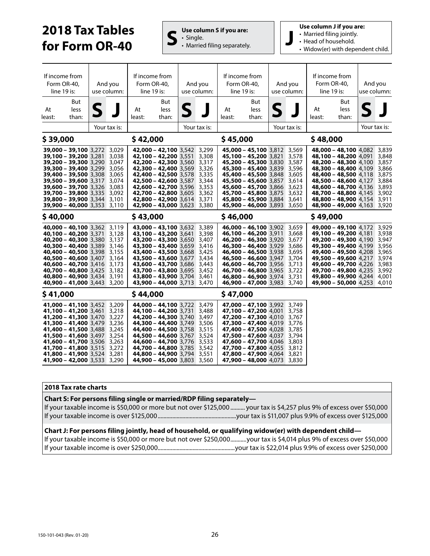# **2018 Tax Tables for Form OR-40 S**  $\left| \begin{array}{c} \mathsf{Use} \text{ column S if you are:} \\ \mathsf{S} \end{array} \right|$



• Married filing separately. **J**

**Use column J if you are:**

- Married filing jointly.
- Head of household.
- Widow(er) with dependent child.

|              | If income from<br>Form OR-40,<br>line 19 is:                                                                                                                                                                                                                                                                        |   | And you<br>use column:                                               | If income from<br>Form OR-40,<br>line 19 is: |                                                                                                                                                                                                                                                                                  |                 | And you<br>use column:                                               | If income from<br>Form OR-40,<br>line 19 is: |                                                                                                                                                                                                                                                                                                |   | And you<br>use column:                                                        | If income from<br>Form OR-40,<br>line 19 is:                                                                                                                                                                                                                                                          |                      | And you | use column:                                                                   |
|--------------|---------------------------------------------------------------------------------------------------------------------------------------------------------------------------------------------------------------------------------------------------------------------------------------------------------------------|---|----------------------------------------------------------------------|----------------------------------------------|----------------------------------------------------------------------------------------------------------------------------------------------------------------------------------------------------------------------------------------------------------------------------------|-----------------|----------------------------------------------------------------------|----------------------------------------------|------------------------------------------------------------------------------------------------------------------------------------------------------------------------------------------------------------------------------------------------------------------------------------------------|---|-------------------------------------------------------------------------------|-------------------------------------------------------------------------------------------------------------------------------------------------------------------------------------------------------------------------------------------------------------------------------------------------------|----------------------|---------|-------------------------------------------------------------------------------|
| At<br>least: | But<br>less<br>than:                                                                                                                                                                                                                                                                                                | S |                                                                      | At<br>least:                                 | But<br>less<br>than:                                                                                                                                                                                                                                                             | $\blacklozenge$ |                                                                      | At<br>least:                                 | But<br>less<br>than:                                                                                                                                                                                                                                                                           | S |                                                                               | At<br>least:                                                                                                                                                                                                                                                                                          | But<br>less<br>than: |         |                                                                               |
|              |                                                                                                                                                                                                                                                                                                                     |   | Your tax is:                                                         |                                              |                                                                                                                                                                                                                                                                                  |                 | Your tax is:                                                         |                                              |                                                                                                                                                                                                                                                                                                |   | Your tax is:                                                                  |                                                                                                                                                                                                                                                                                                       |                      |         | Your tax is:                                                                  |
| \$39,000     |                                                                                                                                                                                                                                                                                                                     |   |                                                                      | \$42,000                                     |                                                                                                                                                                                                                                                                                  |                 |                                                                      | \$45,000                                     |                                                                                                                                                                                                                                                                                                |   |                                                                               | \$48,000                                                                                                                                                                                                                                                                                              |                      |         |                                                                               |
|              | 39,000 - 39,100 3,272 3,029<br><b>39,100 - 39,200 3.281</b><br>39,200 - 39,300 3,290<br><b>39,300 - 39,400</b> 3,299<br><b>39,400 - 39,500 3,308</b><br><b>39,500 - 39,600</b> 3,317<br><b>39,600 - 39,700 3,326</b><br><b>39,700 - 39,800 3,335</b><br>39,800 - 39,900 3,344<br><b>39,900 - 40,000</b> 3,353 3,110 |   | 3,038<br>3,047<br>3,056<br>3.065<br>3,074<br>3,083<br>3,092<br>3,101 |                                              | 42,000 - 42,100 3,542 3,299<br>42,100 - 42,200 3.551<br>42,200 - 42,300 3,560<br><b>42,300 - 42,400</b> 3,569<br>42,400 - 42,500 3.578<br>42,500 - 42,600 3,587<br>42,600 - 42,700 3,596<br><b>42,700 - 42,800 3,605</b><br>42,800 - 42,900 3,614<br>42,900 - 43,000 3,623 3,380 |                 | 3,308<br>3,317<br>3,326<br>3,335<br>3,344<br>3,353<br>3,362<br>3,371 |                                              | 45,000 - 45,100 3,812 3,569<br><b>45,100 - 45,200</b> 3,821<br>45,200 - 45,300 3,830<br><b>45,300 - 45,400</b> 3,839<br><b>45,400 - 45,500</b> 3,848<br>45,500 - 45,600 3,857<br>45,600 - 45,700 3,866<br><b>45,700 - 45,800</b> 3,875<br>45,800 - 45,900 3,884<br>45,900 - 46,000 3,893 3,650 |   | 3,578<br>3,587<br>3,596<br>3,605<br>3,614<br>3,623<br>3,632<br>3,641          | <b>48,000 - 48,100</b> 4,082 3,839<br>48,100 - 48,200 4.091<br>48,200 - 48,300 4,100<br><b>48,300 - 48,400 4,109</b><br>48,400 - 48,500 4.118<br>48,500 - 48,600 4,127<br>48,600 - 48,700 4,136<br><b>48,700 - 48,800 4.145</b><br><b>48,800 - 48,900</b> 4,154<br><b>48,900 - 49,000</b> 4,163 3,920 |                      |         | 3,848<br>3,857<br>3,866<br>3,875<br>3,884<br>3,893<br>3,902<br>3,911          |
| \$40,000     |                                                                                                                                                                                                                                                                                                                     |   |                                                                      | \$43,000                                     |                                                                                                                                                                                                                                                                                  |                 |                                                                      | \$46,000                                     |                                                                                                                                                                                                                                                                                                |   |                                                                               | \$49,000                                                                                                                                                                                                                                                                                              |                      |         |                                                                               |
|              | 40,000 - 40,100 3,362 3,119<br>40,100 - 40,200 3,371<br>40,200 - 40,300 3,380 3,137<br><b>40,300 - 40,400</b> 3,389<br>40,400 - 40,500 3,398<br>40,500 - 40,600 3,407<br>40,600 - 40,700 3,416<br><b>40,700 - 40,800 3,425</b><br>40,800 - 40,900 3,434<br><b>40,900 - 41,000</b> 3,443                             |   | 3,128<br>3,146<br>3,155<br>3,164<br>3,173<br>3,182<br>3,191<br>3,200 |                                              | 43,000 - 43,100 3,632 3,389<br>43,100 - 43,200 3,641<br>43,200 - 43,300 3,650 3,407<br><b>43,300 - 43,400</b> 3,659<br>43,400 - 43,500 3,668<br>43,500 - 43,600 3,677<br>43,600 - 43,700 3,686<br>43,700 - 43,800 3,695<br>43,800 - 43,900 3,704<br>43,900 - 44,000 3,713        |                 | 3,398<br>3,416<br>3,425<br>3,434<br>3,443<br>3,452<br>3,461<br>3,470 |                                              | 46,000 - 46,100 3,902 3,659<br>46,100 - 46,200 3,911<br>46,200 - 46,300 3,920<br><b>46,300 - 46,400</b> 3,929<br>46,400 - 46,500 3,938<br>46,500 - 46,600 3,947<br>46,600 - 46,700 3,956<br><b>46,700 - 46,800</b> 3,965<br>46,800 - 46,900 3,974<br><b>46,900 - 47,000</b> 3,983              |   | 3,668<br>3.677<br>3,686<br>3,695<br>3,704<br>3,713<br>3.722<br>3,731<br>3,740 | 49,000 - 49,100 4,172<br>49,100 - 49,200 4,181<br>49,200 - 49,300 4,190<br><b>49,300 - 49,400</b> 4,199<br>49,400 - 49,500 4,208<br>49,500 - 49,600 4,217<br><b>49,600 - 49,700</b> 4,226<br><b>49,700 - 49,800</b> 4,235<br>49,800 - 49,900 4,244<br><b>49,900 - 50,000</b> 4,253 4,010              |                      |         | 3.929<br>3,938<br>3,947<br>3,956<br>3,965<br>3,974<br>3,983<br>3,992<br>4,001 |
| \$41,000     |                                                                                                                                                                                                                                                                                                                     |   |                                                                      | \$44,000                                     |                                                                                                                                                                                                                                                                                  |                 |                                                                      | \$47,000                                     |                                                                                                                                                                                                                                                                                                |   |                                                                               |                                                                                                                                                                                                                                                                                                       |                      |         |                                                                               |
|              | 41,000 - 41,100 3,452 3,209<br>41,100 - 41,200 3,461 3,218<br><b>41,200 – 41,300</b> 3,470<br>41,300 - 41,400 3,479 3,236<br>41,400 - 41,500 3,488 3,245<br>41,500 - 41,600 3,497<br>41,600 - 41,700 3,506<br>41,700 - 41,800 3,515<br>41,800 - 41,900 3,524<br>41,900 - 42,000 3,533 3,290                         |   | 3,227<br>3,254<br>3,263<br>3,272<br>3,281                            |                                              | 44,000 - 44,100 3,722 3,479<br>44,100 - 44,200 3,731<br>44,200 - 44,300 3,740<br>44,300 - 44,400 3.749<br>44,400 - 44,500 3,758 3,515<br>44,500 - 44,600 3,767<br>44,600 - 44,700 3,776<br>44,700 - 44,800 3,785<br>44,800 - 44,900 3,794<br><b>44,900 - 45,000</b> 3,803 3,560  |                 | 3,488<br>3,497<br>3,506<br>3,524<br>3,533<br>3,542<br>3,551          |                                              | 47,000 - 47,100 3,992 3,749<br>47,100 - 47,200 4,001<br>47,200 - 47,300 4,010<br><b>47,300 - 47,400</b> 4,019<br>47,400 - 47,500 4,028<br>47,500 - 47,600 4,037<br><b>47,600 - 47,700</b> 4,046<br>47,700 - 47,800 4,055 3,812<br>47,800 - 47,900 4,064<br><b>47,900 - 48,000</b> 4,073 3,830  |   | 3,758<br>3.767<br>3,776<br>3,785<br>3,794<br>3,803<br>3,821                   |                                                                                                                                                                                                                                                                                                       |                      |         |                                                                               |

#### **2018 Tax rate charts**

#### **Chart S: For persons filing single or married/RDP filing separately—**

If your taxable income is \$50,000 or more but not over \$125,000 .......... your tax is \$4,257 plus 9% of excess over \$50,000 If your taxable income is over \$125,000 ......................................................your tax is \$11,007 plus 9.9% of excess over \$125,000

#### **Chart J: For persons filing jointly, head of household, or qualifying widow(er) with dependent child—**

If your taxable income is \$50,000 or more but not over \$250,000 ...........your tax is \$4,014 plus 9% of excess over \$50,000 If your taxable income is over \$250,000.....................................................your tax is \$22,014 plus 9.9% of excess over \$250,000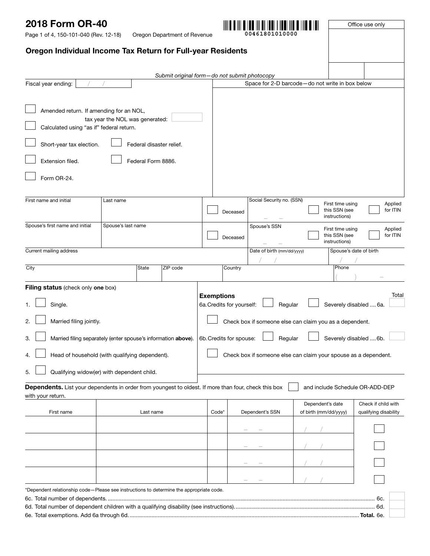Page 1 of 4, 150-101-040 (Rev. 12-18)

Oregon Department of Revenue

**00461801010000**

Office use only

## Oregon Individual Income Tax Return for Full-year Residents

|                                                                                                                           |                                                               | Submit original form-do not submit photocopy |                                                              |                                       |                                                                 |                                              |  |  |
|---------------------------------------------------------------------------------------------------------------------------|---------------------------------------------------------------|----------------------------------------------|--------------------------------------------------------------|---------------------------------------|-----------------------------------------------------------------|----------------------------------------------|--|--|
| Fiscal year ending:                                                                                                       |                                                               |                                              |                                                              |                                       | Space for 2-D barcode-do not write in box below                 |                                              |  |  |
| Amended return. If amending for an NOL,<br>Calculated using "as if" federal return.                                       | tax year the NOL was generated:                               |                                              |                                                              |                                       |                                                                 |                                              |  |  |
| Short-year tax election.                                                                                                  | Federal disaster relief.                                      |                                              |                                                              |                                       |                                                                 |                                              |  |  |
| Extension filed.                                                                                                          | Federal Form 8886.                                            |                                              |                                                              |                                       |                                                                 |                                              |  |  |
| Form OR-24.                                                                                                               |                                                               |                                              |                                                              |                                       |                                                                 |                                              |  |  |
| First name and initial                                                                                                    | Last name                                                     |                                              |                                                              | Social Security no. (SSN)<br>Deceased | First time using<br>this SSN (see<br>instructions)              | Applied<br>for ITIN                          |  |  |
| Spouse's first name and initial                                                                                           | Spouse's last name                                            |                                              |                                                              | Spouse's SSN<br>Deceased              | First time using<br>this SSN (see<br>instructions)              | Applied<br>for ITIN                          |  |  |
| Current mailing address                                                                                                   |                                                               |                                              |                                                              | Date of birth (mm/dd/yyyy)            |                                                                 | Spouse's date of birth                       |  |  |
| City                                                                                                                      | State                                                         | ZIP code                                     |                                                              | Country                               | Phone                                                           |                                              |  |  |
| Filing status (check only one box)                                                                                        |                                                               |                                              |                                                              |                                       |                                                                 |                                              |  |  |
| Single.                                                                                                                   |                                                               |                                              | <b>Exemptions</b><br>6a. Credits for yourself:               | Regular                               |                                                                 | Total<br>Severely disabled  6a.              |  |  |
| Married filing jointly.<br>2.                                                                                             |                                                               |                                              |                                                              |                                       | Check box if someone else can claim you as a dependent.         |                                              |  |  |
| 3.                                                                                                                        | Married filing separately (enter spouse's information above). |                                              | 6b. Credits for spouse:<br>Severely disabled  6b.<br>Regular |                                       |                                                                 |                                              |  |  |
| 4.                                                                                                                        | Head of household (with qualifying dependent).                |                                              |                                                              |                                       | Check box if someone else can claim your spouse as a dependent. |                                              |  |  |
| 5.                                                                                                                        | Qualifying widow(er) with dependent child.                    |                                              |                                                              |                                       |                                                                 |                                              |  |  |
| Dependents. List your dependents in order from youngest to oldest. If more than four, check this box<br>with your return. |                                                               |                                              |                                                              |                                       | and include Schedule OR-ADD-DEP                                 |                                              |  |  |
| First name                                                                                                                | Last name                                                     |                                              | Code*                                                        | Dependent's SSN                       | Dependent's date<br>of birth (mm/dd/yyyy)                       | Check if child with<br>qualifying disability |  |  |
|                                                                                                                           |                                                               |                                              |                                                              |                                       |                                                                 |                                              |  |  |
|                                                                                                                           |                                                               |                                              |                                                              |                                       |                                                                 |                                              |  |  |
|                                                                                                                           |                                                               |                                              |                                                              |                                       |                                                                 |                                              |  |  |
|                                                                                                                           |                                                               |                                              |                                                              |                                       |                                                                 |                                              |  |  |
| *Dependent relationship code-Please see instructions to determine the appropriate code.                                   |                                                               |                                              |                                                              |                                       |                                                                 |                                              |  |  |
|                                                                                                                           |                                                               |                                              |                                                              |                                       |                                                                 | 6с.                                          |  |  |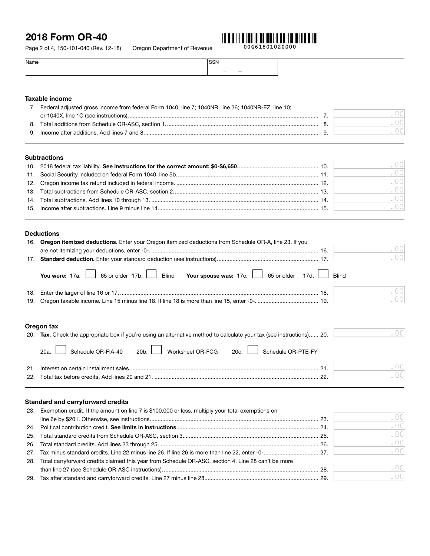Page 2 of 4, 150-101-040 (Rev. 12-18) Oregon Department of Revenue



| Name | CON<br>וככ                                                                                                                                                                                                                                                                                                                                                                                                                                                                                                    |
|------|---------------------------------------------------------------------------------------------------------------------------------------------------------------------------------------------------------------------------------------------------------------------------------------------------------------------------------------------------------------------------------------------------------------------------------------------------------------------------------------------------------------|
|      | $\frac{1}{2} \left( \frac{1}{2} \right) \left( \frac{1}{2} \right) \left( \frac{1}{2} \right) \left( \frac{1}{2} \right) \left( \frac{1}{2} \right) \left( \frac{1}{2} \right) \left( \frac{1}{2} \right) \left( \frac{1}{2} \right) \left( \frac{1}{2} \right) \left( \frac{1}{2} \right) \left( \frac{1}{2} \right) \left( \frac{1}{2} \right) \left( \frac{1}{2} \right) \left( \frac{1}{2} \right) \left( \frac{1}{2} \right) \left( \frac{1}{2} \right) \left( \frac$<br>the contract of the contract of |

#### Taxable income

|    | Federal adjusted gross income from federal Form 1040, line 7; 1040NR, line 36; 1040NR-EZ, line 10; |  |
|----|----------------------------------------------------------------------------------------------------|--|
|    |                                                                                                    |  |
| 8. |                                                                                                    |  |
|    |                                                                                                    |  |
|    |                                                                                                    |  |

#### **Subtractions**

|  | .001 |
|--|------|
|  | .001 |
|  | .001 |
|  | .001 |
|  | .001 |
|  | .001 |
|  |      |

#### Deductions

|     | 16. Oregon itemized deductions. Enter your Oregon itemized deductions from Schedule OR-A, line 23. If you |     |
|-----|-----------------------------------------------------------------------------------------------------------|-----|
|     |                                                                                                           | .00 |
| 17. |                                                                                                           | .00 |
|     | You were: 17a. 65 or older 17b. Blind Your spouse was: 17c. 65 or older 17d. Blind                        |     |
| 18. |                                                                                                           | .00 |
|     |                                                                                                           | .00 |
|     |                                                                                                           |     |

#### Oregon tax

|     | 20. Tax. Check the appropriate box if you're using an alternative method to calculate your tax (see instructions) 20. | $\left( \begin{array}{c} 0 \end{array} \right)$ |
|-----|-----------------------------------------------------------------------------------------------------------------------|-------------------------------------------------|
|     | 20a. Schedule OR-FIA-40 20b. Worksheet OR-FCG 20c. Schedule OR-PTE-FY                                                 |                                                 |
| 21. | - 01                                                                                                                  | ()()                                            |
|     | າາ                                                                                                                    | $\Omega$                                        |

#### Standard and carryforward credits

| 23. Exemption credit. If the amount on line 7 is \$100,000 or less, multiply your total exemptions on   |      |
|---------------------------------------------------------------------------------------------------------|------|
|                                                                                                         | .00  |
|                                                                                                         | .00  |
|                                                                                                         | .001 |
|                                                                                                         | .001 |
|                                                                                                         | .001 |
| 28. Total carryforward credits claimed this year from Schedule OR-ASC, section 4. Line 28 can't be more |      |
|                                                                                                         | .00  |
|                                                                                                         | .001 |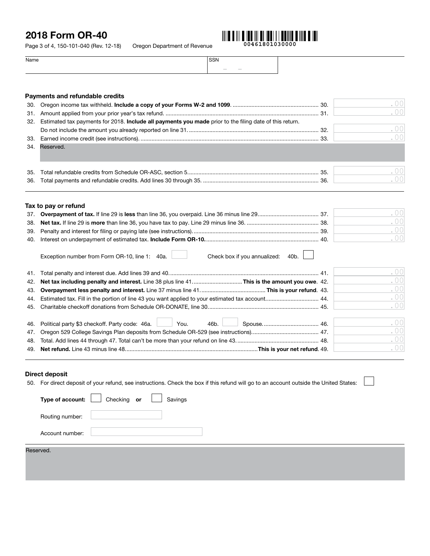Page 3 of 4, 150-101-040 (Rev. 12-18) Oregon Department of Revenue



 $0<sup>0</sup>$ 0C

 $\overline{0}$  $\overline{0}$ 

. 00 . 00

| Name | <b>SSN</b>                         |  |
|------|------------------------------------|--|
|      | the contract of the con-<br>$\sim$ |  |

## Payments and refundable credits 30. Oregon income tax withheld. Include a copy of your Forms W-2 and 1099. ....................................................... 30. 31. Amount applied from your prior year's tax refund. .................................................................................................. 31. 32. Estimated tax payments for 2018. Include all payments you made prior to the filing date of this return. Do not include the amount you already reported on line 31. ................................................................................... 32. 33. Earned income credit (see instructions). .................................................................................................................. 33. 34. Reserved. Enter your kicker amount (see instructions). Enter your kicker amount (see instructions). If you elect to donate your kicker to the State School Fund, enter -0- and see line 53. ................................. 34. 35. Total refundable credits from Schedule OR-ASC, section 5. ................................................................................... 35. 36. Total payments and refundable credits. Add lines 30 through 35. .......................................................................... 36.

| Tax to pay or refund |       |
|----------------------|-------|
|                      | ( )() |
|                      | ( )() |
|                      | . 00  |
| 40.                  | .00   |
|                      |       |

| Exception number from Form OR-10, line 1: 40a.<br>Check box if you annualized:<br>40b. |        |
|----------------------------------------------------------------------------------------|--------|
|                                                                                        | .00    |
|                                                                                        | .00    |
|                                                                                        | .00    |
|                                                                                        | .00    |
|                                                                                        | .00    |
|                                                                                        |        |
| 46. Political party \$3 checkoff. Party code: 46a. 46.<br>46b. I                       | . $00$ |
|                                                                                        | .00    |
|                                                                                        | .00    |
|                                                                                        | .00    |

#### Direct deposit

50. For direct deposit of your refund, see instructions. Check the box if this refund will go to an account outside the United States:

| Type of account: | Checking or | Savings |  |  |  |
|------------------|-------------|---------|--|--|--|
| Routing number:  |             |         |  |  |  |
| Account number:  |             |         |  |  |  |
| Reserved.        |             |         |  |  |  |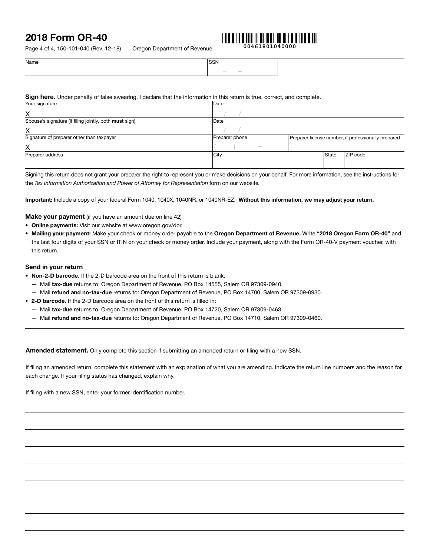Page 4 of 4, 150-101-040 (Rev. 12-18) Oregon Department of Revenue



**00461801040000**

| Name | SSN              |
|------|------------------|
|      | $\sim$<br>$\sim$ |

#### Sign here. Under penalty of false swearing, I declare that the information in this return is true, correct, and complete.

| Your signature                                         | Date           |              |                                                     |
|--------------------------------------------------------|----------------|--------------|-----------------------------------------------------|
| Χ                                                      |                |              |                                                     |
| Spouse's signature (if filing jointly, both must sign) | Date           |              |                                                     |
| Χ                                                      |                |              |                                                     |
| Signature of preparer other than taxpayer              | Preparer phone |              | Preparer license number, if professionally prepared |
| x                                                      | $\frac{1}{2}$  |              |                                                     |
| Preparer address                                       | City           | <b>State</b> | ZIP code                                            |
|                                                        |                |              |                                                     |

Signing this return does not grant your preparer the right to represent you or make decisions on your behalf. For more information, see the instructions for the *Tax Information Authorization and Power of Attorney for Representation* form on our website*.* 

Important: Include a copy of your federal Form 1040, 1040X, 1040NR*,* or 1040NR-EZ. Without this information, we may adjust your return.

**Make your payment** (if you have an amount due on line 42)

- Online payments: Visit our website at www.oregon.gov/dor.
- Mailing your payment: Make your check or money order payable to the Oregon Department of Revenue. Write "2018 Oregon Form OR-40" and the last four digits of your SSN or ITIN on your check or money order. Include your payment, along with the Form OR-40-V payment voucher, with this return.

#### Send in your return

- Non-2-D barcode. If the 2-D barcode area on the front of this return is blank:
	- Mail tax-due returns to: Oregon Department of Revenue, PO Box 14555, Salem OR 97309-0940.
	- Mail refund and no-tax-due returns to: Oregon Department of Revenue, PO Box 14700, Salem OR 97309-0930.
- 2-D barcode. If the 2-D barcode area on the front of this return is filled in:
	- Mail tax-due returns to: Oregon Department of Revenue, PO Box 14720, Salem OR 97309-0463.
	- Mail refund and no-tax-due returns to: Oregon Department of Revenue, PO Box 14710, Salem OR 97309-0460.

Amended statement. Only complete this section if submitting an amended return or filing with a new SSN.

If filing an amended return, complete this statement with an explanation of what you are amending. Indicate the return line numbers and the reason for each change. If your filing status has changed, explain why.

If filing with a new SSN, enter your former identification number.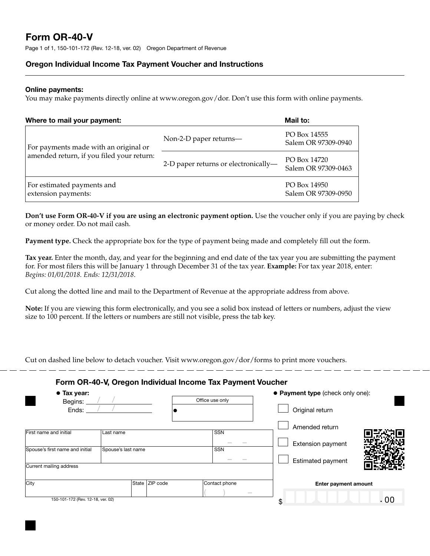# Form OR-40-V

Page 1 of 1, 150-101-172 (Rev. 12-18, ver. 02) Oregon Department of Revenue

### Oregon Individual Income Tax Payment Voucher and Instructions

#### Online payments:

You may make payments directly online at www.oregon.gov/dor. Don't use this form with online payments.

| Where to mail your payment:                                                        |                                                   |                                     | Mail to:                            |  |
|------------------------------------------------------------------------------------|---------------------------------------------------|-------------------------------------|-------------------------------------|--|
| For payments made with an original or<br>amended return, if you filed your return: | Non-2-D paper returns—                            | PO Box 14555<br>Salem OR 97309-0940 |                                     |  |
|                                                                                    | 2-D paper returns or electronically-              | PO Box 14720<br>Salem OR 97309-0463 |                                     |  |
|                                                                                    | For estimated payments and<br>extension payments: |                                     | PO Box 14950<br>Salem OR 97309-0950 |  |

**Don't use Form OR-40-V if you are using an electronic payment option.** Use the voucher only if you are paying by check or money order. Do not mail cash.

**Payment type.** Check the appropriate box for the type of payment being made and completely fill out the form.

**Tax year.** Enter the month, day, and year for the beginning and end date of the tax year you are submitting the payment for. For most filers this will be January 1 through December 31 of the tax year. **Example:** For tax year 2018, enter: *Begins: 01/01/2018. Ends: 12/31/2018*.

Cut along the dotted line and mail to the Department of Revenue at the appropriate address from above.

**Note:** If you are viewing this form electronically, and you see a solid box instead of letters or numbers, adjust the view size to 100 percent. If the letters or numbers are still not visible, press the tab key.

Cut on dashed line below to detach voucher. Visit www.oregon.gov/dor/forms to print more vouchers.

#### Form OR-40-V, Oregon Individual Income Tax Payment Voucher

| $\bullet$ Tax year:<br>Begins:    |                    |                | Office use only                                                                                                                                                                                                                                                                                                                                                                                                                                                            | • Payment type (check only one): |  |
|-----------------------------------|--------------------|----------------|----------------------------------------------------------------------------------------------------------------------------------------------------------------------------------------------------------------------------------------------------------------------------------------------------------------------------------------------------------------------------------------------------------------------------------------------------------------------------|----------------------------------|--|
| Ends:                             |                    |                |                                                                                                                                                                                                                                                                                                                                                                                                                                                                            | Original return                  |  |
| First name and initial            | Last name          |                | <b>SSN</b>                                                                                                                                                                                                                                                                                                                                                                                                                                                                 | Amended return                   |  |
| Spouse's first name and initial   | Spouse's last name |                | SSN                                                                                                                                                                                                                                                                                                                                                                                                                                                                        | Extension payment                |  |
|                                   |                    |                |                                                                                                                                                                                                                                                                                                                                                                                                                                                                            | <b>Estimated payment</b>         |  |
| Current mailing address           |                    |                |                                                                                                                                                                                                                                                                                                                                                                                                                                                                            |                                  |  |
| City                              |                    | State ZIP code | Contact phone                                                                                                                                                                                                                                                                                                                                                                                                                                                              | Enter payment amount             |  |
| 150-101-172 (Rev. 12-18, ver. 02) |                    |                | $\frac{1}{2} \left( \frac{1}{2} \right) \left( \frac{1}{2} \right) \left( \frac{1}{2} \right) \left( \frac{1}{2} \right) \left( \frac{1}{2} \right) \left( \frac{1}{2} \right) \left( \frac{1}{2} \right) \left( \frac{1}{2} \right) \left( \frac{1}{2} \right) \left( \frac{1}{2} \right) \left( \frac{1}{2} \right) \left( \frac{1}{2} \right) \left( \frac{1}{2} \right) \left( \frac{1}{2} \right) \left( \frac{1}{2} \right) \left( \frac{1}{2} \right) \left( \frac$ | . 00<br>\$                       |  |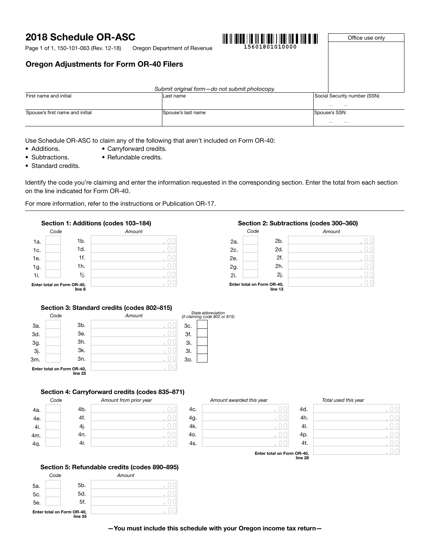# 2018 Schedule OR-ASC

Oregon Department of Revenue **15601801010000** Page 1 of 1, 150-101-063 (Rev. 12-18)

# 

Office use only

|  | <b>Oregon Adjustments for Form OR-40 Filers</b> |  |  |  |
|--|-------------------------------------------------|--|--|--|
|--|-------------------------------------------------|--|--|--|

|                                 | Submit original form-do not submit photocopy. |                                          |
|---------------------------------|-----------------------------------------------|------------------------------------------|
| First name and initial          | Last name                                     | Social Security number (SSN)             |
|                                 |                                               | $\sim$                                   |
| Spouse's first name and initial | Spouse's last name                            | Spouse's SSN<br><b>Contract Contract</b> |

Use Schedule OR-ASC to claim any of the following that aren't included on Form OR-40:

- Additions. Carryforward credits.
- Subtractions. Refundable credits.
- Standard credits.

Identify the code you're claiming and enter the information requested in the corresponding section. Enter the total from each section on the line indicated for Form OR-40.

For more information, refer to the instructions or Publication OR-17.

### Section 1: Additions (codes 103–184)



## Section 2: Subtractions (codes 300–360)

| Code                                  |  |        | Amount |  |  |
|---------------------------------------|--|--------|--------|--|--|
| 2a.                                   |  | $2b$ . |        |  |  |
| 2c.                                   |  | 2d.    |        |  |  |
| 2e.                                   |  | 2f.    | ó      |  |  |
|                                       |  | 2h.    |        |  |  |
| 2g.<br>2i.                            |  | 2j.    | ó      |  |  |
| Enter total on Form OR-40,<br>line 13 |  |        |        |  |  |

#### Section 3: Standard credits (codes 802–815)

|            | Code |                                       | Amount | (if cl |
|------------|------|---------------------------------------|--------|--------|
| 3a.        |      | 3b.                                   |        | 3c     |
| 3d.        |      | 3e.                                   |        | 3f     |
|            |      | 3h.                                   |        | 3      |
| 3g.<br>3j. |      | 3k.                                   |        | 31     |
| 3m.        |      | 3n.                                   |        | 3c     |
|            |      | Enter total on Form OR-40,<br>line 25 |        |        |



#### Section 4: Carryforward credits (codes 835–871)

|     | Code |     | Amount from prior year |   |
|-----|------|-----|------------------------|---|
| 4a. |      | 4b. |                        | 4 |
| 4e. |      | 4f. |                        | 4 |
| 4i. |      | 4j. |                        | 4 |
| 4m. |      | 4n. |                        | 4 |
| 4q. |      | 4r. |                        | 4 |
|     |      |     |                        |   |

| Amount awarded this year |  |
|--------------------------|--|
|                          |  |
|                          |  |
|                          |  |
|                          |  |
|                          |  |

#### 4h. 4l. 4t. *Amount awarded this year Total used this year*  $\overline{0}$  $\overline{0}$  $\sigma$  $\sigma$  $\bigcirc$ .00 .00

Enter total on Form OR-40, line 28

#### Section 5: Refundable credits (codes 890–895)

|     | Code |                                       | Amount |  |
|-----|------|---------------------------------------|--------|--|
| 5a. |      | 5 <sub>b</sub> .                      |        |  |
| 5c. |      | 5d.                                   |        |  |
| 5e. |      | 5f.                                   |        |  |
|     |      | Enter total on Form OR-40,<br>line 35 |        |  |

—You must include this schedule with your Oregon income tax return—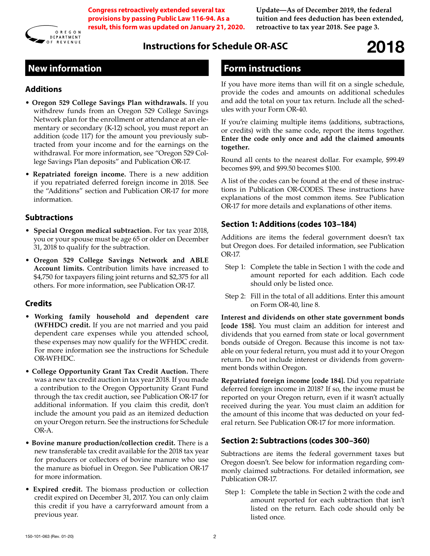

**Congress retroactively extended several tax provisions by passing Public Law 116-94. As a result, this form was updated on January 21, 2020.**

**Update—As of December 2019, the federal tuition and fees deduction has been extended, retroactive to tax year 2018. See page 3.**

# **Instructions for Schedule OR-ASC** 2018

# **New information**

### **Additions**

- **Oregon 529 College Savings Plan withdrawals.** If you withdrew funds from an Oregon 529 College Savings Network plan for the enrollment or attendance at an elementary or secondary (K-12) school, you must report an addition (code 117) for the amount you previously subtracted from your income and for the earnings on the withdrawal. For more information, see "Oregon 529 College Savings Plan deposits" and Publication OR-17.
- **Repatriated foreign income.** There is a new addition if you repatriated deferred foreign income in 2018. See the "Additions" section and Publication OR-17 for more information.

#### **Subtractions**

- **Special Oregon medical subtraction.** For tax year 2018, you or your spouse must be age 65 or older on December 31, 2018 to qualify for the subtraction.
- **Oregon 529 College Savings Network and ABLE Account limits.** Contribution limits have increased to \$4,750 for taxpayers filing joint returns and \$2,375 for all others. For more information, see Publication OR-17.

## **Credits**

- **Working family household and dependent care (WFHDC) credit.** If you are not married and you paid dependent care expenses while you attended school, these expenses may now qualify for the WFHDC credit. For more information see the instructions for Schedule OR-WFHDC.
- **College Opportunity Grant Tax Credit Auction.** There was a new tax credit auction in tax year 2018. If you made a contribution to the Oregon Opportunity Grant Fund through the tax credit auction, see Publication OR-17 for additional information. If you claim this credit, don't include the amount you paid as an itemized deduction on your Oregon return. See the instructions for Schedule OR-A.
- **Bovine manure production/collection credit.** There is a new transferable tax credit available for the 2018 tax year for producers or collectors of bovine manure who use the manure as biofuel in Oregon. See Publication OR-17 for more information.
- **Expired credit.** The biomass production or collection credit expired on December 31, 2017. You can only claim this credit if you have a carryforward amount from a previous year.

# **Form instructions**

If you have more items than will fit on a single schedule, provide the codes and amounts on additional schedules and add the total on your tax return. Include all the schedules with your Form OR-40.

If you're claiming multiple items (additions, subtractions, or credits) with the same code, report the items together. **Enter the code only once and add the claimed amounts together.**

Round all cents to the nearest dollar. For example, \$99.49 becomes \$99, and \$99.50 becomes \$100.

A list of the codes can be found at the end of these instructions in Publication OR-CODES. These instructions have explanations of the most common items. See Publication OR-17 for more details and explanations of other items.

## **Section 1: Additions (codes 103–184)**

Additions are items the federal government doesn't tax but Oregon does. For detailed information, see Publication OR-17.

- Step 1: Complete the table in Section 1 with the code and amount reported for each addition. Each code should only be listed once.
- Step 2: Fill in the total of all additions. Enter this amount on Form OR-40, line 8.

**Interest and dividends on other state government bonds [code 158].** You must claim an addition for interest and dividends that you earned from state or local government bonds outside of Oregon. Because this income is not taxable on your federal return, you must add it to your Oregon return. Do not include interest or dividends from government bonds within Oregon.

**Repatriated foreign income [code 184].** Did you repatriate deferred foreign income in 2018? If so, the income must be reported on your Oregon return, even if it wasn't actually received during the year. You must claim an addition for the amount of this income that was deducted on your federal return. See Publication OR-17 for more information.

## **Section 2: Subtractions (codes 300–360)**

Subtractions are items the federal government taxes but Oregon doesn't. See below for information regarding commonly claimed subtractions. For detailed information, see Publication OR-17.

Step 1: Complete the table in Section 2 with the code and amount reported for each subtraction that isn't listed on the return. Each code should only be listed once.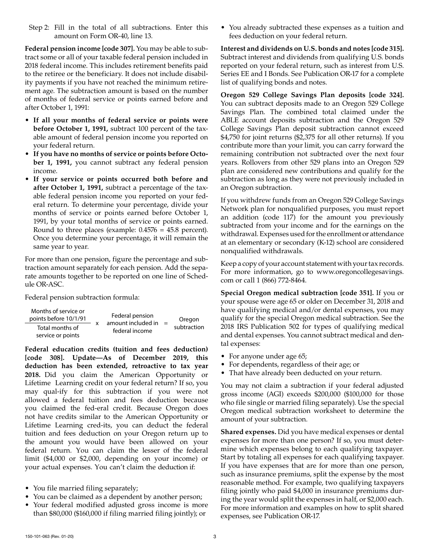Step 2: Fill in the total of all subtractions. Enter this amount on Form OR-40, line 13.

**Federal pension income [code 307].** You may be able to subtract some or all of your taxable federal pension included in 2018 federal income. This includes retirement benefits paid to the retiree or the beneficiary. It does not include disability payments if you have not reached the minimum retirement age. The subtraction amount is based on the number of months of federal service or points earned before and after October 1, 1991:

- **If all your months of federal service or points were before October 1, 1991,** subtract 100 percent of the taxable amount of federal pension income you reported on your federal return.
- **If you have no months of service or points before October 1, 1991,** you cannot subtract any federal pension income.
- **If your service or points occurred both before and after October 1, 1991,** subtract a percentage of the taxable federal pension income you reported on your federal return. To determine your percentage, divide your months of service or points earned before October 1, 1991, by your total months of service or points earned. Round to three places (example: 0.4576 = 45.8 percent). Once you determine your percentage, it will remain the same year to year.

For more than one pension, figure the percentage and subtraction amount separately for each pension. Add the separate amounts together to be reported on one line of Schedule OR-ASC.

Federal pension subtraction formula:

| Months of service or<br>points before 10/1/91 |  | Federal pension                      | $=$ | Oregon      |
|-----------------------------------------------|--|--------------------------------------|-----|-------------|
| Total months of<br>service or points          |  | amount included in<br>federal income |     | subtraction |

**Federal education credits (tuition and fees deduction) [code 308]. Update—As of December 2019, this deduction has been extended, retroactive to tax year 2018.** Did you claim the American Opportunity or Lifetime Learning credit on your federal return? If so, you may qual-ify for this subtraction if you were not allowed a federal tuition and fees deduction because you claimed the fed-eral credit. Because Oregon does not have credits similar to the American Opportunity or Lifetime Learning cred-its, you can deduct the federal tuition and fees deduction on your Oregon return up to the amount you would have been allowed on your federal return. You can claim the lesser of the federal limit (\$4,000 or \$2,000, depending on your income) or your actual expenses. You can't claim the deduction if:

- You file married filing separately;
- You can be claimed as a dependent by another person;
- Your federal modified adjusted gross income is more than \$80,000 (\$160,000 if filing married filing jointly); or

• You already subtracted these expenses as a tuition and fees deduction on your federal return.

**Interest and dividends on U.S. bonds and notes [code 315].**  Subtract interest and dividends from qualifying U.S. bonds reported on your federal return, such as interest from U.S. Series EE and I Bonds. See Publication OR-17 for a complete list of qualifying bonds and notes.

**Oregon 529 College Savings Plan deposits [code 324].**  You can subtract deposits made to an Oregon 529 College Savings Plan. The combined total claimed under the ABLE account deposits subtraction and the Oregon 529 College Savings Plan deposit subtraction cannot exceed \$4,750 for joint returns (\$2,375 for all other returns). If you contribute more than your limit, you can carry forward the remaining contribution not subtracted over the next four years. Rollovers from other 529 plans into an Oregon 529 plan are considered new contributions and qualify for the subtraction as long as they were not previously included in an Oregon subtraction.

If you withdrew funds from an Oregon 529 College Savings Network plan for nonqualified purposes, you must report an addition (code 117) for the amount you previously subtracted from your income and for the earnings on the withdrawal. Expenses used for the enrollment or attendance at an elementary or secondary (K-12) school are considered nonqualified withdrawals.

Keep a copy of your account statement with your tax records. For more information, go to www.oregoncollegesavings. com or call 1 (866) 772-8464.

**Special Oregon medical subtraction [code 351].** If you or your spouse were age 65 or older on December 31, 2018 and have qualifying medical and/or dental expenses, you may qualify for the special Oregon medical subtraction. See the 2018 IRS Publication 502 for types of qualifying medical and dental expenses. You cannot subtract medical and dental expenses:

- For anyone under age 65;
- For dependents, regardless of their age; or
- That have already been deducted on your return.

You may not claim a subtraction if your federal adjusted gross income (AGI) exceeds \$200,000 (\$100,000 for those who file single or married filing separately). Use the special Oregon medical subtraction worksheet to determine the amount of your subtraction.

**Shared expenses.** Did you have medical expenses or dental expenses for more than one person? If so, you must determine which expenses belong to each qualifying taxpayer. Start by totaling all expenses for each qualifying taxpayer. If you have expenses that are for more than one person, such as insurance premiums, split the expense by the most reasonable method. For example, two qualifying taxpayers filing jointly who paid \$4,000 in insurance premiums during the year would split the expenses in half, or \$2,000 each. For more information and examples on how to split shared expenses, see Publication OR-17.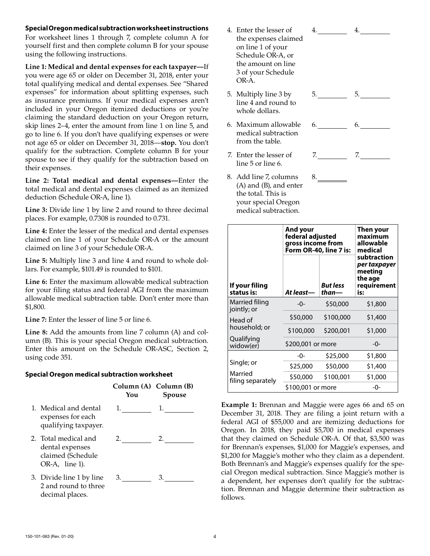#### **Special Oregon medical subtraction worksheet instructions**

For worksheet lines 1 through 7, complete column A for yourself first and then complete column B for your spouse using the following instructions.

**Line 1: Medical and dental expenses for each taxpayer—**If you were age 65 or older on December 31, 2018, enter your total qualifying medical and dental expenses. See "Shared expenses" for information about splitting expenses, such as insurance premiums. If your medical expenses aren't included in your Oregon itemized deductions or you're claiming the standard deduction on your Oregon return, skip lines 2–4, enter the amount from line 1 on line 5, and go to line 6. If you don't have qualifying expenses or were not age 65 or older on December 31, 2018—**stop.** You don't qualify for the subtraction. Complete column B for your spouse to see if they qualify for the subtraction based on their expenses.

**Line 2: Total medical and dental expenses—**Enter the total medical and dental expenses claimed as an itemized deduction (Schedule OR-A, line 1).

**Line 3:** Divide line 1 by line 2 and round to three decimal places. For example, 0.7308 is rounded to 0.731.

**Line 4:** Enter the lesser of the medical and dental expenses claimed on line 1 of your Schedule OR-A or the amount claimed on line 3 of your Schedule OR-A.

**Line 5:** Multiply line 3 and line 4 and round to whole dollars. For example, \$101.49 is rounded to \$101.

Line 6: Enter the maximum allowable medical subtraction for your filing status and federal AGI from the maximum allowable medical subtraction table. Don't enter more than \$1,800.

**Line 7:** Enter the lesser of line 5 or line 6.

**Line 8:** Add the amounts from line 7 column (A) and column (B). This is your special Oregon medical subtraction. Enter this amount on the Schedule OR-ASC, Section 2, using code 351.

#### **Special Oregon medical subtraction worksheet**

|                                                                                | Column (A) Column (B)<br>You | Spouse |
|--------------------------------------------------------------------------------|------------------------------|--------|
| 1. Medical and dental<br>expenses for each<br>qualifying taxpayer.             | 1.                           | 1.     |
| 2. Total medical and<br>dental expenses<br>claimed (Schedule<br>OR-A, line 1). | 2.                           |        |
| 3. Divide line 1 by line<br>2 and round to three<br>decimal places.            | 3.                           | 3.     |

- 4. Enter the lesser of the expenses claimed on line 1 of your Schedule OR-A, or the amount on line 3 of your Schedule OR-A.
- 5. Multiply line 3 by line 4 and round to whole dollars.
- 6. Maximum allowable medical subtraction from the table.
- 7. Enter the lesser of line 5 or line 6.
- 8. Add line 7, columns (A) and (B), and enter the total. This is your special Oregon medical subtraction.

|    | $4.$ 4. |
|----|---------|
|    |         |
|    |         |
|    |         |
|    |         |
|    |         |
|    | $5.$ 5. |
|    |         |
|    |         |
|    | $6.$ 6. |
|    |         |
|    |         |
|    | $7.$ 7. |
|    |         |
|    |         |
| 8. |         |
|    |         |
|    |         |
|    |         |

|                               | And your<br>federal adjusted<br>gross income from<br>Form OR-40, line 7 is: | Then your<br>maximum<br>allowable<br>medical |                                                                         |
|-------------------------------|-----------------------------------------------------------------------------|----------------------------------------------|-------------------------------------------------------------------------|
| If your filing<br>status is:  | At least—                                                                   | <b>But less</b><br>than-                     | subtraction<br>per taxpayer<br>meeting<br>the age<br>requirement<br>is: |
| Married filing<br>jointly; or | -0-                                                                         | \$50,000                                     | \$1,800                                                                 |
| Head of                       | \$50,000                                                                    | \$100,000                                    | \$1,400                                                                 |
| household; or                 | \$100,000                                                                   | \$200,001                                    | \$1,000                                                                 |
| Qualifying<br>widow(er)       | \$200,001 or more                                                           |                                              | -0-                                                                     |
|                               | -0-                                                                         | \$25,000                                     | \$1,800                                                                 |
| Single; or                    | \$25,000                                                                    | \$50,000                                     | \$1,400                                                                 |
| Married<br>filing separately  | \$50,000                                                                    | \$100,001                                    | \$1,000                                                                 |
|                               | \$100,001 or more                                                           | -0-                                          |                                                                         |

**Example 1:** Brennan and Maggie were ages 66 and 65 on December 31, 2018. They are filing a joint return with a federal AGI of \$55,000 and are itemizing deductions for Oregon. In 2018, they paid \$5,700 in medical expenses that they claimed on Schedule OR-A. Of that, \$3,500 was for Brennan's expenses, \$1,000 for Maggie's expenses, and \$1,200 for Maggie's mother who they claim as a dependent. Both Brennan's and Maggie's expenses qualify for the special Oregon medical subtraction. Since Maggie's mother is a dependent, her expenses don't qualify for the subtraction. Brennan and Maggie determine their subtraction as follows.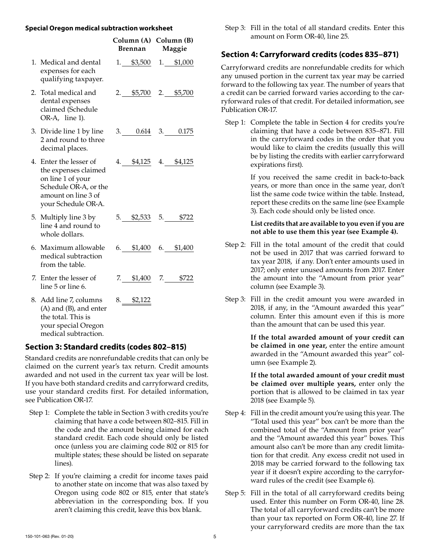#### **Special Oregon medical subtraction worksheet**

|                                                                                                                                            | Column (A) Column (B)<br>Brennan | Maggie                  |
|--------------------------------------------------------------------------------------------------------------------------------------------|----------------------------------|-------------------------|
| 1. Medical and dental<br>expenses for each<br>qualifying taxpayer.                                                                         |                                  | 1. \$3,500 1. \$1,000   |
| 2. Total medical and<br>dental expenses<br>claimed (Schedule<br>OR-A, line 1).                                                             |                                  | $2.$ \$5,700 2. \$5,700 |
| 3. Divide line 1 by line<br>2 and round to three<br>decimal places.                                                                        |                                  | $3.$ 0.614 3. 0.175     |
| 4. Enter the lesser of<br>the expenses claimed<br>on line 1 of your<br>Schedule OR-A, or the<br>amount on line 3 of<br>your Schedule OR-A. |                                  | 4. \$4,125 4. \$4,125   |
| 5. Multiply line 3 by<br>line 4 and round to<br>whole dollars.                                                                             |                                  | $5.$ \$2,533 5. \$722   |
| 6. Maximum allowable<br>medical subtraction<br>from the table.                                                                             |                                  | $6.$ \$1,400 6. \$1,400 |
| 7. Enter the lesser of<br>line 5 or line 6.                                                                                                |                                  | 7. \$1,400 7. \$722     |
| 8. Add line 7, columns<br>(A) and (B), and enter<br>the total. This is<br>your special Oregon<br>medical subtraction.                      | $8.$ \$2,122                     |                         |

## **Section 3: Standard credits (codes 802–815)**

Standard credits are nonrefundable credits that can only be claimed on the current year's tax return. Credit amounts awarded and not used in the current tax year will be lost. If you have both standard credits and carryforward credits, use your standard credits first. For detailed information, see Publication OR-17.

- Step 1: Complete the table in Section 3 with credits you're claiming that have a code between 802–815. Fill in the code and the amount being claimed for each standard credit. Each code should only be listed once (unless you are claiming code 802 or 815 for multiple states; these should be listed on separate lines).
- Step 2: If you're claiming a credit for income taxes paid to another state on income that was also taxed by Oregon using code 802 or 815, enter that state's abbreviation in the corresponding box. If you aren't claiming this credit, leave this box blank.

#### Step 3: Fill in the total of all standard credits. Enter this amount on Form OR-40, line 25.

## **Section 4: Carryforward credits (codes 835–871)**

Carryforward credits are nonrefundable credits for which any unused portion in the current tax year may be carried forward to the following tax year. The number of years that a credit can be carried forward varies according to the carryforward rules of that credit. For detailed information, see Publication OR-17.

Step 1: Complete the table in Section 4 for credits you're claiming that have a code between 835–871. Fill in the carryforward codes in the order that you would like to claim the credits (usually this will be by listing the credits with earlier carryforward expirations first).

> If you received the same credit in back-to-back years, or more than once in the same year, don't list the same code twice within the table. Instead, report these credits on the same line (see Example 3). Each code should only be listed once.

#### **List credits that are available to you even if you are not able to use them this year (see Example 4).**

- Step 2: Fill in the total amount of the credit that could not be used in 2017 that was carried forward to tax year 2018, if any. Don't enter amounts used in 2017; only enter unused amounts from 2017. Enter the amount into the "Amount from prior year" column (see Example 3).
- Step 3: Fill in the credit amount you were awarded in 2018, if any, in the "Amount awarded this year" column. Enter this amount even if this is more than the amount that can be used this year.

**If the total awarded amount of your credit can be claimed in one year,** enter the entire amount awarded in the "Amount awarded this year" column (see Example 2).

**If the total awarded amount of your credit must be claimed over multiple years,** enter only the portion that is allowed to be claimed in tax year 2018 (see Example 5).

- Step 4: Fill in the credit amount you're using this year. The "Total used this year" box can't be more than the combined total of the "Amount from prior year" and the "Amount awarded this year" boxes. This amount also can't be more than any credit limitation for that credit. Any excess credit not used in 2018 may be carried forward to the following tax year if it doesn't expire according to the carryforward rules of the credit (see Example 6).
- Step 5: Fill in the total of all carryforward credits being used. Enter this number on Form OR-40, line 28. The total of all carryforward credits can't be more than your tax reported on Form OR-40, line 27. If your carryforward credits are more than the tax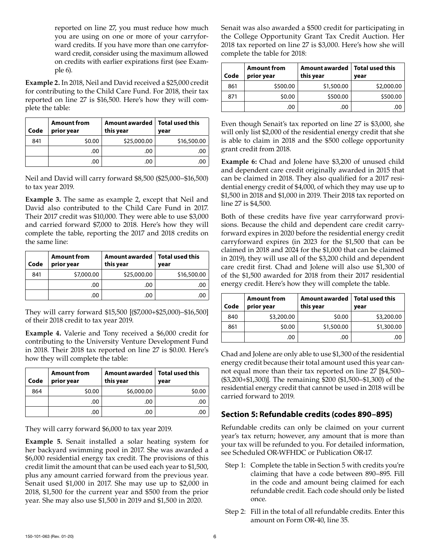reported on line 27, you must reduce how much you are using on one or more of your carryforward credits. If you have more than one carryforward credit, consider using the maximum allowed on credits with earlier expirations first (see Example 6).

**Example 2.** In 2018, Neil and David received a \$25,000 credit for contributing to the Child Care Fund. For 2018, their tax reported on line 27 is \$16,500. Here's how they will complete the table:

| Code | <b>Amount from</b><br>prior year | Amount awarded<br>this year | <b>Total used this</b><br>vear |
|------|----------------------------------|-----------------------------|--------------------------------|
| 841  | \$0.00                           | \$25,000.00                 | \$16,500.00                    |
|      | .00                              | .00                         |                                |
|      | .00                              | .00                         |                                |

Neil and David will carry forward \$8,500 (\$25,000–\$16,500) to tax year 2019.

**Example 3.** The same as example 2, except that Neil and David also contributed to the Child Care Fund in 2017. Their 2017 credit was \$10,000. They were able to use \$3,000 and carried forward \$7,000 to 2018. Here's how they will complete the table, reporting the 2017 and 2018 credits on the same line:

| Code | <b>Amount from</b><br>prior year | Amount awarded   Total used this<br>this year | vear        |
|------|----------------------------------|-----------------------------------------------|-------------|
| 841  | \$7,000.00                       | \$25,000.00                                   | \$16,500.00 |
|      | .00                              | .00                                           | .00         |
|      | .00                              | .00                                           |             |

They will carry forward \$15,500 [(\$7,000+\$25,000)–\$16,500] of their 2018 credit to tax year 2019.

**Example 4.** Valerie and Tony received a \$6,000 credit for contributing to the University Venture Development Fund in 2018. Their 2018 tax reported on line 27 is \$0.00. Here's how they will complete the table:

| Code | <b>Amount from</b><br>prior year | Amount awarded   Total used this<br>this year | vear   |
|------|----------------------------------|-----------------------------------------------|--------|
| 864  | \$0.00                           | \$6,000.00                                    | \$0.00 |
|      | .00                              | .00                                           | .00    |
|      | .00                              | .00                                           |        |

They will carry forward \$6,000 to tax year 2019.

**Example 5.** Senait installed a solar heating system for her backyard swimming pool in 2017. She was awarded a \$6,000 residential energy tax credit. The provisions of this credit limit the amount that can be used each year to \$1,500, plus any amount carried forward from the previous year. Senait used \$1,000 in 2017. She may use up to \$2,000 in 2018, \$1,500 for the current year and \$500 from the prior year. She may also use \$1,500 in 2019 and \$1,500 in 2020.

Senait was also awarded a \$500 credit for participating in the College Opportunity Grant Tax Credit Auction. Her 2018 tax reported on line 27 is \$3,000. Here's how she will complete the table for 2018:

| Code | <b>Amount from</b><br>prior year | Amount awarded   Total used this<br>this year | vear       |
|------|----------------------------------|-----------------------------------------------|------------|
| 861  | \$500.00                         | \$1,500.00                                    | \$2,000.00 |
| 871  | \$0.00                           | \$500.00                                      | \$500.00   |
|      | .00                              | .00                                           | .00        |

Even though Senait's tax reported on line 27 is \$3,000, she will only list \$2,000 of the residential energy credit that she is able to claim in 2018 and the \$500 college opportunity grant credit from 2018.

**Example 6:** Chad and Jolene have \$3,200 of unused child and dependent care credit originally awarded in 2015 that can be claimed in 2018. They also qualified for a 2017 residential energy credit of \$4,000, of which they may use up to \$1,500 in 2018 and \$1,000 in 2019. Their 2018 tax reported on line 27 is \$4,500.

Both of these credits have five year carryforward provisions. Because the child and dependent care credit carryforward expires in 2020 before the residential energy credit carryforward expires (in 2023 for the \$1,500 that can be claimed in 2018 and 2024 for the \$1,000 that can be claimed in 2019), they will use all of the \$3,200 child and dependent care credit first. Chad and Jolene will also use \$1,300 of of the \$1,500 awarded for 2018 from their 2017 residential energy credit. Here's how they will complete the table.

| Code | <b>Amount from</b><br>prior year | Amount awarded   Total used this<br>this year | vear       |
|------|----------------------------------|-----------------------------------------------|------------|
| 840  | \$3,200.00                       | \$0.00                                        | \$3,200.00 |
| 861  | \$0.00                           | \$1,500.00                                    | \$1,300.00 |
|      | .00                              | .00                                           |            |

Chad and Jolene are only able to use \$1,300 of the residential energy credit because their total amount used this year cannot equal more than their tax reported on line 27 [\$4,500– (\$3,200+\$1,300)]. The remaining \$200 (\$1,500–\$1,300) of the residential energy credit that cannot be used in 2018 will be carried forward to 2019.

## **Section 5: Refundable credits (codes 890–895)**

Refundable credits can only be claimed on your current year's tax return; however, any amount that is more than your tax will be refunded to you. For detailed information, see Scheduled OR-WFHDC or Publication OR-17.

- Step 1: Complete the table in Section 5 with credits you're claiming that have a code between 890–895. Fill in the code and amount being claimed for each refundable credit. Each code should only be listed once.
- Step 2: Fill in the total of all refundable credits. Enter this amount on Form OR-40, line 35.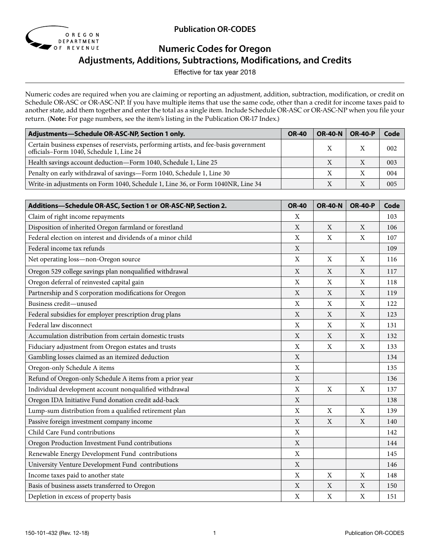

**Publication OR-CODES**

# **Numeric Codes for Oregon**

**Adjustments, Additions, Subtractions, Modifications, and Credits** 

Effective for tax year 2018

Numeric codes are required when you are claiming or reporting an adjustment, addition, subtraction, modification, or credit on Schedule OR-ASC or OR-ASC-NP. If you have multiple items that use the same code, other than a credit for income taxes paid to another state, add them together and enter the total as a single item. Include Schedule OR-ASC or OR-ASC-NP when you file your return. (**Note:** For page numbers, see the item's listing in the Publication OR-17 Index.)

| Adjustments-Schedule OR-ASC-NP, Section 1 only.                                                                                     | <b>OR-40</b> | <b>OR-40-N</b> | <b>OR-40-P</b> | Code |
|-------------------------------------------------------------------------------------------------------------------------------------|--------------|----------------|----------------|------|
| Certain business expenses of reservists, performing artists, and fee-basis government<br>officials–Form 1040, Schedule 1, Line $24$ |              |                |                | 002  |
| Health savings account deduction-Form 1040, Schedule 1, Line 25                                                                     |              |                |                | 003  |
| Penalty on early withdrawal of savings-Form 1040, Schedule 1, Line 30                                                               |              |                |                | 004  |
| Write-in adjustments on Form 1040, Schedule 1, Line 36, or Form 1040NR, Line 34                                                     |              |                |                | 005  |

| Additions-Schedule OR-ASC, Section 1 or OR-ASC-NP, Section 2. | <b>OR-40</b>              | <b>OR-40-N</b> | <b>OR-40-P</b> | Code |
|---------------------------------------------------------------|---------------------------|----------------|----------------|------|
| Claim of right income repayments                              | X                         |                |                | 103  |
| Disposition of inherited Oregon farmland or forestland        | X                         | X              | X              | 106  |
| Federal election on interest and dividends of a minor child   | X                         | X              | X              | 107  |
| Federal income tax refunds                                    | X                         |                |                | 109  |
| Net operating loss-non-Oregon source                          | $\mathbf X$               | $\mathbf X$    | $\mathbf X$    | 116  |
| Oregon 529 college savings plan nonqualified withdrawal       | $\mathbf X$               | X              | X              | 117  |
| Oregon deferral of reinvested capital gain                    | $\mathbf X$               | X              | X              | 118  |
| Partnership and S corporation modifications for Oregon        | $\mathbf X$               | X              | X              | 119  |
| Business credit-unused                                        | $\mathbf X$               | $\mathbf X$    | $\mathbf X$    | 122  |
| Federal subsidies for employer prescription drug plans        | X                         | X              | X              | 123  |
| Federal law disconnect                                        | $\mathbf X$               | X              | X              | 131  |
| Accumulation distribution from certain domestic trusts        | $\mathbf X$               | $\mathbf X$    | X              | 132  |
| Fiduciary adjustment from Oregon estates and trusts           | $\mathbf X$               | X              | X              | 133  |
| Gambling losses claimed as an itemized deduction              | $\mathbf X$               |                |                | 134  |
| Oregon-only Schedule A items                                  | $\mathbf X$               |                |                | 135  |
| Refund of Oregon-only Schedule A items from a prior year      | $\mathbf X$               |                |                | 136  |
| Individual development account nonqualified withdrawal        | $\mathbf X$               | X              | $\mathbf X$    | 137  |
| Oregon IDA Initiative Fund donation credit add-back           | $\mathbf X$               |                |                | 138  |
| Lump-sum distribution from a qualified retirement plan        | $\mathbf X$               | X              | $\mathbf X$    | 139  |
| Passive foreign investment company income                     | X                         | X              | X              | 140  |
| Child Care Fund contributions                                 | $\mathbf X$               |                |                | 142  |
| Oregon Production Investment Fund contributions               | $\mathbf X$               |                |                | 144  |
| Renewable Energy Development Fund contributions               | $\mathbf X$               |                |                | 145  |
| University Venture Development Fund contributions             | $\mathbf X$               |                |                | 146  |
| Income taxes paid to another state                            | $\mathbf X$               | X              | X              | 148  |
| Basis of business assets transferred to Oregon                | $\mathbf X$               | X              | X              | 150  |
| Depletion in excess of property basis                         | $\boldsymbol{\mathrm{X}}$ | X              | X              | 151  |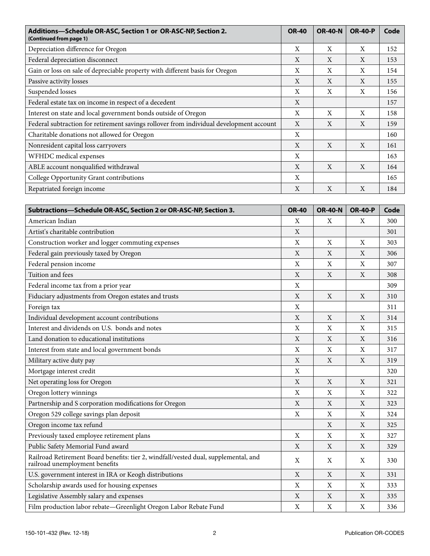| Additions-Schedule OR-ASC, Section 1 or OR-ASC-NP, Section 2.<br>(Continued from page 1) | <b>OR-40</b> | <b>OR-40-N</b> | <b>OR-40-P</b> | Code |
|------------------------------------------------------------------------------------------|--------------|----------------|----------------|------|
| Depreciation difference for Oregon                                                       | X            | X              | X              | 152  |
| Federal depreciation disconnect                                                          | X            | X              | X              | 153  |
| Gain or loss on sale of depreciable property with different basis for Oregon             | X            | X              | X              | 154  |
| Passive activity losses                                                                  | X            | X              | X              | 155  |
| Suspended losses                                                                         | X            | X              | X              | 156  |
| Federal estate tax on income in respect of a decedent                                    | X            |                |                | 157  |
| Interest on state and local government bonds outside of Oregon                           | X            | X              | X              | 158  |
| Federal subtraction for retirement savings rollover from individual development account  | X            | X              | $\mathbf{X}$   | 159  |
| Charitable donations not allowed for Oregon                                              | X            |                |                | 160  |
| Nonresident capital loss carryovers                                                      | X            | $\mathbf{X}$   | $\mathbf{X}$   | 161  |
| WFHDC medical expenses                                                                   | X            |                |                | 163  |
| ABLE account nonqualified withdrawal                                                     | X            | X              | X              | 164  |
| College Opportunity Grant contributions                                                  | X            |                |                | 165  |
| Repatriated foreign income                                                               | X            | X              | X              | 184  |

| Subtractions-Schedule OR-ASC, Section 2 or OR-ASC-NP, Section 3.                                                      | <b>OR-40</b> | <b>OR-40-N</b>            | <b>OR-40-P</b>            | Code |
|-----------------------------------------------------------------------------------------------------------------------|--------------|---------------------------|---------------------------|------|
| American Indian                                                                                                       | X            | X                         | X                         | 300  |
| Artist's charitable contribution                                                                                      | $\mathbf X$  |                           |                           | 301  |
| Construction worker and logger commuting expenses                                                                     | $\mathbf X$  | X                         | $\boldsymbol{\mathrm{X}}$ | 303  |
| Federal gain previously taxed by Oregon                                                                               | X            | X                         | $\mathbf X$               | 306  |
| Federal pension income                                                                                                | $\mathbf X$  | $\mathbf X$               | $\mathbf X$               | 307  |
| Tuition and fees                                                                                                      | $\mathbf X$  | X                         | X                         | 308  |
| Federal income tax from a prior year                                                                                  | X            |                           |                           | 309  |
| Fiduciary adjustments from Oregon estates and trusts                                                                  | $\mathbf X$  | X                         | $\mathbf X$               | 310  |
| Foreign tax                                                                                                           | $\mathbf X$  |                           |                           | 311  |
| Individual development account contributions                                                                          | $\mathbf X$  | $\mathbf{X}$              | X                         | 314  |
| Interest and dividends on U.S. bonds and notes                                                                        | X            | $\boldsymbol{\mathrm{X}}$ | $\boldsymbol{\mathrm{X}}$ | 315  |
| Land donation to educational institutions                                                                             | $\mathbf X$  | $\mathbf X$               | $\mathbf X$               | 316  |
| Interest from state and local government bonds                                                                        | X            | X                         | X                         | 317  |
| Military active duty pay                                                                                              | X            | X                         | X                         | 319  |
| Mortgage interest credit                                                                                              | X            |                           |                           | 320  |
| Net operating loss for Oregon                                                                                         | X            | X                         | X                         | 321  |
| Oregon lottery winnings                                                                                               | X            | X                         | X                         | 322  |
| Partnership and S corporation modifications for Oregon                                                                | X            | X                         | X                         | 323  |
| Oregon 529 college savings plan deposit                                                                               | X            | X                         | X                         | 324  |
| Oregon income tax refund                                                                                              |              | X                         | X                         | 325  |
| Previously taxed employee retirement plans                                                                            | X            | X                         | X                         | 327  |
| Public Safety Memorial Fund award                                                                                     | X            | X                         | X                         | 329  |
| Railroad Retirement Board benefits: tier 2, windfall/vested dual, supplemental, and<br>railroad unemployment benefits | X            | X                         | $\boldsymbol{\mathrm{X}}$ | 330  |
| U.S. government interest in IRA or Keogh distributions                                                                | $\mathbf X$  | $\mathbf X$               | $\mathbf X$               | 331  |
| Scholarship awards used for housing expenses                                                                          | $\mathbf X$  | $\boldsymbol{\mathrm{X}}$ | X                         | 333  |
| Legislative Assembly salary and expenses                                                                              | X            | X                         | X                         | 335  |
| Film production labor rebate-Greenlight Oregon Labor Rebate Fund                                                      | X            | $\mathbf X$               | $\boldsymbol{\mathrm{X}}$ | 336  |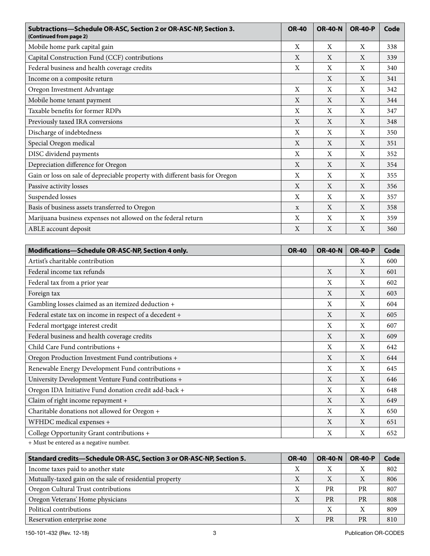| Subtractions-Schedule OR-ASC, Section 2 or OR-ASC-NP, Section 3.<br>(Continued from page 2) |              | <b>OR-40-N</b> | <b>OR-40-P</b> | Code |
|---------------------------------------------------------------------------------------------|--------------|----------------|----------------|------|
| Mobile home park capital gain                                                               | X            | X              | X              | 338  |
| Capital Construction Fund (CCF) contributions                                               | X            | X              | $\mathbf{X}$   | 339  |
| Federal business and health coverage credits                                                | X            | X              | X              | 340  |
| Income on a composite return                                                                |              | $\mathbf{X}$   | X              | 341  |
| Oregon Investment Advantage                                                                 | X            | X              | X              | 342  |
| Mobile home tenant payment                                                                  | X            | X              | X              | 344  |
| Taxable benefits for former RDPs                                                            | X            | X              | X              | 347  |
| Previously taxed IRA conversions                                                            | X            | X              | X              | 348  |
| Discharge of indebtedness                                                                   | X            | X              | X              | 350  |
| Special Oregon medical                                                                      | X            | $\mathbf{X}$   | X              | 351  |
| DISC dividend payments                                                                      | X            | X              | X              | 352  |
| Depreciation difference for Oregon                                                          | X            | X              | X              | 354  |
| Gain or loss on sale of depreciable property with different basis for Oregon                | X            | X              | X              | 355  |
| Passive activity losses                                                                     | X            | X              | X              | 356  |
| Suspended losses                                                                            | X            | X              | X              | 357  |
| Basis of business assets transferred to Oregon                                              | $\mathbf{x}$ | X              | X              | 358  |
| Marijuana business expenses not allowed on the federal return                               | X            | X              | X              | 359  |
| ABLE account deposit                                                                        | X            | X              | X              | 360  |

| Modifications-Schedule OR-ASC-NP, Section 4 only.       | <b>OR-40</b> | <b>OR-40-N</b> | <b>OR-40-P</b> | Code |
|---------------------------------------------------------|--------------|----------------|----------------|------|
| Artist's charitable contribution                        |              |                | X              | 600  |
| Federal income tax refunds                              |              | $\mathbf{X}$   | X              | 601  |
| Federal tax from a prior year                           |              | X              | X              | 602  |
| Foreign tax                                             |              | X              | X              | 603  |
| Gambling losses claimed as an itemized deduction +      |              | X              | X              | 604  |
| Federal estate tax on income in respect of a decedent + |              | X              | X              | 605  |
| Federal mortgage interest credit                        |              | X              | X              | 607  |
| Federal business and health coverage credits            |              | X              | X              | 609  |
| Child Care Fund contributions +                         |              | X              | X              | 642  |
| Oregon Production Investment Fund contributions +       |              | X              | X              | 644  |
| Renewable Energy Development Fund contributions +       |              | X              | X              | 645  |
| University Development Venture Fund contributions +     |              | $\mathbf{X}$   | X              | 646  |
| Oregon IDA Initiative Fund donation credit add-back +   |              | X              | X              | 648  |
| Claim of right income repayment +                       |              | $\mathbf{X}$   | X              | 649  |
| Charitable donations not allowed for Oregon +           |              | X              | X              | 650  |
| WFHDC medical expenses +                                |              | X              | X              | 651  |
| College Opportunity Grant contributions +               |              | X              | X              | 652  |

+ Must be entered as a negative number.

| Standard credits-Schedule OR-ASC, Section 3 or OR-ASC-NP, Section 5. | <b>OR-40</b> | <b>OR-40-N</b> | <b>OR-40-P</b>            | Code |
|----------------------------------------------------------------------|--------------|----------------|---------------------------|------|
| Income taxes paid to another state                                   | Х            | X              | Х                         | 802  |
| Mutually-taxed gain on the sale of residential property              | Χ            | Х              | $\boldsymbol{\mathrm{X}}$ | 806  |
| Oregon Cultural Trust contributions                                  | Χ            | <b>PR</b>      | <b>PR</b>                 | 807  |
| Oregon Veterans' Home physicians                                     | Χ            | <b>PR</b>      | <b>PR</b>                 | 808  |
| Political contributions                                              |              |                | Х                         | 809  |
| Reservation enterprise zone                                          | Χ            | <b>PR</b>      | <b>PR</b>                 | 810  |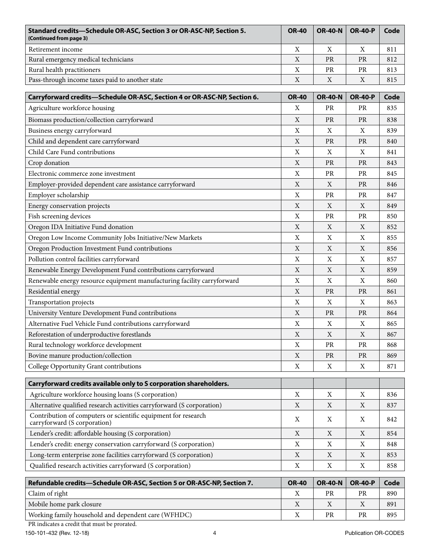| Standard credits—Schedule OR-ASC, Section 3 or OR-ASC-NP, Section 5.<br>(Continued from page 3) | <b>OR-40</b> | <b>OR-40-N</b> | <b>OR-40-P</b> | Code |
|-------------------------------------------------------------------------------------------------|--------------|----------------|----------------|------|
| Retirement income                                                                               | X            |                |                | 811  |
| Rural emergency medical technicians                                                             | X            | <b>PR</b>      | <b>PR</b>      | 812  |
| Rural health practitioners                                                                      | X            | <b>PR</b>      | <b>PR</b>      | 813  |
| Pass-through income taxes paid to another state                                                 | X            |                | Χ              | 815  |
|                                                                                                 |              |                |                |      |

| Carryforward credits-Schedule OR-ASC, Section 4 or OR-ASC-NP, Section 6.                       | <b>OR-40</b> | <b>OR-40-N</b> | <b>OR-40-P</b> | Code |
|------------------------------------------------------------------------------------------------|--------------|----------------|----------------|------|
| Agriculture workforce housing                                                                  | X            | PR             | PR             | 835  |
| Biomass production/collection carryforward                                                     | $\mathbf X$  | PR             | PR             | 838  |
| Business energy carryforward                                                                   | $\mathbf X$  | X              | X              | 839  |
| Child and dependent care carryforward                                                          | $\mathbf X$  | PR             | PR             | 840  |
| Child Care Fund contributions                                                                  | $\mathbf X$  | X              | X              | 841  |
| Crop donation                                                                                  | X            | PR             | PR             | 843  |
| Electronic commerce zone investment                                                            | $\mathbf X$  | PR             | PR             | 845  |
| Employer-provided dependent care assistance carryforward                                       | $\mathbf X$  | X              | <b>PR</b>      | 846  |
| Employer scholarship                                                                           | $\mathbf X$  | PR             | <b>PR</b>      | 847  |
| Energy conservation projects                                                                   | $\mathbf X$  | $\mathbf X$    | X              | 849  |
| Fish screening devices                                                                         | $\mathbf X$  | PR             | PR             | 850  |
| Oregon IDA Initiative Fund donation                                                            | $\mathbf X$  | X              | X              | 852  |
| Oregon Low Income Community Jobs Initiative/New Markets                                        | $\mathbf X$  | $\mathbf X$    | X              | 855  |
| Oregon Production Investment Fund contributions                                                | $\mathbf X$  | $\mathbf X$    | $\mathbf X$    | 856  |
| Pollution control facilities carryforward                                                      | $\mathbf X$  | $\mathbf X$    | X              | 857  |
| Renewable Energy Development Fund contributions carryforward                                   | $\mathbf X$  | X              | X              | 859  |
| Renewable energy resource equipment manufacturing facility carryforward                        | $\mathbf X$  | X              | X              | 860  |
| Residential energy                                                                             | $\mathbf X$  | <b>PR</b>      | <b>PR</b>      | 861  |
| Transportation projects                                                                        | $\mathbf X$  | $\mathbf X$    | X              | 863  |
| University Venture Development Fund contributions                                              | $\mathbf X$  | PR             | <b>PR</b>      | 864  |
| Alternative Fuel Vehicle Fund contributions carryforward                                       | $\mathbf X$  | X              | X              | 865  |
| Reforestation of underproductive forestlands                                                   | $\mathbf X$  | X              | X              | 867  |
| Rural technology workforce development                                                         | $\mathbf X$  | PR             | PR             | 868  |
| Bovine manure production/collection                                                            | $\mathbf X$  | $\rm PR$       | PR             | 869  |
| College Opportunity Grant contributions                                                        | $\mathbf X$  | $\mathbf X$    | X              | 871  |
| Carryforward credits available only to S corporation shareholders.                             |              |                |                |      |
| Agriculture workforce housing loans (S corporation)                                            | $\mathbf X$  | $\mathbf X$    | $\mathbf X$    | 836  |
| Alternative qualified research activities carryforward (S corporation)                         | $\mathbf X$  | $\mathbf X$    | $\mathbf X$    | 837  |
| Contribution of computers or scientific equipment for research<br>carryforward (S corporation) | X            | X              | X              | 842  |
| Lender's credit: affordable housing (S corporation)                                            | $\mathbf X$  | $\mathbf X$    | X              | 854  |
| Lender's credit: energy conservation carryforward (S corporation)                              | X            | X              | Χ              | 848  |
| Long-term enterprise zone facilities carryforward (S corporation)                              | $\mathbf X$  | $\mathbf X$    | $\mathbf X$    | 853  |
| Qualified research activities carryforward (S corporation)                                     | $\mathbf X$  | $\mathbf X$    | X              | 858  |
| Refundable credits-Schedule OR-ASC, Section 5 or OR-ASC-NP, Section 7.                         | <b>OR-40</b> | <b>OR-40-N</b> | <b>OR-40-P</b> | Code |

| Refundable credits—Schedule OR-ASC, Section 5 or OR-ASC-NP, Section 7. | <b>OR-40</b> | ∣ OR-40-N ∣ OR-40-P |    | Code |
|------------------------------------------------------------------------|--------------|---------------------|----|------|
| Claim of right                                                         |              | PR                  | PR | 890  |
| Mobile home park closure                                               |              |                     |    | 891  |
| Working family household and dependent care (WFHDC)                    |              | <b>PR</b>           | PR | 895  |

PR indicates a credit that must be prorated.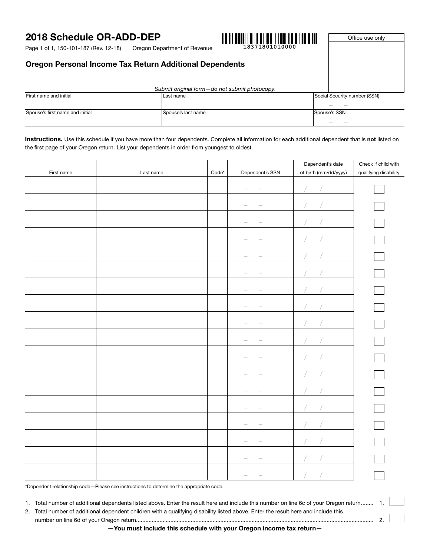# 2018 Schedule OR-ADD-DEP

Oregon Department of Revenue Page 1 of 1, 150-101-187 (Rev. 12-18)



Office use only

## Oregon Personal Income Tax Return Additional Dependents

|                                 | Submit original form-do not submit photocopy. |                               |
|---------------------------------|-----------------------------------------------|-------------------------------|
| First name and initial          | ILast name                                    | Social Security number (SSN)  |
| Spouse's first name and initial | Spouse's last name                            | $\sim$<br>$-$<br>Spouse's SSN |
|                                 |                                               |                               |

Instructions. Use this schedule if you have more than four dependents. Complete all information for each additional dependent that is not listed on the first page of your Oregon return. List your dependents in order from youngest to oldest.

|            |           |                       |                                                    | Dependent's date      | Check if child with   |
|------------|-----------|-----------------------|----------------------------------------------------|-----------------------|-----------------------|
| First name | Last name | $\mathsf{Code}^\star$ | Dependent's SSN                                    | of birth (mm/dd/yyyy) | qualifying disability |
|            |           |                       |                                                    |                       |                       |
|            |           |                       |                                                    |                       |                       |
|            |           |                       | $\frac{1}{2}$                                      |                       |                       |
|            |           |                       | $\frac{1}{2}$<br>$\hspace{0.1mm}$                  |                       |                       |
|            |           |                       | $\hspace{0.1mm}-\hspace{0.1mm}$<br>$\sim$          |                       |                       |
|            |           |                       | $\hspace{0.1mm}-\hspace{0.1mm}$<br>$\qquad \qquad$ |                       |                       |
|            |           |                       | $\qquad \qquad$<br>$\hspace{0.1mm}-\hspace{0.1mm}$ |                       |                       |
|            |           |                       | $\overline{\phantom{a}}$                           |                       |                       |
|            |           |                       | $\hspace{0.1mm}-\hspace{0.1mm}$                    |                       |                       |
|            |           |                       | $\hspace{0.1mm}-\hspace{0.1mm}$                    |                       |                       |
|            |           |                       | $\hspace{0.1mm}-\hspace{0.1mm}$                    |                       |                       |
|            |           |                       | $\hspace{0.1mm}-\hspace{0.1mm}$                    |                       |                       |
|            |           |                       | $\hspace{0.1mm}-\hspace{0.1mm}$                    |                       |                       |
|            |           |                       | $\overline{\phantom{m}}$                           |                       |                       |
|            |           |                       | $\overline{\phantom{m}}$                           |                       |                       |
|            |           |                       | $\hspace{0.05cm}$                                  |                       |                       |
|            |           |                       |                                                    |                       |                       |
|            |           |                       |                                                    |                       |                       |

\*Dependent relationship code—Please see instructions to determine the appropriate code.

1. Total number of additional dependents listed above. Enter the result here and include this number on line 6c of your Oregon return ........ 1.

2. Total number of additional dependent children with a qualifying disability listed above. Enter the result here and include this number on line 6d of your Oregon return........................................................................................................................................................ 2.

—You must include this schedule with your Oregon income tax return—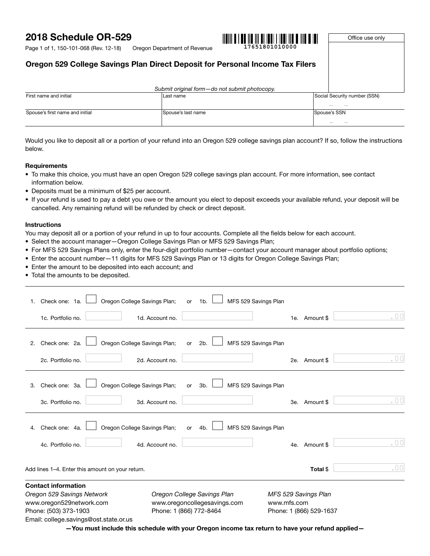# 2018 Schedule OR-529



Office use only

Page 1 of 1, 150-101-068 (Rev. 12-18)

Oregon Department of Revenue **17651801010000**

## Oregon 529 College Savings Plan Direct Deposit for Personal Income Tax Filers

|                                 | Submit original form-do not submit photocopy. |                              |
|---------------------------------|-----------------------------------------------|------------------------------|
| First name and initial          | Last name                                     | Social Security number (SSN) |
|                                 |                                               |                              |
| Spouse's first name and initial | Spouse's last name                            | Spouse's SSN                 |
|                                 |                                               | $\sim$                       |

Would you like to deposit all or a portion of your refund into an Oregon 529 college savings plan account? If so, follow the instructions below.

#### **Requirements**

- To make this choice, you must have an open Oregon 529 college savings plan account. For more information, see contact information below.
- Deposits must be a minimum of \$25 per account.
- If your refund is used to pay a debt you owe or the amount you elect to deposit exceeds your available refund, your deposit will be cancelled. Any remaining refund will be refunded by check or direct deposit.

#### **Instructions**

You may deposit all or a portion of your refund in up to four accounts. Complete all the fields below for each account.

- Select the account manager—Oregon College Savings Plan or MFS 529 Savings Plan;
- For MFS 529 Savings Plans only, enter the four-digit portfolio number—contact your account manager about portfolio options;
- Enter the account number—11 digits for MFS 529 Savings Plan or 13 digits for Oregon College Savings Plan;
- Enter the amount to be deposited into each account; and
- Total the amounts to be deposited.

| www.oregon529network.com |                                                          |                                                                                                                                                                                  |                             |                                                                                              |                                                                                                                                         |
|--------------------------|----------------------------------------------------------|----------------------------------------------------------------------------------------------------------------------------------------------------------------------------------|-----------------------------|----------------------------------------------------------------------------------------------|-----------------------------------------------------------------------------------------------------------------------------------------|
|                          |                                                          |                                                                                                                                                                                  |                             |                                                                                              |                                                                                                                                         |
|                          |                                                          |                                                                                                                                                                                  |                             | Total \$                                                                                     | .00                                                                                                                                     |
| 4c. Portfolio no.        | 4d. Account no.                                          |                                                                                                                                                                                  |                             |                                                                                              | .00                                                                                                                                     |
| Check one: 4a.           | 4b.<br>or                                                |                                                                                                                                                                                  |                             |                                                                                              |                                                                                                                                         |
| 3c. Portfolio no.        | 3d. Account no.                                          |                                                                                                                                                                                  |                             |                                                                                              | .00                                                                                                                                     |
| Check one: 3a.           | 3b.<br>or                                                |                                                                                                                                                                                  |                             |                                                                                              |                                                                                                                                         |
| 2c. Portfolio no.        | 2d. Account no.                                          |                                                                                                                                                                                  |                             |                                                                                              | .00                                                                                                                                     |
| Check one: 2a.           | 2b.<br>or                                                |                                                                                                                                                                                  |                             |                                                                                              |                                                                                                                                         |
| 1c. Portfolio no.        | 1d. Account no.                                          |                                                                                                                                                                                  |                             |                                                                                              | . $00$                                                                                                                                  |
| Check one: 1a.           | 1b.<br>or                                                |                                                                                                                                                                                  |                             |                                                                                              |                                                                                                                                         |
| 4.                       | <b>Contact information</b><br>Oregon 529 Savings Network | Oregon College Savings Plan;<br>Oregon College Savings Plan;<br>Oregon College Savings Plan;<br>Oregon College Savings Plan;<br>Add lines 1-4. Enter this amount on your return. | Oregon College Savings Plan | MFS 529 Savings Plan<br>MFS 529 Savings Plan<br>MFS 529 Savings Plan<br>MFS 529 Savings Plan | 1e. Amount \$<br>2e. Amount \$<br>3e. Amount \$<br>4e. Amount \$<br>MFS 529 Savings Plan<br>www.oregoncollegesavings.com<br>www.mfs.com |

—You must include this schedule with your Oregon income tax return to have your refund applied—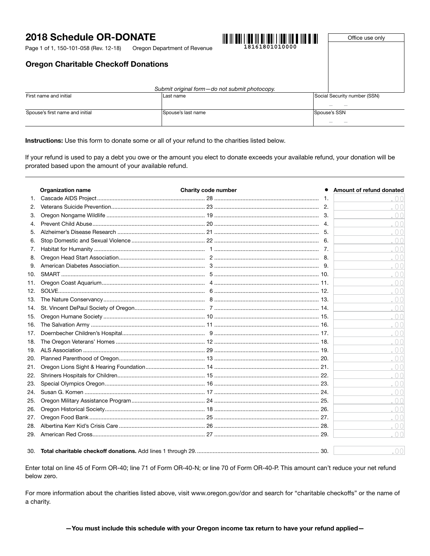# 2018 Schedule OR-DONATE

Page 1 of 1, 150-101-058 (Rev. 12-18)



Oregon Department of Revenue **18161801010000**

Office use only

## Oregon Charitable Checkoff Donations

| Submit original form-do not submit photocopy. |                    |                              |
|-----------------------------------------------|--------------------|------------------------------|
| First name and initial                        | Last name          | Social Security number (SSN) |
|                                               |                    | $\sim$                       |
| Spouse's first name and initial               | Spouse's last name | Spouse's SSN                 |
|                                               |                    | <b>STATE</b>                 |

Instructions: Use this form to donate some or all of your refund to the charities listed below.

If your refund is used to pay a debt you owe or the amount you elect to donate exceeds your available refund, your donation will be prorated based upon the amount of your available refund.

|     | <b>Organization name</b> | Charity code number | Amount of refund donated |
|-----|--------------------------|---------------------|--------------------------|
| 1.  |                          |                     |                          |
| 2.  |                          |                     | 0 <sup>0</sup>           |
| 3.  |                          |                     | .00                      |
| 4.  |                          |                     | .00                      |
|     |                          |                     | .00                      |
| 6.  |                          |                     | .00                      |
| 7.  |                          |                     | .00                      |
| 8.  |                          |                     | .00                      |
| 9.  |                          |                     | .00                      |
| 10. |                          |                     | .00                      |
| 11. |                          |                     | .00                      |
| 12. |                          |                     | .00                      |
| 13. |                          |                     | .00                      |
| 14. |                          |                     | .00                      |
| 15. |                          |                     | .00                      |
| 16. |                          |                     | .00                      |
| 17. |                          |                     | .00                      |
| 18. |                          |                     | .00                      |
| 19. |                          |                     | .00                      |
| 20. |                          |                     | .00                      |
| 21. |                          |                     | .00                      |
| 22. |                          |                     | .00                      |
| 23. |                          |                     | .00                      |
| 24. |                          |                     | .00                      |
| 25. |                          |                     | .00                      |
| 26. |                          |                     | .00                      |
| 27. |                          |                     | .00                      |
| 28. |                          |                     | .00                      |
| 29. |                          |                     | 0 <sup>0</sup>           |
|     |                          |                     |                          |
| 30. |                          |                     | 00                       |

Enter total on line 45 of Form OR-40; line 71 of Form OR-40-N; or line 70 of Form OR-40-P. This amount can't reduce your net refund below zero.

For more information about the charities listed above, visit www.oregon.gov/dor and search for "charitable checkoffs" or the name of a charity.